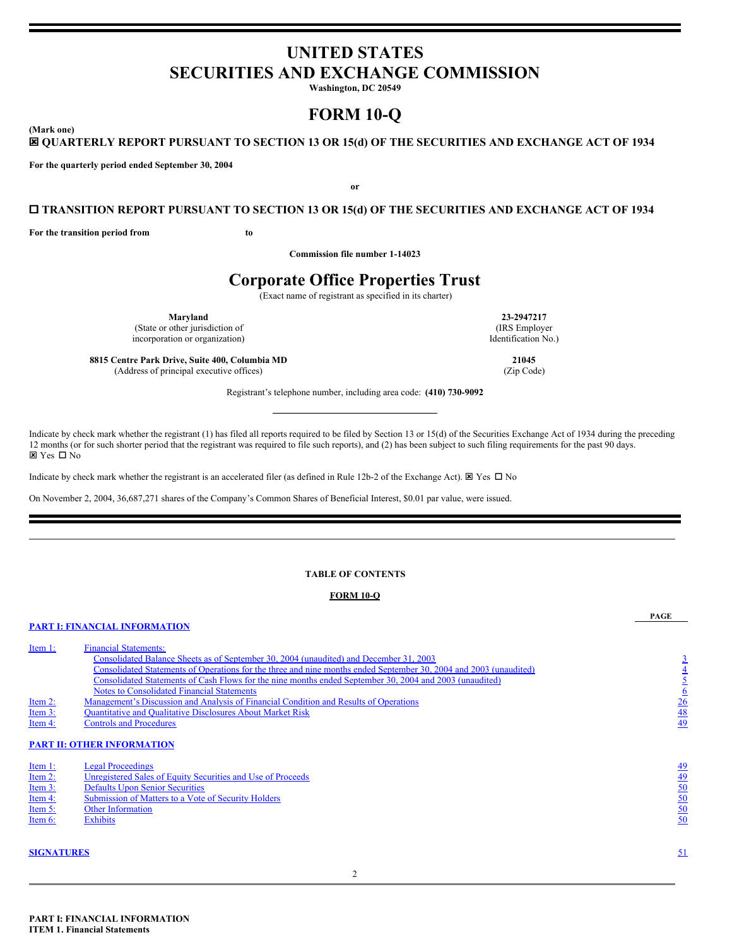# **UNITED STATES SECURITIES AND EXCHANGE COMMISSION**

**Washington, DC 20549**

# **FORM 10-Q**

**(Mark one)**

# ý **QUARTERLY REPORT PURSUANT TO SECTION 13 OR 15(d) OF THE SECURITIES AND EXCHANGE ACT OF 1934**

**For the quarterly period ended September 30, 2004**

**or**

# o **TRANSITION REPORT PURSUANT TO SECTION 13 OR 15(d) OF THE SECURITIES AND EXCHANGE ACT OF 1934**

**For the transition period from to**

**Commission file number 1-14023**

# **Corporate Office Properties Trust**

(Exact name of registrant as specified in its charter)

(State or other jurisdiction of incorporation or organization)

**Maryland 23-2947217** (IRS Employer Identification No.)

**PAGE**

**8815 Centre Park Drive, Suite 400, Columbia MD 21045** (Address of principal executive offices) (Zip Code)

Registrant's telephone number, including area code: **(410) 730-9092**

Indicate by check mark whether the registrant (1) has filed all reports required to be filed by Section 13 or 15(d) of the Securities Exchange Act of 1934 during the preceding 12 months (or for such shorter period that the registrant was required to file such reports), and (2) has been subject to such filing requirements for the past 90 days.  $\boxtimes$  Yes  $\Box$  No

Indicate by check mark whether the registrant is an accelerated filer (as defined in Rule 12b-2 of the Exchange Act).  $\boxtimes$  Yes  $\Box$  No

On November 2, 2004, 36,687,271 shares of the Company's Common Shares of Beneficial Interest, \$0.01 par value, were issued.

## **TABLE OF CONTENTS**

## **FORM 10-Q**

<span id="page-0-1"></span><span id="page-0-0"></span>

|                                                                           | <b>PART I: FINANCIAL INFORMATION</b>                                                                                                                                                                                                                                                                                                                   |                                                       |
|---------------------------------------------------------------------------|--------------------------------------------------------------------------------------------------------------------------------------------------------------------------------------------------------------------------------------------------------------------------------------------------------------------------------------------------------|-------------------------------------------------------|
| Item 1:                                                                   | <b>Financial Statements:</b><br>Consolidated Balance Sheets as of September 30, 2004 (unaudited) and December 31, 2003<br>Consolidated Statements of Operations for the three and nine months ended September 30, 2004 and 2003 (unaudited)<br>Consolidated Statements of Cash Flows for the nine months ended September 30, 2004 and 2003 (unaudited) |                                                       |
| Item 2:<br>Item $3$ :<br>Item 4:                                          | <b>Notes to Consolidated Financial Statements</b><br>Management's Discussion and Analysis of Financial Condition and Results of Operations<br><b>Quantitative and Qualitative Disclosures About Market Risk</b><br><b>Controls and Procedures</b>                                                                                                      | $\overline{\mathbf{6}}$<br>26<br>$\frac{48}{49}$      |
|                                                                           | <b>PART II: OTHER INFORMATION</b>                                                                                                                                                                                                                                                                                                                      |                                                       |
| Item 1:<br>Item $2$ :<br>Item $3$ :<br>Item 4:<br>Item $5:$<br>Item $6$ : | <b>Legal Proceedings</b><br>Unregistered Sales of Equity Securities and Use of Proceeds<br><b>Defaults Upon Senior Securities</b><br>Submission of Matters to a Vote of Security Holders<br><b>Other Information</b><br><b>Exhibits</b>                                                                                                                | $\frac{49}{49}$ $\frac{50}{50}$ $\frac{50}{50}$<br>50 |
| <b>SIGNATURES</b>                                                         |                                                                                                                                                                                                                                                                                                                                                        | <u>51</u>                                             |

2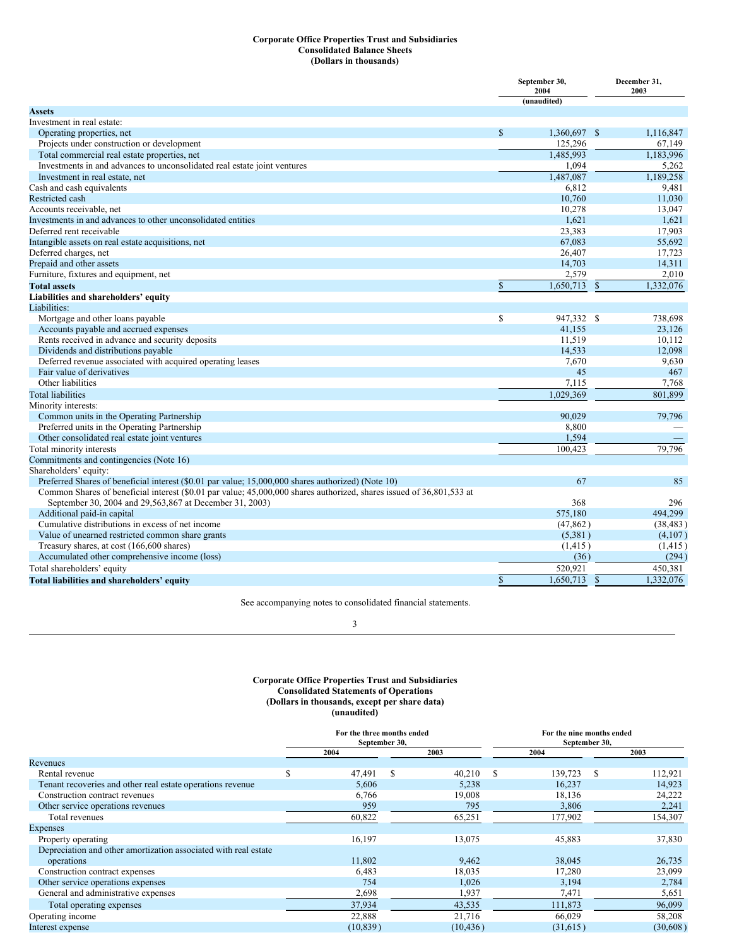#### <span id="page-1-0"></span>**Corporate Office Properties Trust and Subsidiaries Consolidated Balance Sheets (Dollars in thousands)**

|                                                                                                                      | September 30,<br>2004 |              |               | December 31,<br>2003 |  |
|----------------------------------------------------------------------------------------------------------------------|-----------------------|--------------|---------------|----------------------|--|
|                                                                                                                      |                       | (unaudited)  |               |                      |  |
| <b>Assets</b>                                                                                                        |                       |              |               |                      |  |
| Investment in real estate:                                                                                           |                       |              |               |                      |  |
| Operating properties, net                                                                                            | $\mathsf{\$}$         | 1,360,697 \$ |               | 1,116,847            |  |
| Projects under construction or development                                                                           |                       | 125,296      |               | 67,149               |  |
| Total commercial real estate properties, net                                                                         |                       | 1.485.993    |               | 1,183,996            |  |
| Investments in and advances to unconsolidated real estate joint ventures                                             |                       | 1,094        |               | 5,262                |  |
| Investment in real estate, net                                                                                       |                       | 1,487,087    |               | 1,189,258            |  |
| Cash and cash equivalents                                                                                            |                       | 6,812        |               | 9,481                |  |
| <b>Restricted cash</b>                                                                                               |                       | 10,760       |               | 11,030               |  |
| Accounts receivable, net                                                                                             |                       | 10,278       |               | 13,047               |  |
| Investments in and advances to other unconsolidated entities                                                         |                       | 1,621        |               | 1,621                |  |
| Deferred rent receivable                                                                                             |                       | 23,383       |               | 17,903               |  |
| Intangible assets on real estate acquisitions, net                                                                   |                       | 67,083       |               | 55,692               |  |
| Deferred charges, net                                                                                                |                       | 26,407       |               | 17,723               |  |
| Prepaid and other assets                                                                                             |                       | 14,703       |               | 14,311               |  |
| Furniture, fixtures and equipment, net                                                                               |                       | 2,579        |               | 2,010                |  |
| <b>Total assets</b>                                                                                                  | $\mathbb{S}$          | 1,650,713    | <sup>\$</sup> | 1,332,076            |  |
| Liabilities and shareholders' equity                                                                                 |                       |              |               |                      |  |
| Liabilities:                                                                                                         |                       |              |               |                      |  |
| Mortgage and other loans payable                                                                                     | \$                    | 947.332 \$   |               | 738,698              |  |
| Accounts payable and accrued expenses                                                                                |                       | 41,155       |               | 23,126               |  |
| Rents received in advance and security deposits                                                                      |                       | 11,519       |               | 10,112               |  |
| Dividends and distributions payable                                                                                  |                       | 14,533       |               | 12,098               |  |
| Deferred revenue associated with acquired operating leases                                                           |                       | 7,670        |               | 9,630                |  |
| Fair value of derivatives                                                                                            |                       | 45           |               | 467                  |  |
| Other liabilities                                                                                                    |                       | 7,115        |               | 7,768                |  |
| <b>Total liabilities</b>                                                                                             |                       | 1.029.369    |               | 801.899              |  |
| Minority interests:                                                                                                  |                       |              |               |                      |  |
| Common units in the Operating Partnership                                                                            |                       | 90.029       |               | 79,796               |  |
| Preferred units in the Operating Partnership                                                                         |                       | 8,800        |               |                      |  |
| Other consolidated real estate joint ventures                                                                        |                       | 1,594        |               |                      |  |
| Total minority interests                                                                                             |                       | 100,423      |               | 79,796               |  |
| Commitments and contingencies (Note 16)                                                                              |                       |              |               |                      |  |
| Shareholders' equity:                                                                                                |                       |              |               |                      |  |
| Preferred Shares of beneficial interest (\$0.01 par value; 15,000,000 shares authorized) (Note 10)                   |                       | 67           |               | 85                   |  |
| Common Shares of beneficial interest (\$0.01 par value; 45,000,000 shares authorized, shares issued of 36,801,533 at |                       |              |               |                      |  |
| September 30, 2004 and 29,563,867 at December 31, 2003)                                                              |                       | 368          |               | 296                  |  |
| Additional paid-in capital                                                                                           |                       | 575,180      |               | 494.299              |  |
| Cumulative distributions in excess of net income                                                                     |                       | (47, 862)    |               | (38, 483)            |  |
| Value of unearned restricted common share grants                                                                     |                       | (5,381)      |               | (4,107)              |  |
| Treasury shares, at cost (166,600 shares)                                                                            |                       | (1, 415)     |               | (1, 415)             |  |
| Accumulated other comprehensive income (loss)                                                                        |                       | (36)         |               | (294)                |  |
| Total shareholders' equity                                                                                           |                       | 520,921      |               | 450.381              |  |
| Total liabilities and shareholders' equity                                                                           | \$                    | 1,650,713    | \$            | 1,332,076            |  |

See accompanying notes to consolidated financial statements.

3

## <span id="page-1-1"></span>**Corporate Office Properties Trust and Subsidiaries Consolidated Statements of Operations (Dollars in thousands, except per share data) (unaudited)**

|                                                                 | For the three months ended<br>September 30, |               |              | For the nine months ended<br>September 30, |
|-----------------------------------------------------------------|---------------------------------------------|---------------|--------------|--------------------------------------------|
|                                                                 | 2004                                        | 2003          | 2004         | 2003                                       |
| Revenues                                                        |                                             |               |              |                                            |
| Rental revenue                                                  | S<br>47,491                                 | \$.<br>40,210 | 139,723<br>S | 112,921<br>S.                              |
| Tenant recoveries and other real estate operations revenue      | 5,606                                       | 5,238         | 16,237       | 14,923                                     |
| Construction contract revenues                                  | 6,766                                       | 19,008        | 18,136       | 24,222                                     |
| Other service operations revenues                               | 959                                         | 795           | 3,806        | 2,241                                      |
| Total revenues                                                  | 60,822                                      | 65,251        | 177,902      | 154,307                                    |
| <b>Expenses</b>                                                 |                                             |               |              |                                            |
| Property operating                                              | 16,197                                      | 13,075        | 45,883       | 37,830                                     |
| Depreciation and other amortization associated with real estate |                                             |               |              |                                            |
| operations                                                      | 11,802                                      | 9,462         | 38,045       | 26,735                                     |
| Construction contract expenses                                  | 6,483                                       | 18,035        | 17,280       | 23,099                                     |
| Other service operations expenses                               | 754                                         | 1,026         | 3,194        | 2,784                                      |
| General and administrative expenses                             | 2,698                                       | 1,937         | 7,471        | 5,651                                      |
| Total operating expenses                                        | 37,934                                      | 43,535        | 111,873      | 96,099                                     |
| Operating income                                                | 22,888                                      | 21,716        | 66,029       | 58,208                                     |
| Interest expense                                                | (10, 839)                                   | (10, 436)     | (31,615)     | (30,608)                                   |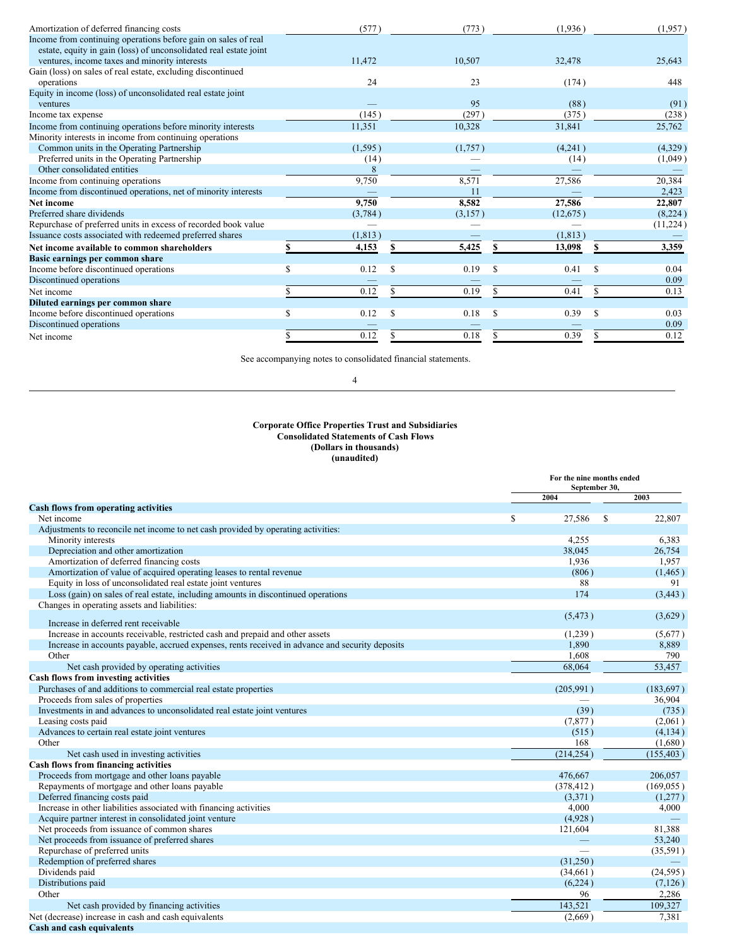| Amortization of deferred financing costs                          | (577)      |   | (773)   |   | (1,936)  |    | (1,957)  |
|-------------------------------------------------------------------|------------|---|---------|---|----------|----|----------|
| Income from continuing operations before gain on sales of real    |            |   |         |   |          |    |          |
| estate, equity in gain (loss) of unconsolidated real estate joint |            |   |         |   |          |    |          |
| ventures, income taxes and minority interests                     | 11,472     |   | 10,507  |   | 32,478   |    | 25,643   |
| Gain (loss) on sales of real estate, excluding discontinued       |            |   |         |   |          |    |          |
| operations                                                        | 24         |   | 23      |   | (174)    |    | 448      |
| Equity in income (loss) of unconsolidated real estate joint       |            |   |         |   |          |    |          |
| ventures                                                          |            |   | 95      |   | (88)     |    | (91)     |
| Income tax expense                                                | (145)      |   | (297)   |   | (375)    |    | (238)    |
| Income from continuing operations before minority interests       | 11,351     |   | 10,328  |   | 31,841   |    | 25,762   |
| Minority interests in income from continuing operations           |            |   |         |   |          |    |          |
| Common units in the Operating Partnership                         | (1, 595)   |   | (1,757) |   | (4,241)  |    | (4,329)  |
| Preferred units in the Operating Partnership                      | (14)       |   |         |   | (14)     |    | (1,049)  |
| Other consolidated entities                                       | 8          |   |         |   |          |    |          |
| Income from continuing operations                                 | 9,750      |   | 8,571   |   | 27,586   |    | 20,384   |
| Income from discontinued operations, net of minority interests    |            |   | 11      |   |          |    | 2,423    |
| Net income                                                        | 9,750      |   | 8,582   |   | 27,586   |    | 22,807   |
| Preferred share dividends                                         | (3,784)    |   | (3,157) |   | (12,675) |    | (8,224)  |
| Repurchase of preferred units in excess of recorded book value    |            |   |         |   |          |    | (11,224) |
| Issuance costs associated with redeemed preferred shares          | (1, 813)   |   |         |   | (1, 813) |    |          |
| Net income available to common shareholders                       | 4,153      | S | 5,425   |   | 13,098   | ж  | 3,359    |
| Basic earnings per common share                                   |            |   |         |   |          |    |          |
| Income before discontinued operations                             | \$<br>0.12 | S | 0.19    | S | 0.41     | S  | 0.04     |
| Discontinued operations                                           |            |   |         |   |          |    | 0.09     |
| Net income                                                        | 0.12       | S | 0.19    | S | 0.41     | S. | 0.13     |
| Diluted earnings per common share                                 |            |   |         |   |          |    |          |
| Income before discontinued operations                             | \$<br>0.12 | S | 0.18    |   | 0.39     | S  | 0.03     |
| Discontinued operations                                           |            |   |         |   |          |    | 0.09     |
| Net income                                                        | 0.12       |   | 0.18    |   | 0.39     |    | 0.12     |

See accompanying notes to consolidated financial statements.

4

#### <span id="page-2-0"></span>**Corporate Office Properties Trust and Subsidiaries Consolidated Statements of Cash Flows (Dollars in thousands) (unaudited)**

|                                                                                                 | For the nine months ended<br>September 30, |                         |            |
|-------------------------------------------------------------------------------------------------|--------------------------------------------|-------------------------|------------|
|                                                                                                 |                                            | 2004                    | 2003       |
| <b>Cash flows from operating activities</b>                                                     |                                            |                         |            |
| Net income                                                                                      | \$                                         | 27,586<br><sup>\$</sup> | 22,807     |
| Adjustments to reconcile net income to net cash provided by operating activities:               |                                            |                         |            |
| Minority interests                                                                              |                                            | 4,255                   | 6,383      |
| Depreciation and other amortization                                                             |                                            | 38,045                  | 26,754     |
| Amortization of deferred financing costs                                                        |                                            | 1,936                   | 1,957      |
| Amortization of value of acquired operating leases to rental revenue                            |                                            | (806)                   | (1, 465)   |
| Equity in loss of unconsolidated real estate joint ventures                                     |                                            | 88                      | 91         |
| Loss (gain) on sales of real estate, including amounts in discontinued operations               |                                            | 174                     | (3, 443)   |
| Changes in operating assets and liabilities:                                                    |                                            |                         |            |
| Increase in deferred rent receivable                                                            |                                            | (5, 473)                | (3,629)    |
| Increase in accounts receivable, restricted cash and prepaid and other assets                   |                                            | (1,239)                 | (5,677)    |
| Increase in accounts payable, accrued expenses, rents received in advance and security deposits |                                            | 1,890                   | 8,889      |
| Other                                                                                           |                                            | 1,608                   | 790        |
| Net cash provided by operating activities                                                       |                                            | 68,064                  | 53,457     |
| Cash flows from investing activities                                                            |                                            |                         |            |
| Purchases of and additions to commercial real estate properties                                 |                                            | (205, 991)              | (183, 697) |
| Proceeds from sales of properties                                                               |                                            |                         | 36,904     |
| Investments in and advances to unconsolidated real estate joint ventures                        |                                            | (39)                    | (735)      |
| Leasing costs paid                                                                              |                                            | (7,877)                 | (2,061)    |
| Advances to certain real estate joint ventures                                                  |                                            | (515)                   | (4, 134)   |
| Other                                                                                           |                                            | 168                     | (1,680)    |
| Net cash used in investing activities                                                           |                                            | (214, 254)              | (155, 403) |
| Cash flows from financing activities                                                            |                                            |                         |            |
| Proceeds from mortgage and other loans payable                                                  |                                            | 476.667                 | 206,057    |
| Repayments of mortgage and other loans payable                                                  |                                            | (378, 412)              | (169, 055) |
| Deferred financing costs paid                                                                   |                                            | (3,371)                 | (1,277)    |
| Increase in other liabilities associated with financing activities                              |                                            | 4,000                   | 4,000      |
| Acquire partner interest in consolidated joint venture                                          |                                            | (4,928)                 |            |
| Net proceeds from issuance of common shares                                                     |                                            | 121,604                 | 81.388     |
| Net proceeds from issuance of preferred shares                                                  |                                            |                         | 53,240     |
| Repurchase of preferred units                                                                   |                                            |                         | (35,591)   |
| Redemption of preferred shares                                                                  |                                            | (31,250)                |            |
| Dividends paid                                                                                  |                                            | (34,661)                | (24, 595)  |
| Distributions paid                                                                              |                                            | (6,224)                 | (7,126)    |
| Other                                                                                           |                                            | 96                      | 2,286      |
| Net cash provided by financing activities                                                       |                                            | 143,521                 | 109,327    |
| Net (decrease) increase in cash and cash equivalents                                            |                                            | (2,669)                 | 7,381      |
| <b>Cash and cash equivalents</b>                                                                |                                            |                         |            |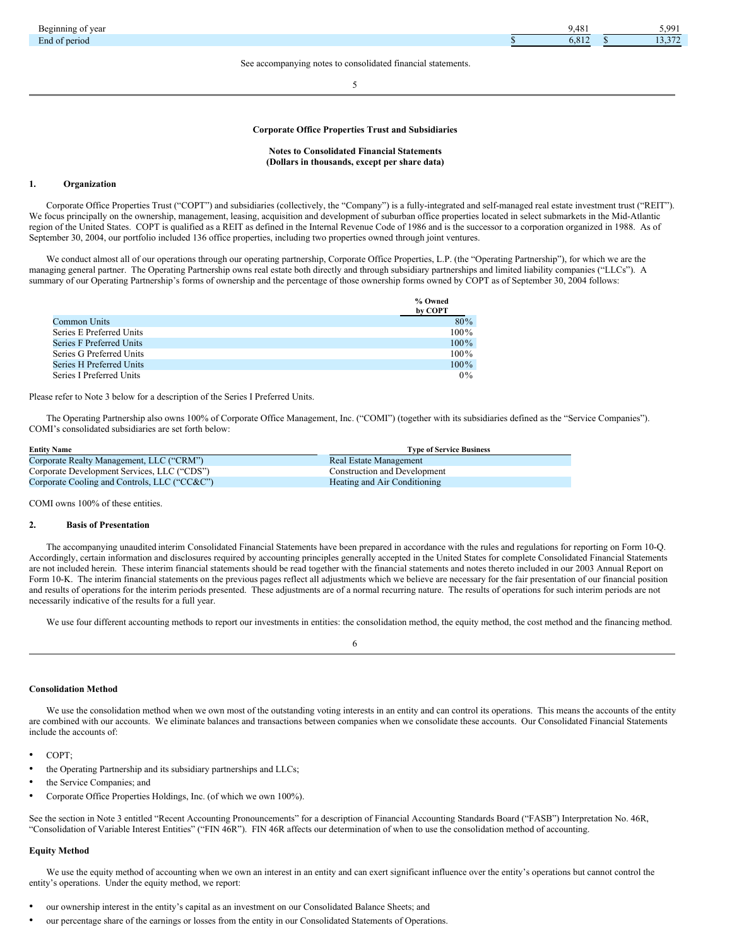See accompanying notes to consolidated financial statements.

5

## **Corporate Office Properties Trust and Subsidiaries**

<span id="page-3-0"></span>**Notes to Consolidated Financial Statements (Dollars in thousands, except per share data)**

#### **1. Organization**

Corporate Office Properties Trust ("COPT") and subsidiaries (collectively, the "Company") is a fully-integrated and self-managed real estate investment trust ("REIT"). We focus principally on the ownership, management, leasing, acquisition and development of suburban office properties located in select submarkets in the Mid-Atlantic region of the United States. COPT is qualified as a REIT as defined in the Internal Revenue Code of 1986 and is the successor to a corporation organized in 1988. As of September 30, 2004, our portfolio included 136 office properties, including two properties owned through joint ventures.

We conduct almost all of our operations through our operating partnership, Corporate Office Properties, L.P. (the "Operating Partnership"), for which we are the managing general partner. The Operating Partnership owns real estate both directly and through subsidiary partnerships and limited liability companies ("LLCs"). A summary of our Operating Partnership's forms of ownership and the percentage of those ownership forms owned by COPT as of September 30, 2004 follows:

|                          | % Owned<br>by COPT |
|--------------------------|--------------------|
| Common Units             | 80%                |
| Series E Preferred Units | $100\%$            |
| Series F Preferred Units | $100\%$            |
| Series G Preferred Units | $100\%$            |
| Series H Preferred Units | $100\%$            |
| Series I Preferred Units | $0\%$              |

Please refer to Note 3 below for a description of the Series I Preferred Units.

The Operating Partnership also owns 100% of Corporate Office Management, Inc. ("COMI") (together with its subsidiaries defined as the "Service Companies"). COMI's consolidated subsidiaries are set forth below:

| <b>Entity Name</b>                           | <b>Type of Service Business</b> |
|----------------------------------------------|---------------------------------|
| Corporate Realty Management, LLC ("CRM")     | Real Estate Management          |
| Corporate Development Services, LLC ("CDS")  | Construction and Development    |
| Corporate Cooling and Controls, LLC ("CC&C") | Heating and Air Conditioning    |

COMI owns 100% of these entities.

#### **2. Basis of Presentation**

The accompanying unaudited interim Consolidated Financial Statements have been prepared in accordance with the rules and regulations for reporting on Form 10-Q. Accordingly, certain information and disclosures required by accounting principles generally accepted in the United States for complete Consolidated Financial Statements are not included herein. These interim financial statements should be read together with the financial statements and notes thereto included in our 2003 Annual Report on Form 10-K. The interim financial statements on the previous pages reflect all adjustments which we believe are necessary for the fair presentation of our financial position and results of operations for the interim periods presented. These adjustments are of a normal recurring nature. The results of operations for such interim periods are not necessarily indicative of the results for a full year.

We use four different accounting methods to report our investments in entities: the consolidation method, the equity method, the cost method and the financing method.

## 6

#### **Consolidation Method**

We use the consolidation method when we own most of the outstanding voting interests in an entity and can control its operations. This means the accounts of the entity are combined with our accounts. We eliminate balances and transactions between companies when we consolidate these accounts. Our Consolidated Financial Statements include the accounts of:

- COPT;
- the Operating Partnership and its subsidiary partnerships and LLCs;
- the Service Companies; and
- Corporate Office Properties Holdings, Inc. (of which we own 100%).

See the section in Note 3 entitled "Recent Accounting Pronouncements" for a description of Financial Accounting Standards Board ("FASB") Interpretation No. 46R, "Consolidation of Variable Interest Entities" ("FIN 46R"). FIN 46R affects our determination of when to use the consolidation method of accounting.

#### **Equity Method**

We use the equity method of accounting when we own an interest in an entity and can exert significant influence over the entity's operations but cannot control the entity's operations. Under the equity method, we report:

- our ownership interest in the entity's capital as an investment on our Consolidated Balance Sheets; and
- our percentage share of the earnings or losses from the entity in our Consolidated Statements of Operations.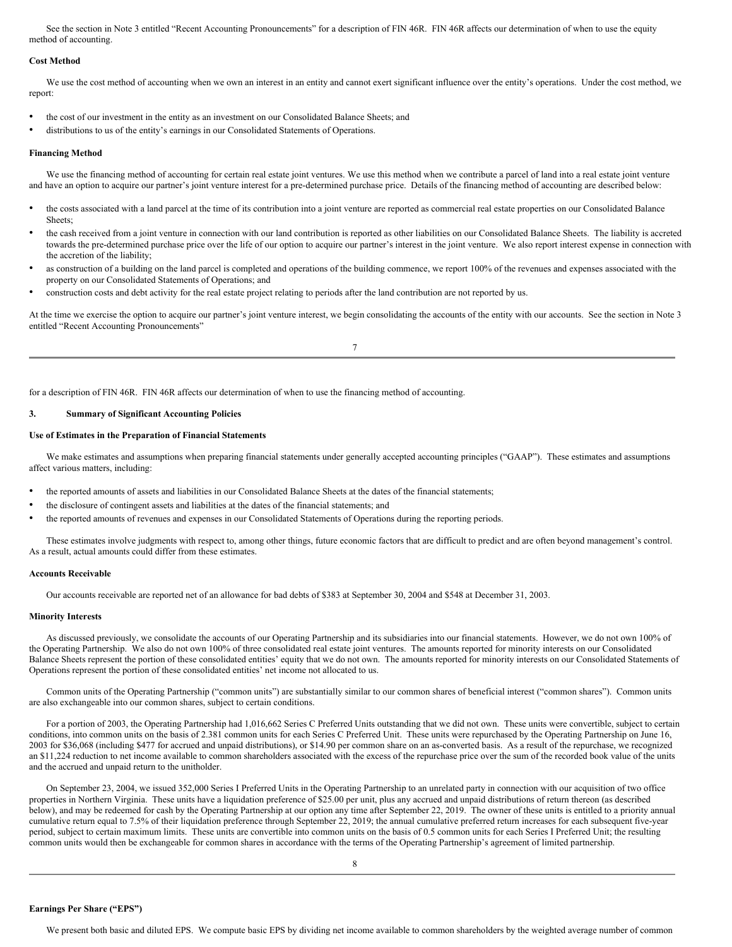See the section in Note 3 entitled "Recent Accounting Pronouncements" for a description of FIN 46R. FIN 46R affects our determination of when to use the equity method of accounting.

#### **Cost Method**

We use the cost method of accounting when we own an interest in an entity and cannot exert significant influence over the entity's operations. Under the cost method, we report:

- the cost of our investment in the entity as an investment on our Consolidated Balance Sheets; and
- distributions to us of the entity's earnings in our Consolidated Statements of Operations.

#### **Financing Method**

We use the financing method of accounting for certain real estate joint ventures. We use this method when we contribute a parcel of land into a real estate joint venture and have an option to acquire our partner's joint venture interest for a pre-determined purchase price. Details of the financing method of accounting are described below:

- the costs associated with a land parcel at the time of its contribution into a joint venture are reported as commercial real estate properties on our Consolidated Balance Sheets;
- the cash received from a joint venture in connection with our land contribution is reported as other liabilities on our Consolidated Balance Sheets. The liability is accreted towards the pre-determined purchase price over the life of our option to acquire our partner's interest in the joint venture. We also report interest expense in connection with the accretion of the liability;
- as construction of a building on the land parcel is completed and operations of the building commence, we report 100% of the revenues and expenses associated with the property on our Consolidated Statements of Operations; and
- construction costs and debt activity for the real estate project relating to periods after the land contribution are not reported by us.

At the time we exercise the option to acquire our partner's joint venture interest, we begin consolidating the accounts of the entity with our accounts. See the section in Note 3 entitled "Recent Accounting Pronouncements"

7

for a description of FIN 46R. FIN 46R affects our determination of when to use the financing method of accounting.

## **3. Summary of Significant Accounting Policies**

#### **Use of Estimates in the Preparation of Financial Statements**

We make estimates and assumptions when preparing financial statements under generally accepted accounting principles ("GAAP"). These estimates and assumptions affect various matters, including:

- the reported amounts of assets and liabilities in our Consolidated Balance Sheets at the dates of the financial statements;
- the disclosure of contingent assets and liabilities at the dates of the financial statements; and
- the reported amounts of revenues and expenses in our Consolidated Statements of Operations during the reporting periods.

These estimates involve judgments with respect to, among other things, future economic factors that are difficult to predict and are often beyond management's control. As a result, actual amounts could differ from these estimates.

#### **Accounts Receivable**

Our accounts receivable are reported net of an allowance for bad debts of \$383 at September 30, 2004 and \$548 at December 31, 2003.

### **Minority Interests**

As discussed previously, we consolidate the accounts of our Operating Partnership and its subsidiaries into our financial statements. However, we do not own 100% of the Operating Partnership. We also do not own 100% of three consolidated real estate joint ventures. The amounts reported for minority interests on our Consolidated Balance Sheets represent the portion of these consolidated entities' equity that we do not own. The amounts reported for minority interests on our Consolidated Statements of Operations represent the portion of these consolidated entities' net income not allocated to us.

Common units of the Operating Partnership ("common units") are substantially similar to our common shares of beneficial interest ("common shares"). Common units are also exchangeable into our common shares, subject to certain conditions.

For a portion of 2003, the Operating Partnership had 1,016,662 Series C Preferred Units outstanding that we did not own. These units were convertible, subject to certain conditions, into common units on the basis of 2.381 common units for each Series C Preferred Unit. These units were repurchased by the Operating Partnership on June 16, 2003 for \$36,068 (including \$477 for accrued and unpaid distributions), or \$14.90 per common share on an as-converted basis. As a result of the repurchase, we recognized an \$11,224 reduction to net income available to common shareholders associated with the excess of the repurchase price over the sum of the recorded book value of the units and the accrued and unpaid return to the unitholder.

On September 23, 2004, we issued 352,000 Series I Preferred Units in the Operating Partnership to an unrelated party in connection with our acquisition of two office properties in Northern Virginia. These units have a liquidation preference of \$25.00 per unit, plus any accrued and unpaid distributions of return thereon (as described below), and may be redeemed for cash by the Operating Partnership at our option any time after September 22, 2019. The owner of these units is entitled to a priority annual cumulative return equal to 7.5% of their liquidation preference through September 22, 2019; the annual cumulative preferred return increases for each subsequent five-year period, subject to certain maximum limits. These units are convertible into common units on the basis of 0.5 common units for each Series I Preferred Unit; the resulting common units would then be exchangeable for common shares in accordance with the terms of the Operating Partnership's agreement of limited partnership.

## **Earnings Per Share ("EPS")**

We present both basic and diluted EPS. We compute basic EPS by dividing net income available to common shareholders by the weighted average number of common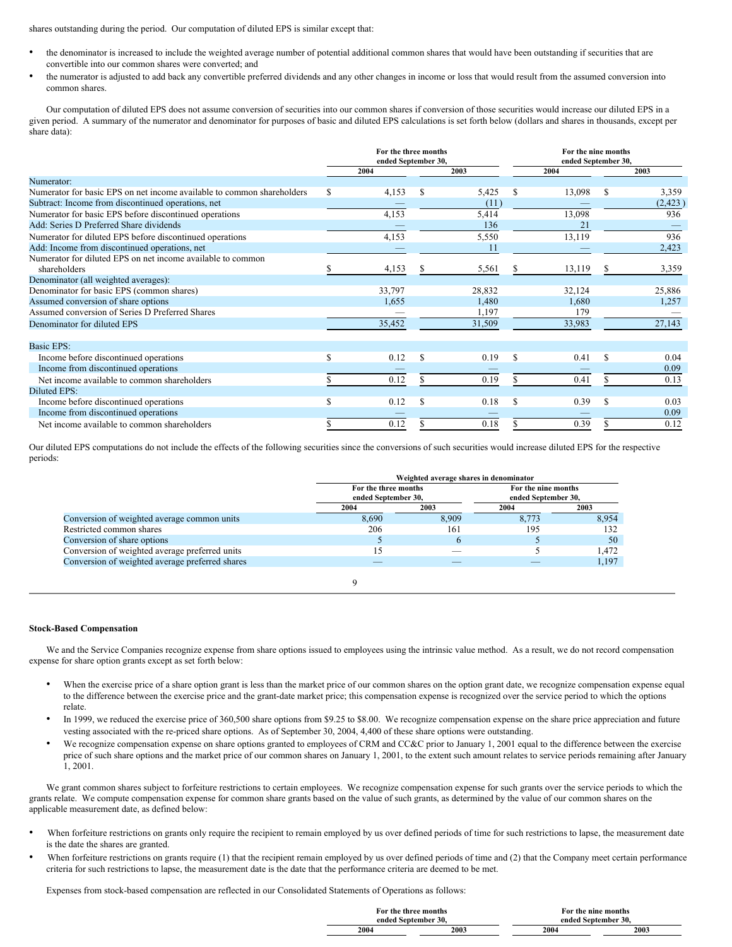shares outstanding during the period. Our computation of diluted EPS is similar except that:

- the denominator is increased to include the weighted average number of potential additional common shares that would have been outstanding if securities that are convertible into our common shares were converted; and
- the numerator is adjusted to add back any convertible preferred dividends and any other changes in income or loss that would result from the assumed conversion into common shares.

Our computation of diluted EPS does not assume conversion of securities into our common shares if conversion of those securities would increase our diluted EPS in a given period. A summary of the numerator and denominator for purposes of basic and diluted EPS calculations is set forth below (dollars and shares in thousands, except per share data):

|                                                                        | For the three months<br>ended September 30, |        |   |        |    | For the nine months<br>ended September 30, |          |          |  |
|------------------------------------------------------------------------|---------------------------------------------|--------|---|--------|----|--------------------------------------------|----------|----------|--|
|                                                                        |                                             | 2004   |   | 2003   |    | 2004                                       |          | 2003     |  |
| Numerator:                                                             |                                             |        |   |        |    |                                            |          |          |  |
| Numerator for basic EPS on net income available to common shareholders | S.                                          | 4,153  |   | 5,425  | \$ | 13,098                                     | -S       | 3,359    |  |
| Subtract: Income from discontinued operations, net                     |                                             |        |   | (11)   |    |                                            |          | (2, 423) |  |
| Numerator for basic EPS before discontinued operations                 |                                             | 4,153  |   | 5,414  |    | 13,098                                     |          | 936      |  |
| Add: Series D Preferred Share dividends                                |                                             |        |   | 136    |    | 21                                         |          |          |  |
| Numerator for diluted EPS before discontinued operations               |                                             | 4,153  |   | 5,550  |    | 13,119                                     |          | 936      |  |
| Add: Income from discontinued operations, net                          |                                             |        |   | 11     |    |                                            |          | 2,423    |  |
| Numerator for diluted EPS on net income available to common            |                                             |        |   |        |    |                                            |          |          |  |
| shareholders                                                           |                                             | 4,153  |   | 5,561  | S  | 13,119                                     | <b>S</b> | 3,359    |  |
| Denominator (all weighted averages):                                   |                                             |        |   |        |    |                                            |          |          |  |
| Denominator for basic EPS (common shares)                              |                                             | 33,797 |   | 28,832 |    | 32,124                                     |          | 25,886   |  |
| Assumed conversion of share options                                    |                                             | 1,655  |   | 1,480  |    | 1,680                                      |          | 1,257    |  |
| Assumed conversion of Series D Preferred Shares                        |                                             |        |   | 1,197  |    | 179                                        |          |          |  |
| Denominator for diluted EPS                                            |                                             | 35,452 |   | 31,509 |    | 33,983                                     |          | 27,143   |  |
| <b>Basic EPS:</b>                                                      |                                             |        |   |        |    |                                            |          |          |  |
| Income before discontinued operations                                  | \$                                          | 0.12   |   | 0.19   | S  | 0.41                                       | S        | 0.04     |  |
| Income from discontinued operations                                    |                                             |        |   |        |    |                                            |          | 0.09     |  |
| Net income available to common shareholders                            |                                             | 0.12   | S | 0.19   | S. | 0.41                                       | \$.      | 0.13     |  |
| Diluted EPS:                                                           |                                             |        |   |        |    |                                            |          |          |  |
| Income before discontinued operations                                  | \$.                                         | 0.12   |   | 0.18   | \$ | 0.39                                       | <b>S</b> | 0.03     |  |
| Income from discontinued operations                                    |                                             |        |   |        |    |                                            |          | 0.09     |  |
| Net income available to common shareholders                            |                                             | 0.12   |   | 0.18   |    | 0.39                                       |          | 0.12     |  |

Our diluted EPS computations do not include the effects of the following securities since the conversions of such securities would increase diluted EPS for the respective periods:

|                                                 | Weighted average shares in denominator      |             |                                            |       |  |  |
|-------------------------------------------------|---------------------------------------------|-------------|--------------------------------------------|-------|--|--|
|                                                 | For the three months<br>ended September 30, |             | For the nine months<br>ended September 30, |       |  |  |
|                                                 | 2004                                        | 2003        | 2004                                       | 2003  |  |  |
| Conversion of weighted average common units     | 8.690                                       | 8.909       | 8.773                                      | 8,954 |  |  |
| Restricted common shares                        | 206                                         | 161         | 195                                        | 132   |  |  |
| Conversion of share options                     |                                             | $\mathbf b$ |                                            | 50    |  |  |
| Conversion of weighted average preferred units  | 15                                          | __          |                                            | 1,472 |  |  |
| Conversion of weighted average preferred shares |                                             |             |                                            | 1,197 |  |  |
|                                                 |                                             |             |                                            |       |  |  |
|                                                 |                                             |             |                                            |       |  |  |

#### **Stock-Based Compensation**

We and the Service Companies recognize expense from share options issued to employees using the intrinsic value method. As a result, we do not record compensation expense for share option grants except as set forth below:

- When the exercise price of a share option grant is less than the market price of our common shares on the option grant date, we recognize compensation expense equal to the difference between the exercise price and the grant-date market price; this compensation expense is recognized over the service period to which the options relate.
- In 1999, we reduced the exercise price of 360,500 share options from \$9.25 to \$8.00. We recognize compensation expense on the share price appreciation and future vesting associated with the re-priced share options. As of September 30, 2004, 4,400 of these share options were outstanding.
- We recognize compensation expense on share options granted to employees of CRM and CC&C prior to January 1, 2001 equal to the difference between the exercise price of such share options and the market price of our common shares on January 1, 2001, to the extent such amount relates to service periods remaining after January 1, 2001.

We grant common shares subject to forfeiture restrictions to certain employees. We recognize compensation expense for such grants over the service periods to which the grants relate. We compute compensation expense for common share grants based on the value of such grants, as determined by the value of our common shares on the applicable measurement date, as defined below:

- When forfeiture restrictions on grants only require the recipient to remain employed by us over defined periods of time for such restrictions to lapse, the measurement date is the date the shares are granted.
- When forfeiture restrictions on grants require (1) that the recipient remain employed by us over defined periods of time and (2) that the Company meet certain performance criteria for such restrictions to lapse, the measurement date is the date that the performance criteria are deemed to be met.

Expenses from stock-based compensation are reflected in our Consolidated Statements of Operations as follows:

| For the three months<br>ended September 30. |      |      | For the nine months<br>ended September 30. |  |  |  |
|---------------------------------------------|------|------|--------------------------------------------|--|--|--|
| 2004                                        | 2003 | 2004 | 2003                                       |  |  |  |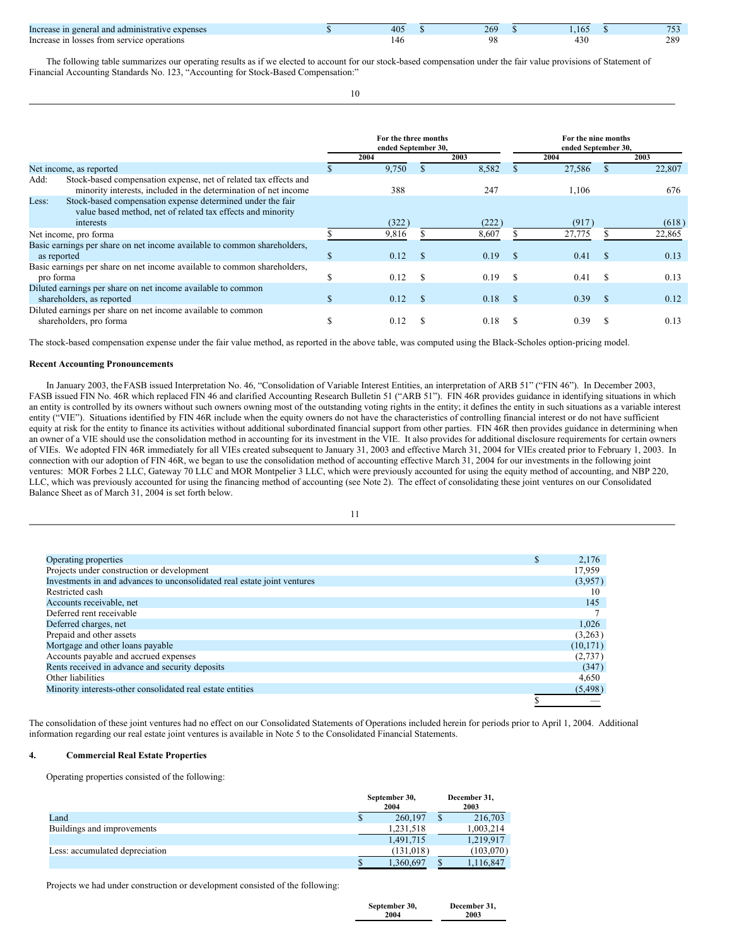| i administrative expenses<br>Increase<br>general and<br>1n | $\Lambda$ <sup>r</sup><br>10- | 269 |     | $\overline{a}$ |
|------------------------------------------------------------|-------------------------------|-----|-----|----------------|
| operations<br>trom<br>. cer<br>Increas<br>loss<br>ın       | $\Delta$ r<br>1 T L           | Q8  | 430 | 289            |

The following table summarizes our operating results as if we elected to account for our stock-based compensation under the fair value provisions of Statement of Financial Accounting Standards No. 123, "Accounting for Stock-Based Compensation:"

| I<br>۰. |  |
|---------|--|
| v<br>۰. |  |

|       |                                                                                                                                     |               | For the three months<br>ended September 30, |    |       |               | For the nine months<br>ended September 30, |               |        |
|-------|-------------------------------------------------------------------------------------------------------------------------------------|---------------|---------------------------------------------|----|-------|---------------|--------------------------------------------|---------------|--------|
|       |                                                                                                                                     |               | 2004                                        |    | 2003  |               | 2004                                       |               | 2003   |
|       | Net income, as reported                                                                                                             |               | 9,750                                       |    | 8,582 |               | 27,586                                     | <b>S</b>      | 22,807 |
| Add:  | Stock-based compensation expense, net of related tax effects and<br>minority interests, included in the determination of net income |               | 388                                         |    | 247   |               | 1,106                                      |               | 676    |
| Less: | Stock-based compensation expense determined under the fair<br>value based method, net of related tax effects and minority           |               |                                             |    |       |               |                                            |               |        |
|       | interests                                                                                                                           |               | (322)                                       |    | (222) |               | (917)                                      |               | (618)  |
|       | Net income, pro forma                                                                                                               |               | 9,816                                       |    | 8,607 |               | 27,775                                     |               | 22,865 |
|       | Basic earnings per share on net income available to common shareholders,                                                            |               |                                             |    |       |               |                                            |               |        |
|       | as reported                                                                                                                         | <sup>\$</sup> | 0.12                                        |    | 0.19  | <sup>\$</sup> | 0.41                                       | $\mathcal{S}$ | 0.13   |
|       | Basic earnings per share on net income available to common shareholders,                                                            |               |                                             |    |       |               |                                            |               |        |
|       | pro forma                                                                                                                           | J.            | 0.12                                        |    | 0.19  | S             | 0.41                                       | \$.           | 0.13   |
|       | Diluted earnings per share on net income available to common                                                                        |               |                                             |    |       |               |                                            |               |        |
|       | shareholders, as reported                                                                                                           |               | 0.12                                        | -S | 0.18  | <sup>\$</sup> | 0.39                                       | <sup>\$</sup> | 0.12   |
|       | Diluted earnings per share on net income available to common                                                                        |               |                                             |    |       |               |                                            |               |        |
|       | shareholders, pro forma                                                                                                             | J.            | 0.12                                        |    | 0.18  | ь             | 0.39                                       | \$.           | 0.13   |

The stock-based compensation expense under the fair value method, as reported in the above table, was computed using the Black-Scholes option-pricing model.

## **Recent Accounting Pronouncements**

In January 2003, the FASB issued Interpretation No. 46, "Consolidation of Variable Interest Entities, an interpretation of ARB 51" ("FIN 46"). In December 2003, FASB issued FIN No. 46R which replaced FIN 46 and clarified Accounting Research Bulletin 51 ("ARB 51"). FIN 46R provides guidance in identifying situations in which an entity is controlled by its owners without such owners owning most of the outstanding voting rights in the entity; it defines the entity in such situations as a variable interest entity ("VIE"). Situations identified by FIN 46R include when the equity owners do not have the characteristics of controlling financial interest or do not have sufficient equity at risk for the entity to finance its activities without additional subordinated financial support from other parties. FIN 46R then provides guidance in determining when an owner of a VIE should use the consolidation method in accounting for its investment in the VIE. It also provides for additional disclosure requirements for certain owners of VIEs. We adopted FIN 46R immediately for all VIEs created subsequent to January 31, 2003 and effective March 31, 2004 for VIEs created prior to February 1, 2003. In connection with our adoption of FIN 46R, we began to use the consolidation method of accounting effective March 31, 2004 for our investments in the following joint ventures: MOR Forbes 2 LLC, Gateway 70 LLC and MOR Montpelier 3 LLC, which were previously accounted for using the equity method of accounting, and NBP 220, LLC, which was previously accounted for using the financing method of accounting (see Note 2). The effect of consolidating these joint ventures on our Consolidated Balance Sheet as of March 31, 2004 is set forth below.

| Operating properties                                                     | Эħ. | 2,176     |
|--------------------------------------------------------------------------|-----|-----------|
| Projects under construction or development                               |     | 17,959    |
| Investments in and advances to unconsolidated real estate joint ventures |     | (3,957)   |
| Restricted cash                                                          |     | 10        |
| Accounts receivable, net                                                 |     | 145       |
| Deferred rent receivable                                                 |     |           |
| Deferred charges, net                                                    |     | 1,026     |
| Prepaid and other assets                                                 |     | (3,263)   |
| Mortgage and other loans payable                                         |     | (10, 171) |
| Accounts payable and accrued expenses                                    |     | (2,737)   |
| Rents received in advance and security deposits                          |     | (347)     |
| Other liabilities                                                        |     | 4,650     |
| Minority interests-other consolidated real estate entities               |     | (5, 498)  |
|                                                                          |     |           |

The consolidation of these joint ventures had no effect on our Consolidated Statements of Operations included herein for periods prior to April 1, 2004. Additional information regarding our real estate joint ventures is available in Note 5 to the Consolidated Financial Statements.

# **4. Commercial Real Estate Properties**

Operating properties consisted of the following:

|                                |   | September 30,<br>2004 | December 31,<br>2003 |
|--------------------------------|---|-----------------------|----------------------|
| Land                           | S | 260,197               | 216,703              |
| Buildings and improvements     |   | 1,231,518             | 1,003,214            |
|                                |   | 1,491,715             | 1,219,917            |
| Less: accumulated depreciation |   | (131.018)             | (103,070)            |
|                                | S | 1,360,697             | 1,116,847            |

Projects we had under construction or development consisted of the following:

| September 30, | December 31, |
|---------------|--------------|
| 2004          | 2003         |
|               |              |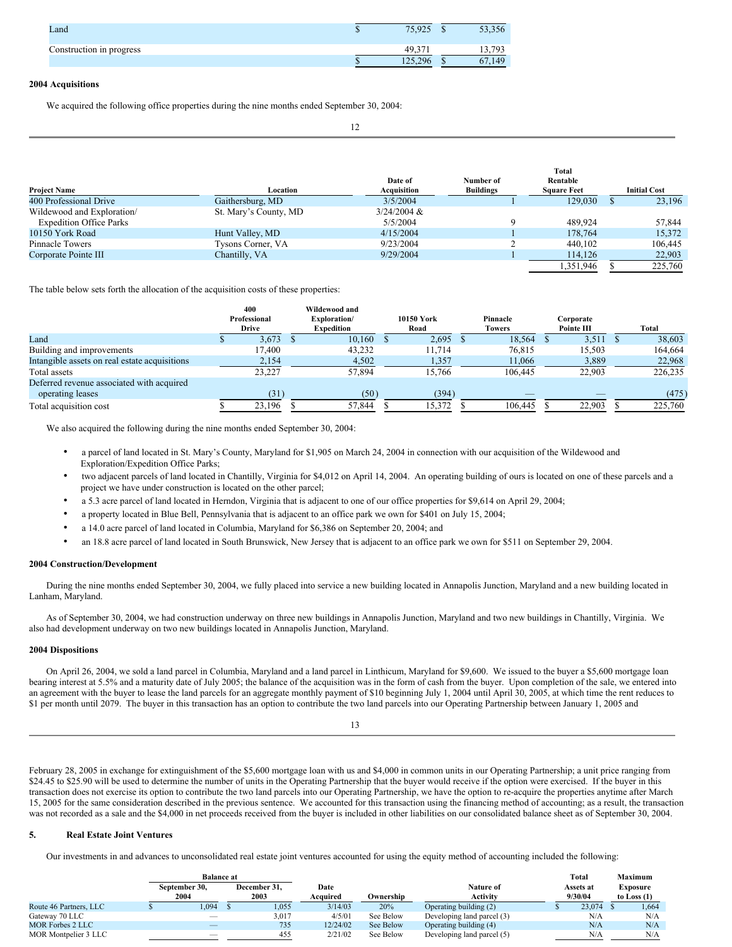| Land                     | w | 75.925  | ۰D | 53.356            |
|--------------------------|---|---------|----|-------------------|
| Construction in progress |   | 49.3    |    | 793               |
|                          |   | 125.296 |    | .149<br>$\sigma/$ |

## **2004 Acquisitions**

We acquired the following office properties during the nine months ended September 30, 2004:

12

| <b>Project Name</b>            | Location              | Date of<br>Acquisition | Number of<br><b>Buildings</b> | Total<br>Rentable<br><b>Square Feet</b> | <b>Initial Cost</b> |
|--------------------------------|-----------------------|------------------------|-------------------------------|-----------------------------------------|---------------------|
| 400 Professional Drive         | Gaithersburg, MD      | 3/5/2004               |                               | 129,030                                 | 23,196              |
| Wildewood and Exploration/     | St. Mary's County, MD | $3/24/2004$ &          |                               |                                         |                     |
| <b>Expedition Office Parks</b> |                       | 5/5/2004               |                               | 489.924                                 | 57.844              |
| 10150 York Road                | Hunt Valley, MD       | 4/15/2004              |                               | 178,764                                 | 15,372              |
| Pinnacle Towers                | Tysons Corner, VA     | 9/23/2004              |                               | 440.102                                 | 106.445             |
| Corporate Pointe III           | Chantilly, VA         | 9/29/2004              |                               | 114,126                                 | 22,903              |
|                                |                       |                        |                               | 1,351,946                               | 225,760             |

The table below sets forth the allocation of the acquisition costs of these properties:

|                                               | 400          | Wildewood and       |            |               |            |         |
|-----------------------------------------------|--------------|---------------------|------------|---------------|------------|---------|
|                                               | Professional | <b>Exploration/</b> | 10150 York | Pinnacle      | Corporate  |         |
|                                               | <b>Drive</b> | <b>Expedition</b>   | Road       | <b>Towers</b> | Pointe III | Total   |
| Land                                          | 3,673        | 10,160              | 2,695      | 18,564        | 3,511      | 38,603  |
| Building and improvements                     | 17.400       | 43,232              | 11.714     | 76,815        | 15.503     | 164,664 |
| Intangible assets on real estate acquisitions | 2,154        | 4,502               | 1,357      | 11,066        | 3,889      | 22,968  |
| Total assets                                  | 23.227       | 57.894              | 15.766     | 106.445       | 22,903     | 226,235 |
| Deferred revenue associated with acquired     |              |                     |            |               |            |         |
| operating leases                              | (31)         | (50)                | (394)      |               |            | (475)   |
| Total acquisition cost                        | 23,196       | 57,844              | 15,372     | 106,445       | 22,903     | 225,760 |

We also acquired the following during the nine months ended September 30, 2004:

- a parcel of land located in St. Mary's County, Maryland for \$1,905 on March 24, 2004 in connection with our acquisition of the Wildewood and Exploration/Expedition Office Parks;
- two adjacent parcels of land located in Chantilly, Virginia for \$4,012 on April 14, 2004. An operating building of ours is located on one of these parcels and a project we have under construction is located on the other parcel;
- a 5.3 acre parcel of land located in Herndon, Virginia that is adjacent to one of our office properties for \$9,614 on April 29, 2004;
- a property located in Blue Bell, Pennsylvania that is adjacent to an office park we own for \$401 on July 15, 2004;
- a 14.0 acre parcel of land located in Columbia, Maryland for \$6,386 on September 20, 2004; and
- an 18.8 acre parcel of land located in South Brunswick, New Jersey that is adjacent to an office park we own for \$511 on September 29, 2004.

## **2004 Construction/Development**

During the nine months ended September 30, 2004, we fully placed into service a new building located in Annapolis Junction, Maryland and a new building located in Lanham, Maryland.

As of September 30, 2004, we had construction underway on three new buildings in Annapolis Junction, Maryland and two new buildings in Chantilly, Virginia. We also had development underway on two new buildings located in Annapolis Junction, Maryland.

## **2004 Dispositions**

On April 26, 2004, we sold a land parcel in Columbia, Maryland and a land parcel in Linthicum, Maryland for \$9,600. We issued to the buyer a \$5,600 mortgage loan bearing interest at 5.5% and a maturity date of July 2005; the balance of the acquisition was in the form of cash from the buyer. Upon completion of the sale, we entered into an agreement with the buyer to lease the land parcels for an aggregate monthly payment of \$10 beginning July 1, 2004 until April 30, 2005, at which time the rent reduces to \$1 per month until 2079. The buyer in this transaction has an option to contribute the two land parcels into our Operating Partnership between January 1, 2005 and

13

February 28, 2005 in exchange for extinguishment of the \$5,600 mortgage loan with us and \$4,000 in common units in our Operating Partnership; a unit price ranging from \$24.45 to \$25.90 will be used to determine the number of units in the Operating Partnership that the buyer would receive if the option were exercised. If the buyer in this transaction does not exercise its option to contribute the two land parcels into our Operating Partnership, we have the option to re-acquire the properties anytime after March 15, 2005 for the same consideration described in the previous sentence. We accounted for this transaction using the financing method of accounting; as a result, the transaction was not recorded as a sale and the \$4,000 in net proceeds received from the buyer is included in other liabilities on our consolidated balance sheet as of September 30, 2004.

# **5. Real Estate Joint Ventures**

Our investments in and advances to unconsolidated real estate joint ventures accounted for using the equity method of accounting included the following:

|                         |               | <b>Balance</b> at        |              |          |           |                            |  | <b>Total</b> |  | Maximum       |
|-------------------------|---------------|--------------------------|--------------|----------|-----------|----------------------------|--|--------------|--|---------------|
|                         | September 30, |                          | December 31. | Date     |           | Nature of                  |  | Assets at    |  | Exposure      |
|                         |               | 2004                     | 2003         | Acquired | Ownership | <b>Activity</b>            |  | 9/30/04      |  | to Loss $(1)$ |
| Route 46 Partners, LLC  |               | .,094                    | 1.055        | 3/14/03  | 20%       | Operating building (2)     |  | 23,074       |  | 1.664         |
| Gateway 70 LLC          |               | $\overline{\phantom{m}}$ | 3,017        | 4/5/01   | See Below | Developing land parcel (3) |  | N/A          |  | N/A           |
| <b>MOR Forbes 2 LLC</b> |               |                          | 735          | 12/24/02 | See Below | Operating building (4)     |  | N/A          |  | N/A           |
| MOR Montpelier 3 LLC    |               |                          | 455          | 2/21/02  | See Below | Developing land parcel (5) |  | N/A          |  | N/A           |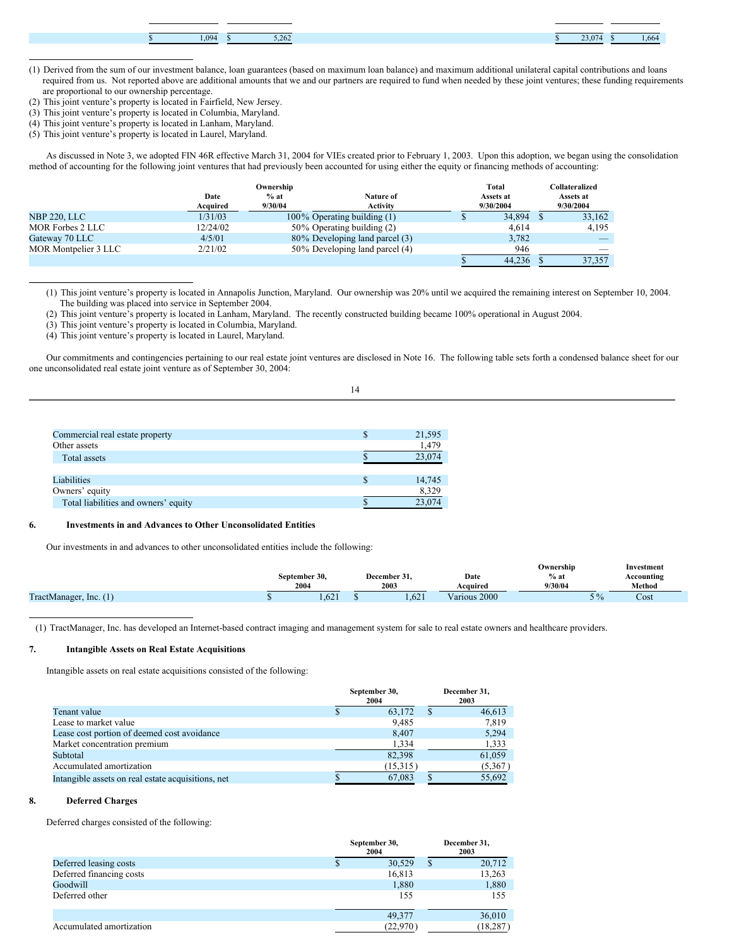| $\Omega$ |  | nn- |
|----------|--|-----|

- (1) Derived from the sum of our investment balance, loan guarantees (based on maximum loan balance) and maximum additional unilateral capital contributions and loans required from us. Not reported above are additional amounts that we and our partners are required to fund when needed by these joint ventures; these funding requirements are proportional to our ownership percentage.
- (2) This joint venture's property is located in Fairfield, New Jersey.
- (3) This joint venture's property is located in Columbia, Maryland.
- (4) This joint venture's property is located in Lanham, Maryland.
- (5) This joint venture's property is located in Laurel, Maryland.

As discussed in Note 3, we adopted FIN 46R effective March 31, 2004 for VIEs created prior to February 1, 2003. Upon this adoption, we began using the consolidation method of accounting for the following joint ventures that had previously been accounted for using either the equity or financing methods of accounting:

|                         |                  | Ownership         |                                  |                        | <b>Total</b> |  | Collateralized |
|-------------------------|------------------|-------------------|----------------------------------|------------------------|--------------|--|----------------|
|                         | Date<br>Acquired | $%$ at<br>9/30/04 | Nature of<br>Activity            | Assets at<br>9/30/2004 |              |  |                |
| <b>NBP 220, LLC</b>     | 1/31/03          |                   | $100\%$ Operating building $(1)$ |                        | 34,894       |  | 33,162         |
| <b>MOR Forbes 2 LLC</b> | 12/24/02         |                   | 50% Operating building (2)       |                        | 4,614        |  | 4,195          |
| Gateway 70 LLC          | 4/5/01           |                   | 80% Developing land parcel (3)   |                        | 3,782        |  |                |
| MOR Montpelier 3 LLC    | 2/21/02          |                   | 50% Developing land parcel (4)   |                        | 946          |  |                |
|                         |                  |                   |                                  |                        | 44.236       |  | 37,357         |

(1) This joint venture's property is located in Annapolis Junction, Maryland. Our ownership was 20% until we acquired the remaining interest on September 10, 2004. The building was placed into service in September 2004.

(2) This joint venture's property is located in Lanham, Maryland. The recently constructed building became 100% operational in August 2004.

(3) This joint venture's property is located in Columbia, Maryland.

(4) This joint venture's property is located in Laurel, Maryland.

Our commitments and contingencies pertaining to our real estate joint ventures are disclosed in Note 16. The following table sets forth a condensed balance sheet for our one unconsolidated real estate joint venture as of September 30, 2004:

| Commercial real estate property      | S | 21,595 |
|--------------------------------------|---|--------|
| Other assets                         |   | 1,479  |
| Total assets                         |   | 23,074 |
|                                      |   |        |
| Liabilities                          |   | 14,745 |
| Owners' equity                       |   | 8,329  |
| Total liabilities and owners' equity |   | 23,074 |
|                                      |   |        |

## **6. Investments in and Advances to Other Unconsolidated Entities**

Our investments in and advances to other unconsolidated entities include the following:

|                    |               |      |              |              | $\sim$ $\sim$<br>Ownership |             | Investment |
|--------------------|---------------|------|--------------|--------------|----------------------------|-------------|------------|
|                    | September 30. |      | December 31. | Date         | $% a$ t                    |             | Accounting |
|                    |               | 2004 | 2003         | Acquired     | 9/30/04                    |             | Method     |
| TractManager, Inc. |               | .621 | 1.621        | Various 2000 |                            | < 0∕<br>270 | Cost       |

(1) TractManager, Inc. has developed an Internet-based contract imaging and management system for sale to real estate owners and healthcare providers.

## **7. Intangible Assets on Real Estate Acquisitions**

Intangible assets on real estate acquisitions consisted of the following:

|                                                    | September 30,<br>2004 | December 31,<br>2003 |
|----------------------------------------------------|-----------------------|----------------------|
| Tenant value                                       | 63,172                | 46,613               |
| Lease to market value                              | 9.485                 | 7,819                |
| Lease cost portion of deemed cost avoidance        | 8,407                 | 5,294                |
| Market concentration premium                       | 1,334                 | 1,333                |
| Subtotal                                           | 82.398                | 61,059               |
| Accumulated amortization                           | (15,315)              | (5,367)              |
| Intangible assets on real estate acquisitions, net | 67,083                | 55,692               |

## **8. Deferred Charges**

Deferred charges consisted of the following:

|                          |   | September 30,<br>2004 |    |           |
|--------------------------|---|-----------------------|----|-----------|
| Deferred leasing costs   | S | 30,529                | \$ | 20,712    |
| Deferred financing costs |   | 16,813                |    | 13,263    |
| Goodwill                 |   | 1,880                 |    | 1,880     |
| Deferred other           |   | 155                   |    | 155       |
|                          |   | 49,377                |    | 36,010    |
| Accumulated amortization |   | (22,970)              |    | (18, 287) |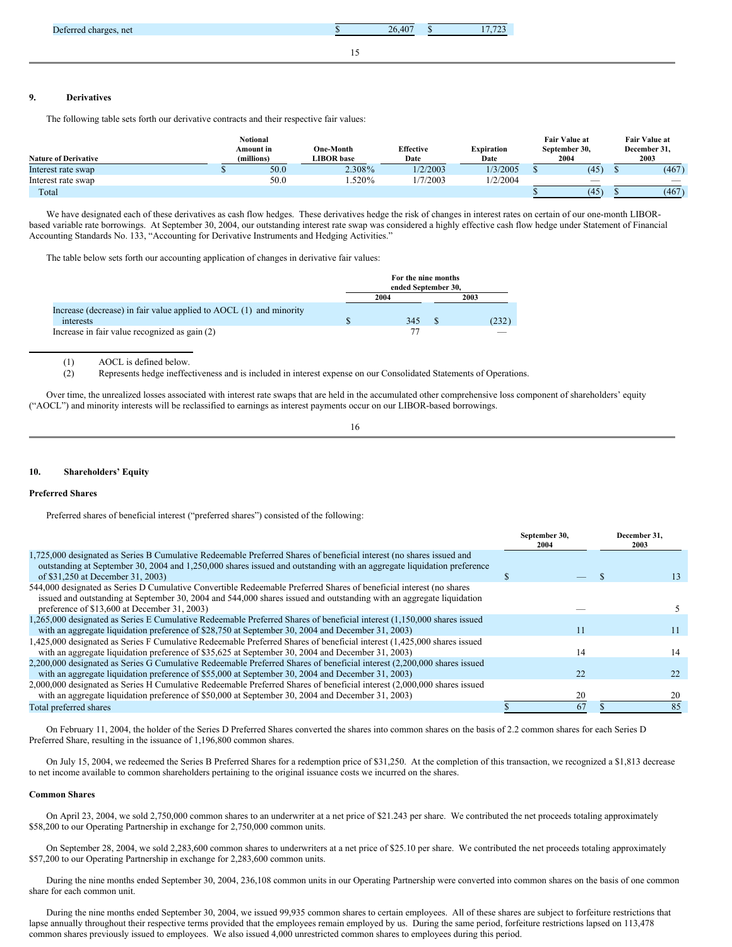| Deferred charges, net | 26,407 |  |
|-----------------------|--------|--|
|                       |        |  |

## **9. Derivatives**

The following table sets forth our derivative contracts and their respective fair values:

| <b>Nature of Derivative</b> | <b>Notional</b><br><b>Amount</b> in<br>(millions) | <b>One-Month</b><br><b>LIBOR</b> base | <b>Effective</b><br>Date | Expiration<br>Date | <b>Fair Value at</b><br>September 30,<br>2004 | Fair Value at<br>December 31,<br>2003 |
|-----------------------------|---------------------------------------------------|---------------------------------------|--------------------------|--------------------|-----------------------------------------------|---------------------------------------|
| Interest rate swap          | 50.0                                              | 2.308%                                | 1/2/2003                 | 1/3/2005           | (45)                                          | (467)                                 |
| Interest rate swap          | 50.0                                              | .520%                                 | 1/7/2003                 | 1/2/2004           | $\overline{\phantom{a}}$                      | $\overline{\phantom{a}}$              |
| Total                       |                                                   |                                       |                          |                    | (45)                                          | (467)                                 |

We have designated each of these derivatives as cash flow hedges. These derivatives hedge the risk of changes in interest rates on certain of our one-month LIBORbased variable rate borrowings. At September 30, 2004, our outstanding interest rate swap was considered a highly effective cash flow hedge under Statement of Financial Accounting Standards No. 133, "Accounting for Derivative Instruments and Hedging Activities."

The table below sets forth our accounting application of changes in derivative fair values:

|                                                                    | For the nine months<br>ended September 30, |  |       |  |  |
|--------------------------------------------------------------------|--------------------------------------------|--|-------|--|--|
|                                                                    | 2004                                       |  | 2003  |  |  |
| Increase (decrease) in fair value applied to AOCL (1) and minority |                                            |  |       |  |  |
| interests                                                          | 345                                        |  | (232) |  |  |
| Increase in fair value recognized as gain (2)                      | $7^{\circ}$                                |  |       |  |  |

(1) AOCL is defined below.

(2) Represents hedge ineffectiveness and is included in interest expense on our Consolidated Statements of Operations.

Over time, the unrealized losses associated with interest rate swaps that are held in the accumulated other comprehensive loss component of shareholders' equity ("AOCL") and minority interests will be reclassified to earnings as interest payments occur on our LIBOR-based borrowings.

#### **10. Shareholders' Equity**

# **Preferred Shares**

Preferred shares of beneficial interest ("preferred shares") consisted of the following:

|                                                                                                                                                                                                                                                | September 30,<br>2004 | December 31,<br>2003 |
|------------------------------------------------------------------------------------------------------------------------------------------------------------------------------------------------------------------------------------------------|-----------------------|----------------------|
| 1,725,000 designated as Series B Cumulative Redeemable Preferred Shares of beneficial interest (no shares issued and<br>outstanding at September 30, 2004 and 1,250,000 shares issued and outstanding with an aggregate liquidation preference |                       |                      |
| of \$31,250 at December 31, 2003)                                                                                                                                                                                                              |                       | 13                   |
| 544,000 designated as Series D Cumulative Convertible Redeemable Preferred Shares of beneficial interest (no shares<br>issued and outstanding at September 30, 2004 and 544,000 shares issued and outstanding with an aggregate liquidation    |                       |                      |
| preference of \$13,600 at December 31, 2003)                                                                                                                                                                                                   |                       |                      |
| 1,265,000 designated as Series E Cumulative Redeemable Preferred Shares of beneficial interest (1,150,000 shares issued<br>with an aggregate liquidation preference of \$28,750 at September 30, 2004 and December 31, 2003)                   |                       |                      |
| 1,425,000 designated as Series F Cumulative Redeemable Preferred Shares of beneficial interest (1,425,000 shares issued<br>with an aggregate liquidation preference of \$35,625 at September 30, 2004 and December 31, 2003)                   | 14                    | 14                   |
| 2,200,000 designated as Series G Cumulative Redeemable Preferred Shares of beneficial interest (2,200,000 shares issued<br>with an aggregate liquidation preference of \$55,000 at September 30, 2004 and December 31, 2003)                   | 22                    | 22                   |
| 2,000,000 designated as Series H Cumulative Redeemable Preferred Shares of beneficial interest (2,000,000 shares issued                                                                                                                        |                       |                      |
| with an aggregate liquidation preference of \$50,000 at September 30, 2004 and December 31, 2003)                                                                                                                                              | 20                    | 20                   |
| Total preferred shares                                                                                                                                                                                                                         | 67                    | 85                   |

On February 11, 2004, the holder of the Series D Preferred Shares converted the shares into common shares on the basis of 2.2 common shares for each Series D Preferred Share, resulting in the issuance of 1,196,800 common shares.

On July 15, 2004, we redeemed the Series B Preferred Shares for a redemption price of \$31,250. At the completion of this transaction, we recognized a \$1,813 decrease to net income available to common shareholders pertaining to the original issuance costs we incurred on the shares.

#### **Common Shares**

On April 23, 2004, we sold 2,750,000 common shares to an underwriter at a net price of \$21.243 per share. We contributed the net proceeds totaling approximately \$58,200 to our Operating Partnership in exchange for 2,750,000 common units.

On September 28, 2004, we sold 2,283,600 common shares to underwriters at a net price of \$25.10 per share. We contributed the net proceeds totaling approximately \$57,200 to our Operating Partnership in exchange for 2,283,600 common units.

During the nine months ended September 30, 2004, 236,108 common units in our Operating Partnership were converted into common shares on the basis of one common share for each common unit.

During the nine months ended September 30, 2004, we issued 99,935 common shares to certain employees. All of these shares are subject to forfeiture restrictions that lapse annually throughout their respective terms provided that the employees remain employed by us. During the same period, forfeiture restrictions lapsed on 113,478 common shares previously issued to employees. We also issued 4,000 unrestricted common shares to employees during this period.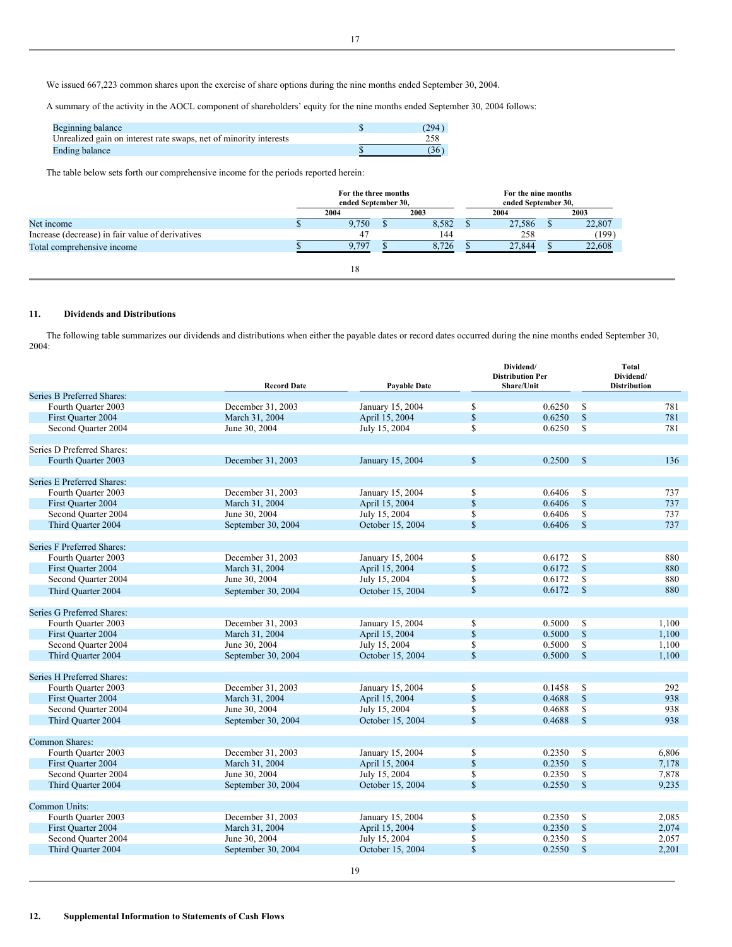We issued 667,223 common shares upon the exercise of share options during the nine months ended September 30, 2004.

A summary of the activity in the AOCL component of shareholders' equity for the nine months ended September 30, 2004 follows:

| Beginning balance                                                 | (294) |
|-------------------------------------------------------------------|-------|
| Unrealized gain on interest rate swaps, net of minority interests |       |
| Ending balance                                                    | (36)  |

The table below sets forth our comprehensive income for the periods reported herein:

|                                                  | For the three months<br>ended September 30, |       |  |       | For the nine months<br>ended September 30, |        |  |        |
|--------------------------------------------------|---------------------------------------------|-------|--|-------|--------------------------------------------|--------|--|--------|
|                                                  |                                             | 2004  |  | 2003  |                                            | 2004   |  | 2003   |
| Net income                                       |                                             | 9.750 |  | 8.582 |                                            | 27,586 |  | 22,807 |
| Increase (decrease) in fair value of derivatives |                                             | 47    |  | 144   |                                            | 258    |  | (199)  |
| Total comprehensive income                       |                                             | 9.797 |  | 8,726 |                                            | 27,844 |  | 22,608 |
|                                                  |                                             | 18    |  |       |                                            |        |  |        |

# **11. Dividends and Distributions**

The following table summarizes our dividends and distributions when either the payable dates or record dates occurred during the nine months ended September 30, 2004:

|                                   | <b>Record Date</b><br><b>Payable Date</b> |                  |                    | Dividend/<br><b>Distribution Per</b><br>Share/Unit | <b>Total</b><br>Dividend/<br><b>Distribution</b> |       |  |
|-----------------------------------|-------------------------------------------|------------------|--------------------|----------------------------------------------------|--------------------------------------------------|-------|--|
| Series B Preferred Shares:        |                                           |                  |                    |                                                    |                                                  |       |  |
| Fourth Quarter 2003               | December 31, 2003                         | January 15, 2004 | \$                 | 0.6250                                             | \$                                               | 781   |  |
| First Ouarter 2004                | March 31, 2004                            | April 15, 2004   | \$                 | 0.6250                                             | $\mathbf S$                                      | 781   |  |
| Second Quarter 2004               | June 30, 2004                             | July 15, 2004    | Ŝ                  | 0.6250                                             | <sup>\$</sup>                                    | 781   |  |
|                                   |                                           |                  |                    |                                                    |                                                  |       |  |
| Series D Preferred Shares:        |                                           |                  |                    |                                                    |                                                  |       |  |
| Fourth Quarter 2003               | December 31, 2003                         | January 15, 2004 | <sup>\$</sup>      | 0.2500                                             | <sup>\$</sup>                                    | 136   |  |
| Series E Preferred Shares:        |                                           |                  |                    |                                                    |                                                  |       |  |
| Fourth Quarter 2003               | December 31, 2003                         | January 15, 2004 | \$                 | 0.6406                                             | \$                                               | 737   |  |
| First Ouarter 2004                | March 31, 2004                            | April 15, 2004   | \$                 | 0.6406                                             | $\mathbf S$                                      | 737   |  |
| Second Quarter 2004               | June 30, 2004                             | July 15, 2004    | \$                 | 0.6406                                             | \$                                               | 737   |  |
| Third Quarter 2004                | September 30, 2004                        | October 15, 2004 | \$                 | 0.6406                                             | $\mathbf S$                                      | 737   |  |
| <b>Series F Preferred Shares:</b> |                                           |                  |                    |                                                    |                                                  |       |  |
| Fourth Quarter 2003               | December 31, 2003                         | January 15, 2004 | <sup>\$</sup>      | 0.6172                                             | \$                                               | 880   |  |
| First Ouarter 2004                |                                           | April 15, 2004   | \$                 | 0.6172                                             | $\mathbf S$                                      | 880   |  |
|                                   | March 31, 2004                            |                  |                    | 0.6172                                             | <sup>\$</sup>                                    | 880   |  |
| Second Ouarter 2004               | June 30, 2004                             | July 15, 2004    | \$<br>$\mathbf S$  |                                                    | $\mathbf{s}$                                     |       |  |
| Third Ouarter 2004                | September 30, 2004                        | October 15, 2004 |                    | 0.6172                                             |                                                  | 880   |  |
| Series G Preferred Shares:        |                                           |                  |                    |                                                    |                                                  |       |  |
| Fourth Quarter 2003               | December 31, 2003                         | January 15, 2004 | \$                 | 0.5000                                             | \$                                               | 1,100 |  |
| First Ouarter 2004                | March 31, 2004                            | April 15, 2004   | \$                 | 0.5000                                             | $\mathbf S$                                      | 1,100 |  |
| Second Quarter 2004               | June 30, 2004                             | July 15, 2004    | \$                 | 0.5000                                             | \$                                               | 1.100 |  |
| Third Quarter 2004                | September 30, 2004                        | October 15, 2004 | $\mathbf S$        | 0.5000                                             | $\mathbf S$                                      | 1.100 |  |
| Series H Preferred Shares:        |                                           |                  |                    |                                                    |                                                  |       |  |
| Fourth Ouarter 2003               | December 31, 2003                         | January 15, 2004 | \$                 | 0.1458                                             | \$                                               | 292   |  |
| First Ouarter 2004                | March 31, 2004                            | April 15, 2004   | $\mathbb{S}$       | 0.4688                                             | $\mathbf S$                                      | 938   |  |
| Second Ouarter 2004               | June 30, 2004                             | July 15, 2004    | \$                 | 0.4688                                             | \$                                               | 938   |  |
| Third Quarter 2004                | September 30, 2004                        | October 15, 2004 | $\mathbf S$        | 0.4688                                             | $\mathbf S$                                      | 938   |  |
|                                   |                                           |                  |                    |                                                    |                                                  |       |  |
| Common Shares:                    |                                           |                  |                    |                                                    |                                                  |       |  |
| Fourth Ouarter 2003               | December 31, 2003                         | January 15, 2004 | \$                 | 0.2350                                             | <sup>\$</sup>                                    | 6.806 |  |
| First Ouarter 2004                | March 31, 2004                            | April 15, 2004   | \$                 | 0.2350                                             | $\mathbf S$                                      | 7,178 |  |
| Second Quarter 2004               | June 30, 2004                             | July 15, 2004    | \$                 | 0.2350                                             | \$                                               | 7,878 |  |
| Third Quarter 2004                | September 30, 2004                        | October 15, 2004 | $\mathbf S$        | 0.2550                                             | $\mathbf S$                                      | 9,235 |  |
| Common Units:                     |                                           |                  |                    |                                                    |                                                  |       |  |
| Fourth Quarter 2003               | December 31, 2003                         | January 15, 2004 | \$                 | 0.2350                                             | <sup>\$</sup>                                    | 2,085 |  |
| First Ouarter 2004                | March 31, 2004                            | April 15, 2004   | \$                 | 0.2350                                             | $\mathsf{\$}$                                    | 2,074 |  |
| Second Quarter 2004               | June 30, 2004                             | July 15, 2004    | \$                 | 0.2350                                             | \$                                               | 2,057 |  |
| Third Ouarter 2004                | September 30, 2004                        | October 15, 2004 | $\mathbf{\hat{s}}$ | 0.2550                                             | $\mathcal{S}$                                    | 2,201 |  |
|                                   |                                           |                  |                    |                                                    |                                                  |       |  |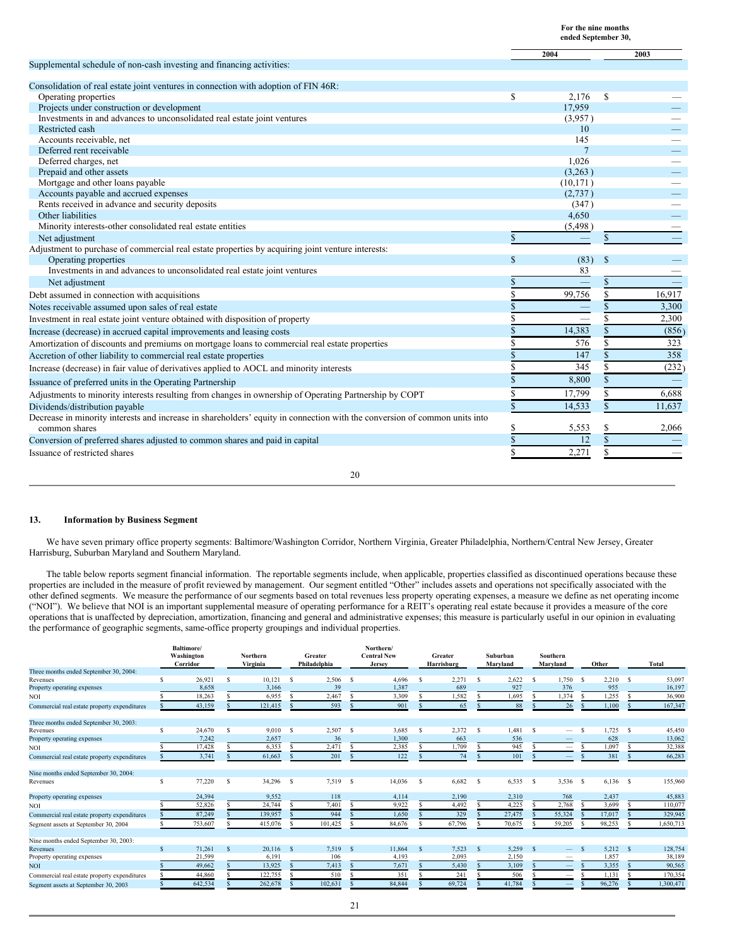|                                                                                                                            |              | 2004           |              | 2003   |
|----------------------------------------------------------------------------------------------------------------------------|--------------|----------------|--------------|--------|
| Supplemental schedule of non-cash investing and financing activities:                                                      |              |                |              |        |
|                                                                                                                            |              |                |              |        |
| Consolidation of real estate joint ventures in connection with adoption of FIN 46R:                                        |              |                |              |        |
| Operating properties                                                                                                       | \$           | 2.176          | <b>S</b>     |        |
| Projects under construction or development<br>Investments in and advances to unconsolidated real estate joint ventures     |              | 17,959         |              |        |
| Restricted cash                                                                                                            |              | (3,957)<br>10  |              |        |
| Accounts receivable, net                                                                                                   |              | 145            |              |        |
| Deferred rent receivable                                                                                                   |              | $\overline{7}$ |              |        |
| Deferred charges, net                                                                                                      |              | 1,026          |              |        |
| Prepaid and other assets                                                                                                   |              | (3,263)        |              |        |
| Mortgage and other loans payable                                                                                           |              | (10, 171)      |              |        |
| Accounts payable and accrued expenses                                                                                      |              | (2,737)        |              |        |
| Rents received in advance and security deposits                                                                            |              | (347)          |              |        |
| Other liabilities                                                                                                          |              | 4,650          |              |        |
| Minority interests-other consolidated real estate entities                                                                 |              | (5, 498)       |              |        |
| Net adjustment                                                                                                             | $\mathbf{s}$ |                | $\mathbb{S}$ |        |
| Adjustment to purchase of commercial real estate properties by acquiring joint venture interests:                          |              |                |              |        |
| Operating properties                                                                                                       | S            | (83)           | $\mathbb{S}$ |        |
| Investments in and advances to unconsolidated real estate joint ventures                                                   |              | 83             |              |        |
| Net adjustment                                                                                                             | S            |                | $\mathbf S$  |        |
| Debt assumed in connection with acquisitions                                                                               | S            | 99,756         | S            | 16,917 |
| Notes receivable assumed upon sales of real estate                                                                         |              |                |              | 3,300  |
| Investment in real estate joint venture obtained with disposition of property                                              |              |                |              | 2,300  |
| Increase (decrease) in accrued capital improvements and leasing costs                                                      |              | 14,383         |              | (856)  |
| Amortization of discounts and premiums on mortgage loans to commercial real estate properties                              |              | 576            | S            | 323    |
| Accretion of other liability to commercial real estate properties                                                          | <b>S</b>     | 147            | $\mathbf S$  | 358    |
| Increase (decrease) in fair value of derivatives applied to AOCL and minority interests                                    |              | 345            | S            | (232)  |
| Issuance of preferred units in the Operating Partnership                                                                   |              | 8,800          | S            |        |
| Adjustments to minority interests resulting from changes in ownership of Operating Partnership by COPT                     |              | 17,799         | S            | 6.688  |
| Dividends/distribution payable                                                                                             | S            | 14,533         | $\mathbf S$  | 11.637 |
| Decrease in minority interests and increase in shareholders' equity in connection with the conversion of common units into |              |                |              |        |
| common shares                                                                                                              | S            | 5,553          | S            | 2.066  |
| Conversion of preferred shares adjusted to common shares and paid in capital                                               | \$           | 12             | S            |        |
| Issuance of restricted shares                                                                                              | S            | 2,271          | S            |        |
|                                                                                                                            |              |                |              |        |

**For the nine months ended September 30,**

20

## **13. Information by Business Segment**

We have seven primary office property segments: Baltimore/Washington Corridor, Northern Virginia, Greater Philadelphia, Northern/Central New Jersey, Greater Harrisburg, Suburban Maryland and Southern Maryland.

The table below reports segment financial information. The reportable segments include, when applicable, properties classified as discontinued operations because these properties are included in the measure of profit reviewed by management. Our segment entitled "Other" includes assets and operations not specifically associated with the other defined segments. We measure the performance of our segments based on total revenues less property operating expenses, a measure we define as net operating income ("NOI"). We believe that NOI is an important supplemental measure of operating performance for a REIT's operating real estate because it provides a measure of the core operations that is unaffected by depreciation, amortization, financing and general and administrative expenses; this measure is particularly useful in our opinion in evaluating the performance of geographic segments, same-office property groupings and individual properties.

|                                              |              | <b>Baltimore</b> / |    |           |    |              |     | Northern/          |              |            |              |          |               |                          |    |        |    |              |
|----------------------------------------------|--------------|--------------------|----|-----------|----|--------------|-----|--------------------|--------------|------------|--------------|----------|---------------|--------------------------|----|--------|----|--------------|
|                                              |              | Washington         |    | Northern  |    | Greater      |     | <b>Central New</b> |              | Greater    |              | Suburban |               | Southern                 |    |        |    |              |
|                                              |              | Corridor           |    | Virginia  |    | Philadelphia |     | <b>Jersey</b>      |              | Harrisburg |              | Maryland |               | Maryland                 |    | Other  |    | <b>Total</b> |
| Three months ended September 30, 2004:       |              |                    |    |           |    |              |     |                    |              |            |              |          |               |                          |    |        |    |              |
| Revenues                                     | s            | 26,921             | s  | 10,121    | -S | 2,506 \$     |     | 4,696              | \$           | 2,271      | S            | 2.622    | <sup>\$</sup> | 1.750                    | -S | 2,210  | -S | 53,097       |
| Property operating expenses                  |              | 8,658              |    | 3,166     |    | 39           |     | 1,387              |              | 689        |              | 927      |               | 376                      |    | 955    |    | 16,197       |
| <b>NOI</b>                                   |              | 18,263             |    | 6.955     |    | 2.467        |     | 3,309              |              | 1,582      |              | 1,695    |               | 1.374                    |    | 1,255  |    | 36,900       |
| Commercial real estate property expenditures |              | 43,159             |    | 121,415   |    | 593          |     | 901                |              | 65         |              | 88       |               | 26                       |    | 1,100  |    | 167,347      |
| Three months ended September 30, 2003:       |              |                    |    |           |    |              |     |                    |              |            |              |          |               |                          |    |        |    |              |
| Revenues                                     | s            | 24,670             | S  | 9.010     | -8 | 2,507        | - S | 3,685              | S            | 2,372      | S            | 1.481    | -S            | $\overline{\phantom{0}}$ |    | 1,725  | s  | 45,450       |
| Property operating expenses                  |              | 7,242              |    | 2,657     |    | 36           |     | 1,300              |              | 663        |              | 536      |               |                          |    | 628    |    | 13,062       |
| <b>NOI</b>                                   |              | 17,428             |    | 6,353     |    | 2,471        |     | 2,385              |              | 1,709      |              | 945      |               | $\qquad \qquad$          |    | 1,097  |    | 32,388       |
| Commercial real estate property expenditures |              | 3,741              |    | 61,663    |    | 201          |     | 122                |              | 74         |              | 101      |               |                          |    | 381    |    | 66,283       |
| Nine months ended September 30, 2004:        |              |                    |    |           |    |              |     |                    |              |            |              |          |               |                          |    |        |    |              |
| Revenues                                     | s            | 77,220             | -S | 34,296 \$ |    | 7,519 \$     |     | 14,036             | - S          | 6.682      | -S           | 6,535    | -S            | 3,536 S                  |    | 6,136  | -S | 155,960      |
| Property operating expenses                  |              | 24,394             |    | 9,552     |    | 118          |     | 4,114              |              | 2,190      |              | 2,310    |               | 768                      |    | 2,437  |    | 45,883       |
| <b>NOI</b>                                   |              | 52,826             |    | 24,744    |    | 7,401        |     | 9,922              |              | 4,492      |              | 4,225    |               | 2,768                    |    | 3,699  |    | 110,077      |
| Commercial real estate property expenditures |              | 87,249             |    | 139,957   |    | 944          |     | 1,650              |              | 329        |              | 27,475   |               | 55,324                   |    | 17,017 |    | 329,945      |
| Segment assets at September 30, 2004         |              | 753,607            |    | 415,076   |    | 101,425      |     | 84,676             |              | 67,796     |              | 70,675   |               | 59,205                   |    | 98,253 |    | 1,650,713    |
| Nine months ended September 30, 2003:        |              |                    |    |           |    |              |     |                    |              |            |              |          |               |                          |    |        |    |              |
| Revenues                                     | $\mathbf{s}$ | 71.261             | S  | 20.116    | -S | 7.519        | - S | 11,864             | <sup>S</sup> | 7,523      | <sup>S</sup> | 5,259    | <sup>S</sup>  | $\overline{\phantom{0}}$ | -8 | 5.212  | -S | 128,754      |
| Property operating expenses                  |              | 21,599             |    | 6,191     |    | 106          |     | 4,193              |              | 2,093      |              | 2,150    |               |                          |    | 1,857  |    | 38,189       |
| <b>NOI</b>                                   |              | 49,662             |    | 13,925    |    | 7,413        |     | 7,671              |              | 5,430      |              | 3,109    |               | $\qquad \qquad =$        |    | 3,355  |    | 90,565       |
| Commercial real estate property expenditures |              | 44,860             |    | 122,755   |    | 510          |     | 351                |              | 241        |              | 506      |               | $\overline{\phantom{0}}$ |    | 1,131  |    | 170,354      |
| Segment assets at September 30, 2003         |              | 642,534            |    | 262,678   |    | 102,631      |     | 84,844             |              | 69,724     |              | 41,784   |               |                          |    | 96,276 |    | 1,300,471    |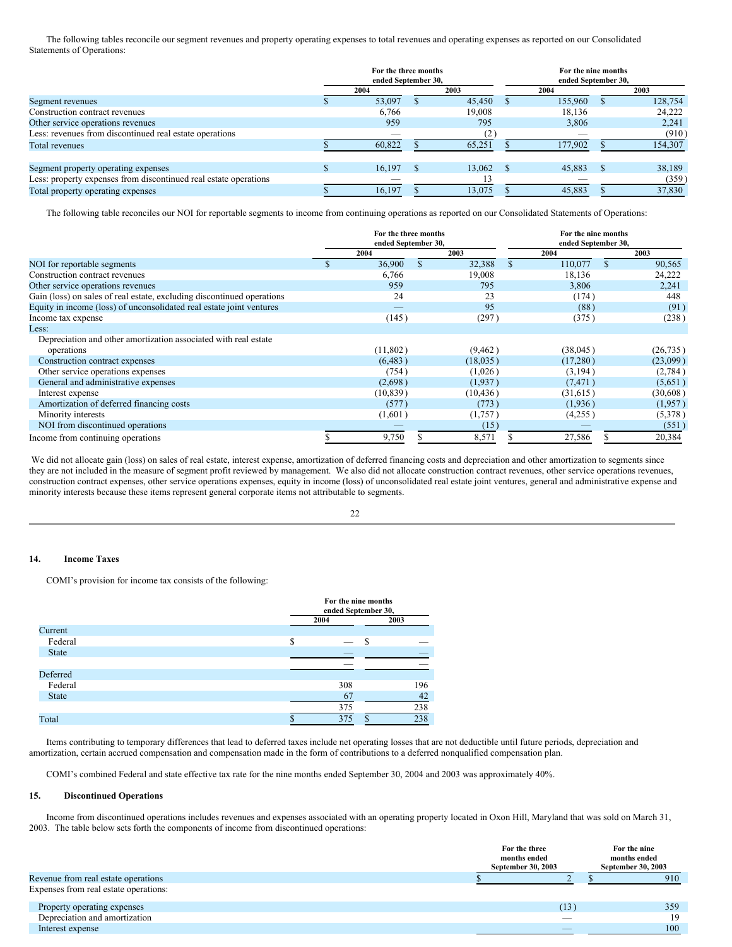The following tables reconcile our segment revenues and property operating expenses to total revenues and operating expenses as reported on our Consolidated Statements of Operations:

|                                                                  | For the three months<br>ended September 30, |        |  |        | For the nine months<br>ended September 30, |         |  |
|------------------------------------------------------------------|---------------------------------------------|--------|--|--------|--------------------------------------------|---------|--|
|                                                                  |                                             | 2004   |  | 2003   | 2004                                       | 2003    |  |
| Segment revenues                                                 |                                             | 53,097 |  | 45,450 | 155,960                                    | 128,754 |  |
| Construction contract revenues                                   |                                             | 6.766  |  | 19,008 | 18.136                                     | 24,222  |  |
| Other service operations revenues                                |                                             | 959    |  | 795    | 3,806                                      | 2,241   |  |
| Less: revenues from discontinued real estate operations          |                                             | __     |  | 12     | $-$                                        | (910)   |  |
| Total revenues                                                   |                                             | 60.822 |  | 65,251 | 177,902                                    | 154,307 |  |
|                                                                  |                                             |        |  |        |                                            |         |  |
| Segment property operating expenses                              |                                             | 16.197 |  | 13.062 | 45.883                                     | 38,189  |  |
| Less: property expenses from discontinued real estate operations |                                             |        |  | ۰3     |                                            | (359)   |  |
| Total property operating expenses                                |                                             | 16,197 |  | 13,075 | 45,883                                     | 37,830  |  |

The following table reconciles our NOI for reportable segments to income from continuing operations as reported on our Consolidated Statements of Operations:

|                                                                        | For the three months<br>ended September 30, |   |           | For the nine months<br>ended September 30, |   |           |
|------------------------------------------------------------------------|---------------------------------------------|---|-----------|--------------------------------------------|---|-----------|
|                                                                        | 2004                                        |   | 2003      | 2004                                       |   | 2003      |
| NOI for reportable segments                                            | 36,900                                      | S | 32,388    | 110,077                                    | S | 90,565    |
| Construction contract revenues                                         | 6,766                                       |   | 19,008    | 18,136                                     |   | 24,222    |
| Other service operations revenues                                      | 959                                         |   | 795       | 3,806                                      |   | 2,241     |
| Gain (loss) on sales of real estate, excluding discontinued operations | 24                                          |   | 23        | (174)                                      |   | 448       |
| Equity in income (loss) of unconsolidated real estate joint ventures   |                                             |   | 95        | (88)                                       |   | (91)      |
| Income tax expense                                                     | (145)                                       |   | (297)     | (375)                                      |   | (238)     |
| Less:                                                                  |                                             |   |           |                                            |   |           |
| Depreciation and other amortization associated with real estate        |                                             |   |           |                                            |   |           |
| operations                                                             | (11,802)                                    |   | (9, 462)  | (38, 045)                                  |   | (26, 735) |
| Construction contract expenses                                         | (6, 483)                                    |   | (18,035)  | (17,280)                                   |   | (23,099)  |
| Other service operations expenses                                      | (754)                                       |   | (1,026)   | (3,194)                                    |   | (2,784)   |
| General and administrative expenses                                    | (2,698)                                     |   | (1,937)   | (7, 471)                                   |   | (5,651)   |
| Interest expense                                                       | (10, 839)                                   |   | (10, 436) | (31,615)                                   |   | (30,608)  |
| Amortization of deferred financing costs                               | (577)                                       |   | (773)     | (1,936)                                    |   | (1,957)   |
| Minority interests                                                     | (1,601)                                     |   | (1,757)   | (4,255)                                    |   | (5,378)   |
| NOI from discontinued operations                                       |                                             |   | (15)      |                                            |   | (551)     |
| Income from continuing operations                                      | 9,750                                       |   | 8,571     | 27,586                                     |   | 20,384    |

We did not allocate gain (loss) on sales of real estate, interest expense, amortization of deferred financing costs and depreciation and other amortization to segments since they are not included in the measure of segment profit reviewed by management. We also did not allocate construction contract revenues, other service operations revenues, construction contract expenses, other service operations expenses, equity in income (loss) of unconsolidated real estate joint ventures, general and administrative expense and minority interests because these items represent general corporate items not attributable to segments.

 $22$ 

### **14. Income Taxes**

COMI's provision for income tax consists of the following:

|              |   |      | For the nine months<br>ended September 30, |
|--------------|---|------|--------------------------------------------|
|              |   | 2004 | 2003                                       |
| Current      |   |      |                                            |
| Federal      | S | --   | S                                          |
| <b>State</b> |   |      |                                            |
|              |   |      |                                            |
| Deferred     |   |      |                                            |
| Federal      |   | 308  | 196                                        |
| <b>State</b> |   | 67   | 42                                         |
|              |   | 375  | 238                                        |
| Total        |   | 375  | 238                                        |
|              |   |      |                                            |

Items contributing to temporary differences that lead to deferred taxes include net operating losses that are not deductible until future periods, depreciation and amortization, certain accrued compensation and compensation made in the form of contributions to a deferred nonqualified compensation plan.

COMI's combined Federal and state effective tax rate for the nine months ended September 30, 2004 and 2003 was approximately 40%.

## **15. Discontinued Operations**

Income from discontinued operations includes revenues and expenses associated with an operating property located in Oxon Hill, Maryland that was sold on March 31, 2003. The table below sets forth the components of income from discontinued operations:

|                                       | For the three<br>months ended<br>September 30, 2003 | For the nine<br>months ended<br>September 30, 2003 |
|---------------------------------------|-----------------------------------------------------|----------------------------------------------------|
| Revenue from real estate operations   |                                                     | 910                                                |
| Expenses from real estate operations: |                                                     |                                                    |
| Property operating expenses           | (13)                                                | 359                                                |
| Depreciation and amortization         |                                                     | 19                                                 |
| Interest expense                      |                                                     | 100                                                |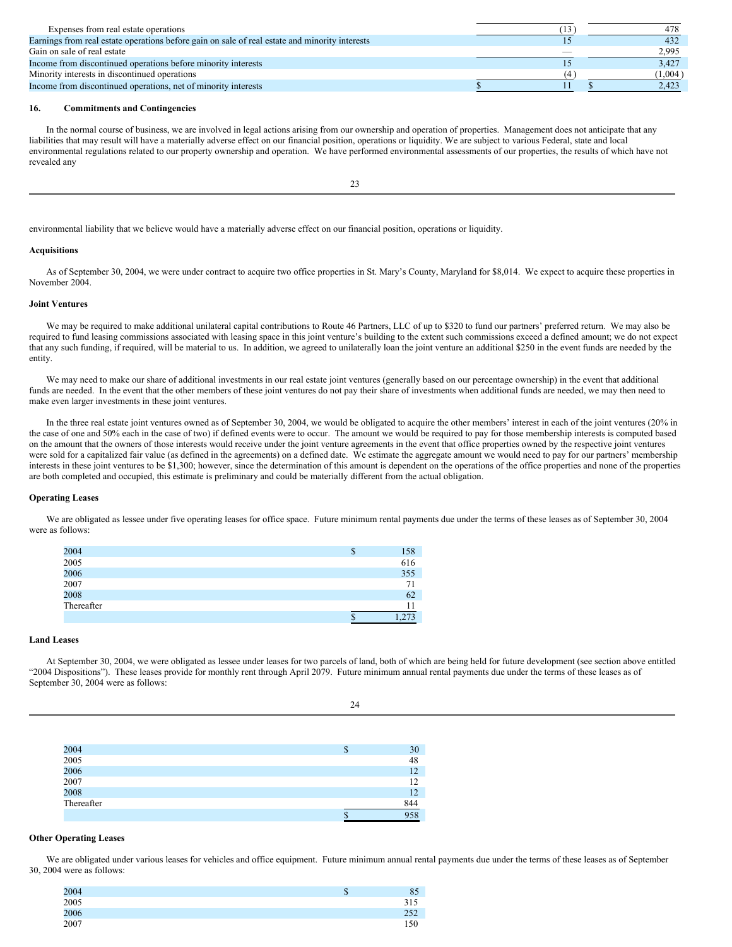| Expenses from real estate operations                                                           | د ۱ |         |
|------------------------------------------------------------------------------------------------|-----|---------|
| Earnings from real estate operations before gain on sale of real estate and minority interests |     | 432     |
| Gain on sale of real estate                                                                    |     | 2.995   |
| Income from discontinued operations before minority interests                                  |     | 3,427   |
| Minority interests in discontinued operations                                                  |     | (1,004) |
| Income from discontinued operations, net of minority interests                                 |     | 2.423   |

# **16. Commitments and Contingencies**

In the normal course of business, we are involved in legal actions arising from our ownership and operation of properties. Management does not anticipate that any liabilities that may result will have a materially adverse effect on our financial position, operations or liquidity. We are subject to various Federal, state and local environmental regulations related to our property ownership and operation. We have performed environmental assessments of our properties, the results of which have not revealed any

 $23$ 

environmental liability that we believe would have a materially adverse effect on our financial position, operations or liquidity.

#### **Acquisitions**

As of September 30, 2004, we were under contract to acquire two office properties in St. Mary's County, Maryland for \$8,014. We expect to acquire these properties in November 2004.

#### **Joint Ventures**

We may be required to make additional unilateral capital contributions to Route 46 Partners, LLC of up to \$320 to fund our partners' preferred return. We may also be required to fund leasing commissions associated with leasing space in this joint venture's building to the extent such commissions exceed a defined amount; we do not expect that any such funding, if required, will be material to us. In addition, we agreed to unilaterally loan the joint venture an additional \$250 in the event funds are needed by the entity.

We may need to make our share of additional investments in our real estate joint ventures (generally based on our percentage ownership) in the event that additional funds are needed. In the event that the other members of these joint ventures do not pay their share of investments when additional funds are needed, we may then need to make even larger investments in these joint ventures.

In the three real estate joint ventures owned as of September 30, 2004, we would be obligated to acquire the other members' interest in each of the joint ventures (20% in the case of one and 50% each in the case of two) if defined events were to occur. The amount we would be required to pay for those membership interests is computed based on the amount that the owners of those interests would receive under the joint venture agreements in the event that office properties owned by the respective joint ventures were sold for a capitalized fair value (as defined in the agreements) on a defined date. We estimate the aggregate amount we would need to pay for our partners' membership interests in these joint ventures to be \$1,300; however, since the determination of this amount is dependent on the operations of the office properties and none of the properties are both completed and occupied, this estimate is preliminary and could be materially different from the actual obligation.

### **Operating Leases**

We are obligated as lessee under five operating leases for office space. Future minimum rental payments due under the terms of these leases as of September 30, 2004 were as follows:

| 2004               | Φ | 158 |
|--------------------|---|-----|
| 2005               |   | 616 |
| 2006               |   | 355 |
| 2007               |   | 71  |
| 2008<br>Thereafter |   | 62  |
|                    |   |     |
|                    | Φ |     |

#### **Land Leases**

At September 30, 2004, we were obligated as lessee under leases for two parcels of land, both of which are being held for future development (see section above entitled "2004 Dispositions"). These leases provide for monthly rent through April 2079. Future minimum annual rental payments due under the terms of these leases as of September 30, 2004 were as follows:

24

| 2004       | 30  |
|------------|-----|
| 2005       | 48  |
| 2006       | 12  |
| 2007       | 12  |
| 2008       | 12  |
| Thereafter | 844 |
|            | 958 |

#### **Other Operating Leases**

We are obligated under various leases for vehicles and office equipment. Future minimum annual rental payments due under the terms of these leases as of September 30, 2004 were as follows:

| 2004         | Φ |     |
|--------------|---|-----|
| 2005         |   | 315 |
| 2006<br>2007 |   | 252 |
|              |   | 150 |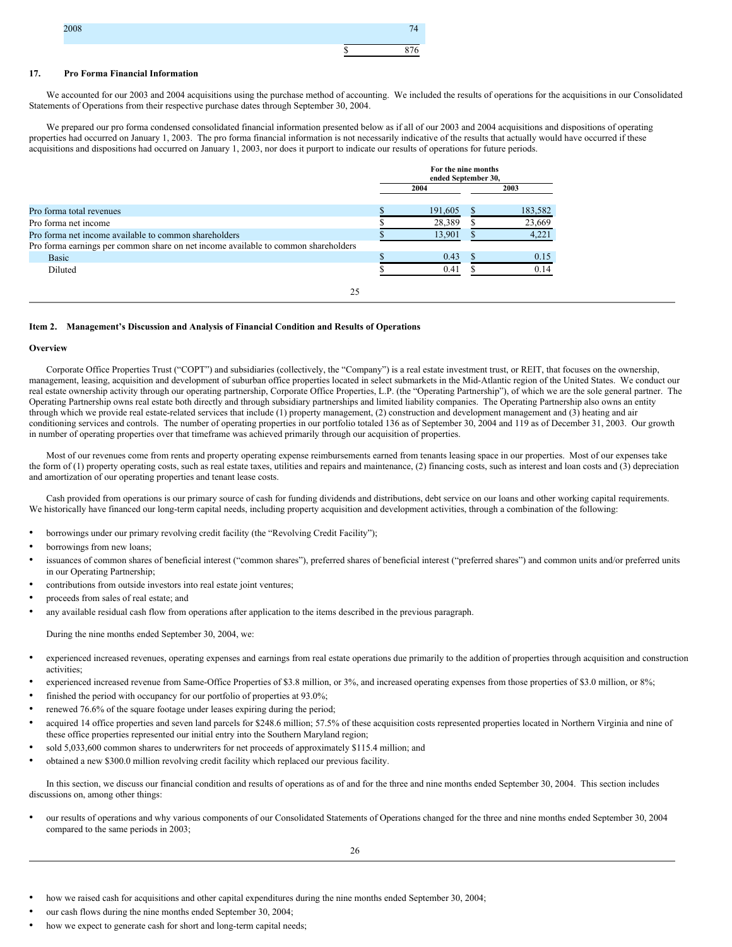# **17. Pro Forma Financial Information**

We accounted for our 2003 and 2004 acquisitions using the purchase method of accounting. We included the results of operations for the acquisitions in our Consolidated Statements of Operations from their respective purchase dates through September 30, 2004.

We prepared our pro forma condensed consolidated financial information presented below as if all of our 2003 and 2004 acquisitions and dispositions of operating properties had occurred on January 1, 2003. The pro forma financial information is not necessarily indicative of the results that actually would have occurred if these acquisitions and dispositions had occurred on January 1, 2003, nor does it purport to indicate our results of operations for future periods.

|                                                                                    |      | For the nine months<br>ended September 30, |  |         |
|------------------------------------------------------------------------------------|------|--------------------------------------------|--|---------|
|                                                                                    | 2004 |                                            |  | 2003    |
| Pro forma total revenues                                                           |      | 191,605                                    |  | 183,582 |
| Pro forma net income                                                               |      | 28,389                                     |  | 23,669  |
| Pro forma net income available to common shareholders                              |      | 13,901                                     |  | 4,221   |
| Pro forma earnings per common share on net income available to common shareholders |      |                                            |  |         |
| <b>Basic</b>                                                                       |      | 0.43                                       |  | 0.15    |
| Diluted                                                                            |      | 0.41                                       |  | 0.14    |

## <span id="page-14-0"></span>**Item 2. Management's Discussion and Analysis of Financial Condition and Results of Operations**

#### **Overview**

Corporate Office Properties Trust ("COPT") and subsidiaries (collectively, the "Company") is a real estate investment trust, or REIT, that focuses on the ownership, management, leasing, acquisition and development of suburban office properties located in select submarkets in the Mid-Atlantic region of the United States. We conduct our real estate ownership activity through our operating partnership, Corporate Office Properties, L.P. (the "Operating Partnership"), of which we are the sole general partner. The Operating Partnership owns real estate both directly and through subsidiary partnerships and limited liability companies. The Operating Partnership also owns an entity through which we provide real estate-related services that include (1) property management, (2) construction and development management and (3) heating and air conditioning services and controls. The number of operating properties in our portfolio totaled 136 as of September 30, 2004 and 119 as of December 31, 2003. Our growth in number of operating properties over that timeframe was achieved primarily through our acquisition of properties.

Most of our revenues come from rents and property operating expense reimbursements earned from tenants leasing space in our properties. Most of our expenses take the form of (1) property operating costs, such as real estate taxes, utilities and repairs and maintenance, (2) financing costs, such as interest and loan costs and (3) depreciation and amortization of our operating properties and tenant lease costs.

Cash provided from operations is our primary source of cash for funding dividends and distributions, debt service on our loans and other working capital requirements. We historically have financed our long-term capital needs, including property acquisition and development activities, through a combination of the following:

- borrowings under our primary revolving credit facility (the "Revolving Credit Facility");
- borrowings from new loans;
- issuances of common shares of beneficial interest ("common shares"), preferred shares of beneficial interest ("preferred shares") and common units and/or preferred units in our Operating Partnership;
- contributions from outside investors into real estate joint ventures;
- proceeds from sales of real estate; and
- any available residual cash flow from operations after application to the items described in the previous paragraph.

During the nine months ended September 30, 2004, we:

- experienced increased revenues, operating expenses and earnings from real estate operations due primarily to the addition of properties through acquisition and construction activities;
- experienced increased revenue from Same-Office Properties of \$3.8 million, or 3%, and increased operating expenses from those properties of \$3.0 million, or 8%;
- finished the period with occupancy for our portfolio of properties at 93.0%;
- renewed 76.6% of the square footage under leases expiring during the period;
- acquired 14 office properties and seven land parcels for \$248.6 million; 57.5% of these acquisition costs represented properties located in Northern Virginia and nine of these office properties represented our initial entry into the Southern Maryland region;
- sold 5,033,600 common shares to underwriters for net proceeds of approximately \$115.4 million; and
- obtained a new \$300.0 million revolving credit facility which replaced our previous facility.

In this section, we discuss our financial condition and results of operations as of and for the three and nine months ended September 30, 2004. This section includes discussions on, among other things:

• our results of operations and why various components of our Consolidated Statements of Operations changed for the three and nine months ended September 30, 2004 compared to the same periods in 2003;

- how we raised cash for acquisitions and other capital expenditures during the nine months ended September 30, 2004;
- our cash flows during the nine months ended September 30, 2004;
- how we expect to generate cash for short and long-term capital needs;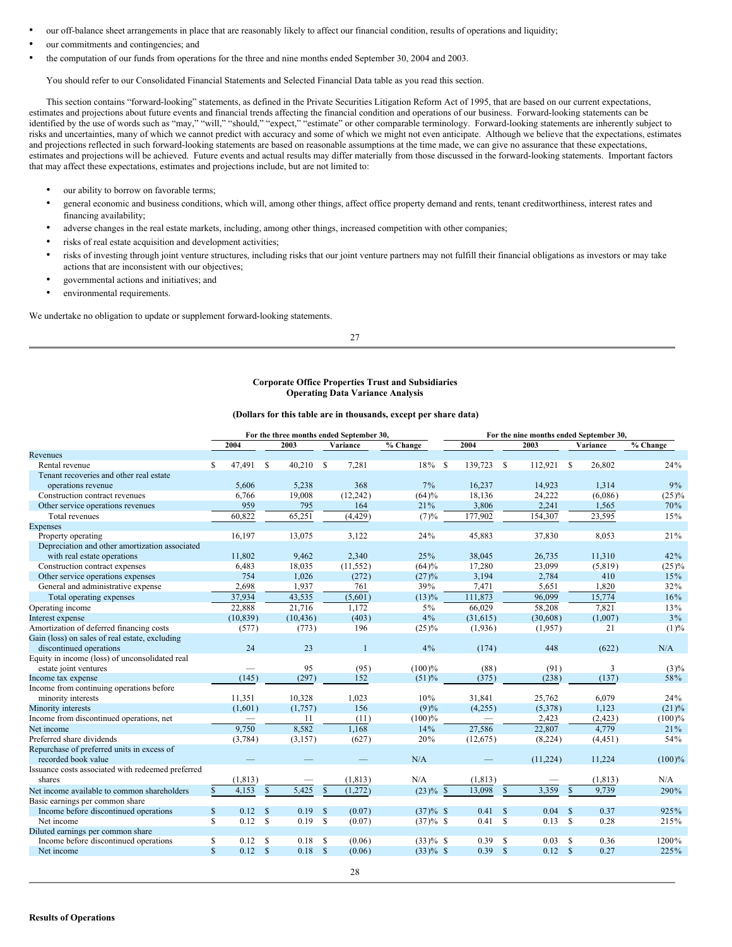- our off-balance sheet arrangements in place that are reasonably likely to affect our financial condition, results of operations and liquidity;
- our commitments and contingencies; and
- the computation of our funds from operations for the three and nine months ended September 30, 2004 and 2003.

You should refer to our Consolidated Financial Statements and Selected Financial Data table as you read this section.

This section contains "forward-looking" statements, as defined in the Private Securities Litigation Reform Act of 1995, that are based on our current expectations, estimates and projections about future events and financial trends affecting the financial condition and operations of our business. Forward-looking statements can be identified by the use of words such as "may," "will," "should," "expect," "estimate" or other comparable terminology. Forward-looking statements are inherently subject to risks and uncertainties, many of which we cannot predict with accuracy and some of which we might not even anticipate. Although we believe that the expectations, estimates and projections reflected in such forward-looking statements are based on reasonable assumptions at the time made, we can give no assurance that these expectations, estimates and projections will be achieved. Future events and actual results may differ materially from those discussed in the forward-looking statements. Important factors that may affect these expectations, estimates and projections include, but are not limited to:

- our ability to borrow on favorable terms;
- general economic and business conditions, which will, among other things, affect office property demand and rents, tenant creditworthiness, interest rates and financing availability;
- adverse changes in the real estate markets, including, among other things, increased competition with other companies;
- risks of real estate acquisition and development activities;
- risks of investing through joint venture structures, including risks that our joint venture partners may not fulfill their financial obligations as investors or may take actions that are inconsistent with our objectives;
- governmental actions and initiatives; and
- environmental requirements.

We undertake no obligation to update or supplement forward-looking statements.

27

## **Corporate Office Properties Trust and Subsidiaries Operating Data Variance Analysis**

#### **(Dollars for this table are in thousands, except per share data)**

|                                                   | For the three months ended September 30, |           |               |           |               |           |              |               | For the nine months ended September 30, |              |          |               |          |          |  |  |
|---------------------------------------------------|------------------------------------------|-----------|---------------|-----------|---------------|-----------|--------------|---------------|-----------------------------------------|--------------|----------|---------------|----------|----------|--|--|
|                                                   |                                          | 2004      |               | 2003      |               | Variance  | % Change     |               | 2004                                    |              | 2003     |               | Variance | % Change |  |  |
| Revenues                                          |                                          |           |               |           |               |           |              |               |                                         |              |          |               |          |          |  |  |
| Rental revenue                                    | S.                                       | 47,491    | -S            | 40,210    | <sup>S</sup>  | 7,281     | 18%          | <sup>\$</sup> | 139,723 \$                              |              | 112,921  | -S            | 26,802   | 24%      |  |  |
| Tenant recoveries and other real estate           |                                          |           |               |           |               |           |              |               |                                         |              |          |               |          |          |  |  |
| operations revenue                                |                                          | 5.606     |               | 5,238     |               | 368       | 7%           |               | 16,237                                  |              | 14,923   |               | 1.314    | 9%       |  |  |
| Construction contract revenues                    |                                          | 6,766     |               | 19,008    |               | (12, 242) | (64)%        |               | 18,136                                  |              | 24,222   |               | (6,086)  | $(25)\%$ |  |  |
| Other service operations revenues                 |                                          | 959       |               | 795       |               | 164       | 21%          |               | 3,806                                   |              | 2,241    |               | 1,565    | 70%      |  |  |
| Total revenues                                    |                                          | 60,822    |               | 65,251    |               | (4, 429)  | (7)%         |               | 177,902                                 |              | 154,307  |               | 23,595   | 15%      |  |  |
| <b>Expenses</b>                                   |                                          |           |               |           |               |           |              |               |                                         |              |          |               |          |          |  |  |
| Property operating                                |                                          | 16,197    |               | 13,075    |               | 3,122     | 24%          |               | 45,883                                  |              | 37,830   |               | 8.053    | 21%      |  |  |
| Depreciation and other amortization associated    |                                          |           |               |           |               |           |              |               |                                         |              |          |               |          |          |  |  |
| with real estate operations                       |                                          | 11,802    |               | 9,462     |               | 2,340     | 25%          |               | 38,045                                  |              | 26,735   |               | 11,310   | 42%      |  |  |
| Construction contract expenses                    |                                          | 6,483     |               | 18,035    |               | (11, 552) | (64)%        |               | 17,280                                  |              | 23,099   |               | (5,819)  | $(25)\%$ |  |  |
| Other service operations expenses                 |                                          | 754       |               | 1,026     |               | (272)     | (27)%        |               | 3,194                                   |              | 2,784    |               | 410      | 15%      |  |  |
| General and administrative expense                |                                          | 2,698     |               | 1,937     |               | 761       | 39%          |               | 7,471                                   |              | 5,651    |               | 1,820    | 32%      |  |  |
| Total operating expenses                          |                                          | 37,934    |               | 43,535    |               | (5,601)   | $(13)\%$     |               | 111,873                                 |              | 96,099   |               | 15,774   | 16%      |  |  |
| Operating income                                  |                                          | 22,888    |               | 21,716    |               | 1.172     | $5\%$        |               | 66.029                                  |              | 58,208   |               | 7.821    | 13%      |  |  |
| Interest expense                                  |                                          | (10, 839) |               | (10, 436) |               | (403)     | $4\%$        |               | (31,615)                                |              | (30,608) |               | (1,007)  | $3\%$    |  |  |
| Amortization of deferred financing costs          |                                          | (577)     |               | (773)     |               | 196       | $(25)\%$     |               | (1,936)                                 |              | (1,957)  |               | 21       | (1)%     |  |  |
| Gain (loss) on sales of real estate, excluding    |                                          |           |               |           |               |           |              |               |                                         |              |          |               |          |          |  |  |
| discontinued operations                           |                                          | 24        |               | 23        |               |           | 4%           |               | (174)                                   |              | 448      |               | (622)    | N/A      |  |  |
| Equity in income (loss) of unconsolidated real    |                                          |           |               |           |               |           |              |               |                                         |              |          |               |          |          |  |  |
| estate joint ventures                             |                                          |           |               | 95        |               | (95)      | (100)%       |               | (88)                                    |              | (91)     |               | 3        | $(3)\%$  |  |  |
| Income tax expense                                |                                          | (145)     |               | (297)     |               | 152       | (51)%        |               | (375)                                   |              | (238)    |               | (137)    | 58%      |  |  |
| Income from continuing operations before          |                                          |           |               |           |               |           |              |               |                                         |              |          |               |          |          |  |  |
| minority interests                                |                                          | 11,351    |               | 10,328    |               | 1,023     | 10%          |               | 31,841                                  |              | 25,762   |               | 6,079    | 24%      |  |  |
| Minority interests                                |                                          | (1,601)   |               | (1,757)   |               | 156       | (9)%         |               | (4,255)                                 |              | (5,378)  |               | 1,123    | $(21)\%$ |  |  |
| Income from discontinued operations, net          |                                          |           |               | 11        |               | (11)      | (100)%       |               |                                         |              | 2,423    |               | (2,423)  | (100)%   |  |  |
| Net income                                        |                                          | 9,750     |               | 8,582     |               | 1,168     | 14%          |               | 27,586                                  |              | 22,807   |               | 4,779    | 21%      |  |  |
| Preferred share dividends                         |                                          | (3,784)   |               | (3,157)   |               | (627)     | 20%          |               | (12,675)                                |              | (8,224)  |               | (4, 451) | 54%      |  |  |
| Repurchase of preferred units in excess of        |                                          |           |               |           |               |           |              |               |                                         |              |          |               |          |          |  |  |
| recorded book value                               |                                          |           |               |           |               |           | N/A          |               |                                         |              | (11,224) |               | 11,224   | (100)%   |  |  |
| Issuance costs associated with redeemed preferred |                                          |           |               |           |               |           |              |               |                                         |              |          |               |          |          |  |  |
| shares                                            |                                          | (1, 813)  |               |           |               | (1, 813)  | N/A          |               | (1, 813)                                |              |          |               | (1, 813) | N/A      |  |  |
| Net income available to common shareholders       | $\mathcal{S}$                            | 4,153     | $\mathbb{S}$  | 5,425     | $\mathbb{S}$  | (1,272)   | $(23)\%$ \$  |               | 13,098                                  | $\mathbb{S}$ | 3,359    | $\mathbb{S}$  | 9,739    | 290%     |  |  |
| Basic earnings per common share                   |                                          |           |               |           |               |           |              |               |                                         |              |          |               |          |          |  |  |
| Income before discontinued operations             | $\mathbb{S}$                             | 0.12      | $\mathcal{S}$ | 0.19      | $\mathbf S$   | (0.07)    | $(37) \%$ \$ |               | 0.41                                    | $\mathbb{S}$ | 0.04     | <sup>\$</sup> | 0.37     | 925%     |  |  |
| Net income                                        | S.                                       | 0.12      | $\mathbb{S}$  | 0.19      | $\mathbb{S}$  | (0.07)    | $(37) \%$ \$ |               | 0.41                                    | $\mathbb{S}$ | 0.13     | <sup>\$</sup> | 0.28     | 215%     |  |  |
| Diluted earnings per common share                 |                                          |           |               |           |               |           |              |               |                                         |              |          |               |          |          |  |  |
| Income before discontinued operations             | \$                                       | 0.12      | \$            | 0.18      | <sup>\$</sup> | (0.06)    | $(33)\%$ \$  |               | 0.39                                    | $\mathbb S$  | 0.03     | \$            | 0.36     | 1200%    |  |  |
| Net income                                        | $\mathbf S$                              | 0.12      | $\mathbf{s}$  | 0.18      | $\mathbf{s}$  | (0.06)    | $(33)\%$ \$  |               | 0.39                                    | $\mathbf S$  | 0.12     | <sup>\$</sup> | 0.27     | 225%     |  |  |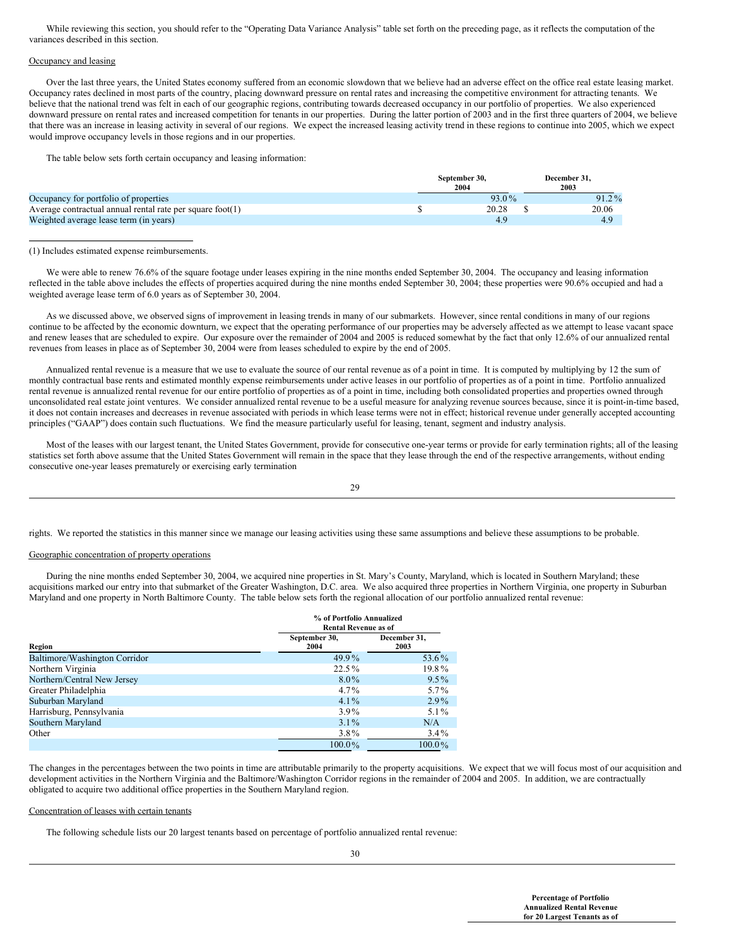While reviewing this section, you should refer to the "Operating Data Variance Analysis" table set forth on the preceding page, as it reflects the computation of the variances described in this section.

#### Occupancy and leasing

Over the last three years, the United States economy suffered from an economic slowdown that we believe had an adverse effect on the office real estate leasing market. Occupancy rates declined in most parts of the country, placing downward pressure on rental rates and increasing the competitive environment for attracting tenants. We believe that the national trend was felt in each of our geographic regions, contributing towards decreased occupancy in our portfolio of properties. We also experienced downward pressure on rental rates and increased competition for tenants in our properties. During the latter portion of 2003 and in the first three quarters of 2004, we believe that there was an increase in leasing activity in several of our regions. We expect the increased leasing activity trend in these regions to continue into 2005, which we expect would improve occupancy levels in those regions and in our properties.

The table below sets forth certain occupancy and leasing information:

|                                                              | September 30. | December 31. |
|--------------------------------------------------------------|---------------|--------------|
|                                                              | 2004          | 2003         |
| Occupancy for portfolio of properties                        | $93.0\%$      | $91.2\%$     |
| Average contractual annual rental rate per square foot $(1)$ | 20.28         | 20.06        |
| Weighted average lease term (in years)                       | 49            | 4.9          |

#### (1) Includes estimated expense reimbursements.

We were able to renew 76.6% of the square footage under leases expiring in the nine months ended September 30, 2004. The occupancy and leasing information reflected in the table above includes the effects of properties acquired during the nine months ended September 30, 2004; these properties were 90.6% occupied and had a weighted average lease term of 6.0 years as of September 30, 2004.

As we discussed above, we observed signs of improvement in leasing trends in many of our submarkets. However, since rental conditions in many of our regions continue to be affected by the economic downturn, we expect that the operating performance of our properties may be adversely affected as we attempt to lease vacant space and renew leases that are scheduled to expire. Our exposure over the remainder of 2004 and 2005 is reduced somewhat by the fact that only 12.6% of our annualized rental revenues from leases in place as of September 30, 2004 were from leases scheduled to expire by the end of 2005.

Annualized rental revenue is a measure that we use to evaluate the source of our rental revenue as of a point in time. It is computed by multiplying by 12 the sum of monthly contractual base rents and estimated monthly expense reimbursements under active leases in our portfolio of properties as of a point in time. Portfolio annualized rental revenue is annualized rental revenue for our entire portfolio of properties as of a point in time, including both consolidated properties and properties owned through unconsolidated real estate joint ventures. We consider annualized rental revenue to be a useful measure for analyzing revenue sources because, since it is point-in-time based, it does not contain increases and decreases in revenue associated with periods in which lease terms were not in effect; historical revenue under generally accepted accounting principles ("GAAP") does contain such fluctuations. We find the measure particularly useful for leasing, tenant, segment and industry analysis.

Most of the leases with our largest tenant, the United States Government, provide for consecutive one-year terms or provide for early termination rights; all of the leasing statistics set forth above assume that the United States Government will remain in the space that they lease through the end of the respective arrangements, without ending consecutive one-year leases prematurely or exercising early termination

29

rights. We reported the statistics in this manner since we manage our leasing activities using these same assumptions and believe these assumptions to be probable.

#### Geographic concentration of property operations

During the nine months ended September 30, 2004, we acquired nine properties in St. Mary's County, Maryland, which is located in Southern Maryland; these acquisitions marked our entry into that submarket of the Greater Washington, D.C. area. We also acquired three properties in Northern Virginia, one property in Suburban Maryland and one property in North Baltimore County. The table below sets forth the regional allocation of our portfolio annualized rental revenue:

|                               | % of Portfolio Annualized<br><b>Rental Revenue as of</b> |                      |  |  |  |  |  |
|-------------------------------|----------------------------------------------------------|----------------------|--|--|--|--|--|
| Region                        | September 30,<br>2004                                    | December 31,<br>2003 |  |  |  |  |  |
| Baltimore/Washington Corridor | 49.9%                                                    | 53.6%                |  |  |  |  |  |
| Northern Virginia             | $22.5\%$                                                 | 19.8%                |  |  |  |  |  |
| Northern/Central New Jersey   | $8.0\%$                                                  | $9.5\%$              |  |  |  |  |  |
| Greater Philadelphia          | $4.7\%$                                                  | $5.7\%$              |  |  |  |  |  |
| Suburban Maryland             | $4.1\%$                                                  | $2.9\%$              |  |  |  |  |  |
| Harrisburg, Pennsylvania      | $3.9\%$                                                  | $5.1\%$              |  |  |  |  |  |
| Southern Maryland             | $3.1\%$                                                  | N/A                  |  |  |  |  |  |
| Other                         | $3.8\%$                                                  | $3.4\%$              |  |  |  |  |  |
|                               | $100.0\%$                                                | 100.0%               |  |  |  |  |  |

The changes in the percentages between the two points in time are attributable primarily to the property acquisitions. We expect that we will focus most of our acquisition and development activities in the Northern Virginia and the Baltimore/Washington Corridor regions in the remainder of 2004 and 2005. In addition, we are contractually obligated to acquire two additional office properties in the Southern Maryland region.

#### Concentration of leases with certain tenants

The following schedule lists our 20 largest tenants based on percentage of portfolio annualized rental revenue:

**Percentage of Portfolio Annualized Rental Revenue for 20 Largest Tenants as of**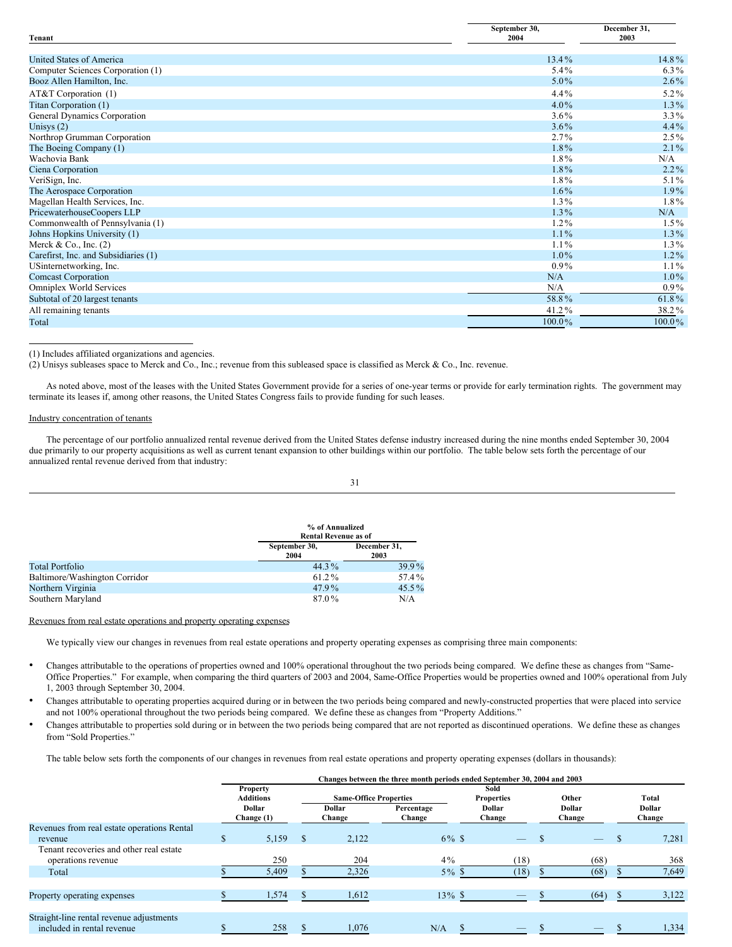| Tenant                               | September 30,<br>2004 | December 31,<br>2003 |  |  |
|--------------------------------------|-----------------------|----------------------|--|--|
|                                      |                       |                      |  |  |
| United States of America             | $13.4\%$              | $14.8\%$             |  |  |
| Computer Sciences Corporation (1)    | $5.4\%$               | $6.3\%$              |  |  |
| Booz Allen Hamilton, Inc.            | $5.0\%$               | $2.6\%$              |  |  |
| AT&T Corporation (1)                 | $4.4\%$               | $5.2\%$              |  |  |
| Titan Corporation (1)                | $4.0\%$               | $1.3\%$              |  |  |
| General Dynamics Corporation         | $3.6\%$               | $3.3\%$              |  |  |
| Unisys $(2)$                         | $3.6\%$               | $4.4\%$              |  |  |
| Northrop Grumman Corporation         | $2.7\%$               | $2.5\%$              |  |  |
| The Boeing Company (1)               | $1.8\%$               | $2.1\%$              |  |  |
| Wachovia Bank                        | 1.8%                  | N/A                  |  |  |
| Ciena Corporation                    | $1.8\%$               | $2.2\%$              |  |  |
| VeriSign, Inc.                       | $1.8\%$               | $5.1\%$              |  |  |
| The Aerospace Corporation            | $1.6\%$               | $1.9\%$              |  |  |
| Magellan Health Services, Inc.       | $1.3\%$               | $1.8\%$              |  |  |
| PricewaterhouseCoopers LLP           | $1.3\%$               | N/A                  |  |  |
| Commonwealth of Pennsylvania (1)     | $1.2\%$               | $1.5\%$              |  |  |
| Johns Hopkins University (1)         | $1.1\%$               | $1.3\%$              |  |  |
| Merck & Co., Inc. $(2)$              | $1.1\%$               | $1.3\%$              |  |  |
| Carefirst, Inc. and Subsidiaries (1) | $1.0\%$               | $1.2\%$              |  |  |
| USinternetworking, Inc.              | $0.9\%$               | $1.1\%$              |  |  |
| <b>Comcast Corporation</b>           | N/A                   | $1.0\%$              |  |  |
| <b>Omniplex World Services</b>       | N/A                   | $0.9\%$              |  |  |
| Subtotal of 20 largest tenants       | 58.8%                 | 61.8%                |  |  |
| All remaining tenants                | 41.2%                 | 38.2%                |  |  |
| Total                                | $100.0\%$             | $100.0\%$            |  |  |

(1) Includes affiliated organizations and agencies.

(2) Unisys subleases space to Merck and Co., Inc.; revenue from this subleased space is classified as Merck & Co., Inc. revenue.

As noted above, most of the leases with the United States Government provide for a series of one-year terms or provide for early termination rights. The government may terminate its leases if, among other reasons, the United States Congress fails to provide funding for such leases.

#### Industry concentration of tenants

The percentage of our portfolio annualized rental revenue derived from the United States defense industry increased during the nine months ended September 30, 2004 due primarily to our property acquisitions as well as current tenant expansion to other buildings within our portfolio. The table below sets forth the percentage of our annualized rental revenue derived from that industry:

31

|                               | % of Annualized             |                      |
|-------------------------------|-----------------------------|----------------------|
|                               | <b>Rental Revenue as of</b> |                      |
|                               | September 30,<br>2004       | December 31,<br>2003 |
| <b>Total Portfolio</b>        | 44.3%                       | 39.9%                |
| Baltimore/Washington Corridor | 61.2%                       | 57.4%                |
| Northern Virginia             | 47.9%                       | $45.5\%$             |
| Southern Maryland             | 87.0%                       | N/A                  |

Revenues from real estate operations and property operating expenses

We typically view our changes in revenues from real estate operations and property operating expenses as comprising three main components:

- Changes attributable to the operations of properties owned and 100% operational throughout the two periods being compared. We define these as changes from "Same-Office Properties." For example, when comparing the third quarters of 2003 and 2004, Same-Office Properties would be properties owned and 100% operational from July 1, 2003 through September 30, 2004.
- Changes attributable to operating properties acquired during or in between the two periods being compared and newly-constructed properties that were placed into service and not 100% operational throughout the two periods being compared. We define these as changes from "Property Additions."
- Changes attributable to properties sold during or in between the two periods being compared that are not reported as discontinued operations. We define these as changes from "Sold Properties."

The table below sets forth the components of our changes in revenues from real estate operations and property operating expenses (dollars in thousands):

|                                                                        | Changes between the three month periods ended September 30, 2004 and 2003 |                                                                    |     |                                                   |                      |  |                                               |  |                                  |  |                           |
|------------------------------------------------------------------------|---------------------------------------------------------------------------|--------------------------------------------------------------------|-----|---------------------------------------------------|----------------------|--|-----------------------------------------------|--|----------------------------------|--|---------------------------|
|                                                                        |                                                                           | <b>Property</b><br><b>Additions</b><br><b>Dollar</b><br>Change (1) |     | <b>Same-Office Properties</b><br>Dollar<br>Change | Percentage<br>Change |  | Sold<br><b>Properties</b><br>Dollar<br>Change |  | Other<br><b>Dollar</b><br>Change |  | Total<br>Dollar<br>Change |
| Revenues from real estate operations Rental                            |                                                                           |                                                                    |     |                                                   |                      |  |                                               |  |                                  |  |                           |
| revenue                                                                | \$                                                                        | 5,159                                                              | \$. | 2,122                                             | $6\%$ \$             |  | $\overline{\phantom{a}}$                      |  |                                  |  | 7,281                     |
| Tenant recoveries and other real estate<br>operations revenue          |                                                                           | 250                                                                |     | 204                                               | $4\%$                |  | (18)                                          |  | (68)                             |  | 368                       |
| Total                                                                  |                                                                           | 5,409                                                              |     | 2,326                                             | $5\%$ \$             |  | (18)                                          |  | (68)                             |  | 7,649                     |
| Property operating expenses                                            |                                                                           | 1,574                                                              | ж   | 1,612                                             | $13\%$ \$            |  |                                               |  | (64)                             |  | 3,122                     |
| Straight-line rental revenue adjustments<br>included in rental revenue |                                                                           | 258                                                                |     | 1,076                                             | N/A                  |  |                                               |  |                                  |  | 1,334                     |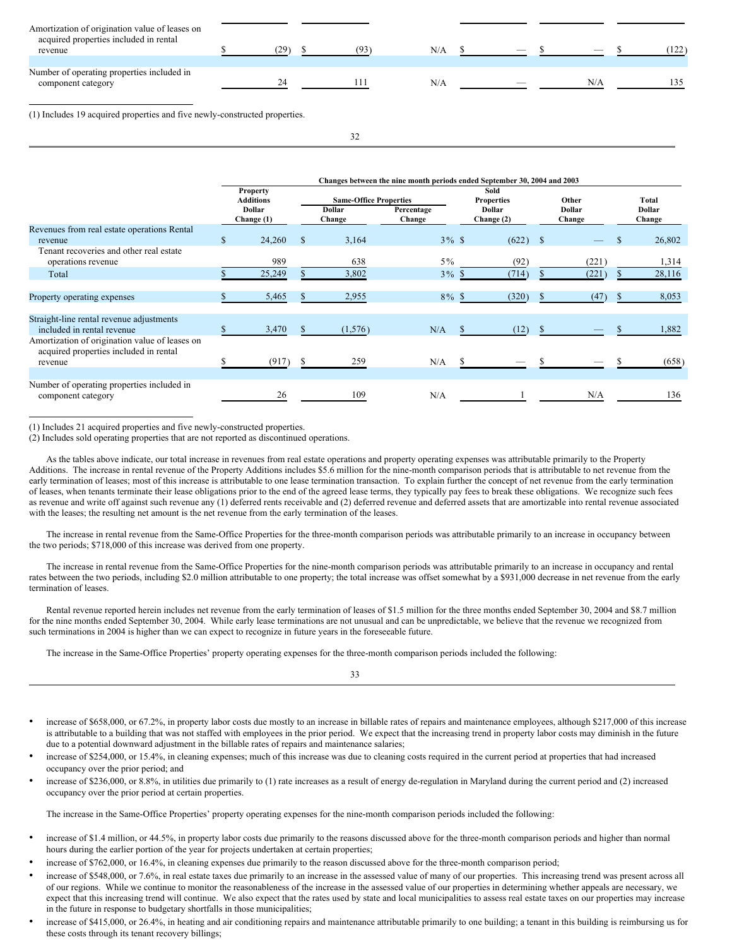| Amortization of origination value of leases on<br>acquired properties included in rental<br>revenue | (29 | (93) | N/A | $\overline{\phantom{a}}$ | $\overline{\phantom{a}}$ |  |  |
|-----------------------------------------------------------------------------------------------------|-----|------|-----|--------------------------|--------------------------|--|--|
| Number of operating properties included in<br>component category                                    | 24  |      | N/A | $-$                      | N/A                      |  |  |

(1) Includes 19 acquired properties and five newly-constructed properties.

32

|                                                                                          | Changes between the nine month periods ended September 30, 2004 and 2003 |                               |                         |                      |    |                             |    |                  |  |                         |  |
|------------------------------------------------------------------------------------------|--------------------------------------------------------------------------|-------------------------------|-------------------------|----------------------|----|-----------------------------|----|------------------|--|-------------------------|--|
|                                                                                          | <b>Property</b><br><b>Additions</b>                                      | <b>Same-Office Properties</b> |                         |                      |    | Sold<br><b>Properties</b>   |    | Other            |  | Total                   |  |
|                                                                                          | <b>Dollar</b><br>Change (1)                                              |                               | <b>Dollar</b><br>Change | Percentage<br>Change |    | <b>Dollar</b><br>Change (2) |    | Dollar<br>Change |  | <b>Dollar</b><br>Change |  |
| Revenues from real estate operations Rental                                              |                                                                          |                               |                         |                      |    |                             |    |                  |  |                         |  |
| revenue                                                                                  | \$<br>24,260                                                             | \$.                           | 3,164                   | $3\%$ \$             |    | (622)                       | -S |                  |  | 26,802                  |  |
| Tenant recoveries and other real estate                                                  |                                                                          |                               |                         |                      |    |                             |    |                  |  |                         |  |
| operations revenue                                                                       | 989                                                                      |                               | 638                     | $5\%$                |    | (92)                        |    | (221)            |  | 1,314                   |  |
| Total                                                                                    | 25,249                                                                   |                               | 3,802                   | $3\%$                | -8 | (714)                       |    | (221)            |  | 28,116                  |  |
|                                                                                          |                                                                          |                               |                         |                      |    |                             |    |                  |  |                         |  |
| Property operating expenses                                                              | 5,465                                                                    |                               | 2,955                   | $8\%$ \$             |    | (320)                       |    | (47)             |  | 8,053                   |  |
| Straight-line rental revenue adjustments                                                 |                                                                          |                               |                         |                      |    |                             |    |                  |  |                         |  |
| included in rental revenue                                                               | 3,470                                                                    |                               | (1,576)                 | N/A                  |    | (12)                        |    |                  |  | 1,882                   |  |
| Amortization of origination value of leases on<br>acquired properties included in rental |                                                                          |                               |                         |                      |    |                             |    |                  |  |                         |  |
| revenue                                                                                  | (917)                                                                    |                               | 259                     | N/A                  |    |                             |    |                  |  | (658)                   |  |
|                                                                                          |                                                                          |                               |                         |                      |    |                             |    |                  |  |                         |  |
| Number of operating properties included in<br>component category                         | 26                                                                       |                               | 109                     | N/A                  |    |                             |    | N/A              |  | 136                     |  |

(1) Includes 21 acquired properties and five newly-constructed properties.

(2) Includes sold operating properties that are not reported as discontinued operations.

As the tables above indicate, our total increase in revenues from real estate operations and property operating expenses was attributable primarily to the Property Additions. The increase in rental revenue of the Property Additions includes \$5.6 million for the nine-month comparison periods that is attributable to net revenue from the early termination of leases; most of this increase is attributable to one lease termination transaction. To explain further the concept of net revenue from the early termination of leases, when tenants terminate their lease obligations prior to the end of the agreed lease terms, they typically pay fees to break these obligations. We recognize such fees as revenue and write off against such revenue any (1) deferred rents receivable and (2) deferred revenue and deferred assets that are amortizable into rental revenue associated with the leases; the resulting net amount is the net revenue from the early termination of the leases.

The increase in rental revenue from the Same-Office Properties for the three-month comparison periods was attributable primarily to an increase in occupancy between the two periods; \$718,000 of this increase was derived from one property.

The increase in rental revenue from the Same-Office Properties for the nine-month comparison periods was attributable primarily to an increase in occupancy and rental rates between the two periods, including \$2.0 million attributable to one property; the total increase was offset somewhat by a \$931,000 decrease in net revenue from the early termination of leases.

Rental revenue reported herein includes net revenue from the early termination of leases of \$1.5 million for the three months ended September 30, 2004 and \$8.7 million for the nine months ended September 30, 2004. While early lease terminations are not unusual and can be unpredictable, we believe that the revenue we recognized from such terminations in 2004 is higher than we can expect to recognize in future years in the foreseeable future.

The increase in the Same-Office Properties' property operating expenses for the three-month comparison periods included the following:

| I<br>I<br>$\sim$ | ı<br>ı<br>$\sim$ |
|------------------|------------------|
|                  |                  |

- increase of \$658,000, or 67.2%, in property labor costs due mostly to an increase in billable rates of repairs and maintenance employees, although \$217,000 of this increase is attributable to a building that was not staffed with employees in the prior period. We expect that the increasing trend in property labor costs may diminish in the future due to a potential downward adjustment in the billable rates of repairs and maintenance salaries;
- increase of \$254,000, or 15.4%, in cleaning expenses; much of this increase was due to cleaning costs required in the current period at properties that had increased occupancy over the prior period; and
- increase of \$236,000, or 8.8%, in utilities due primarily to (1) rate increases as a result of energy de-regulation in Maryland during the current period and (2) increased occupancy over the prior period at certain properties.

The increase in the Same-Office Properties' property operating expenses for the nine-month comparison periods included the following:

- increase of \$1.4 million, or 44.5%, in property labor costs due primarily to the reasons discussed above for the three-month comparison periods and higher than normal hours during the earlier portion of the year for projects undertaken at certain properties;
- increase of \$762,000, or 16.4%, in cleaning expenses due primarily to the reason discussed above for the three-month comparison period;
- increase of \$548,000, or 7.6%, in real estate taxes due primarily to an increase in the assessed value of many of our properties. This increasing trend was present across all of our regions. While we continue to monitor the reasonableness of the increase in the assessed value of our properties in determining whether appeals are necessary, we expect that this increasing trend will continue. We also expect that the rates used by state and local municipalities to assess real estate taxes on our properties may increase in the future in response to budgetary shortfalls in those municipalities;
- increase of \$415,000, or 26.4%, in heating and air conditioning repairs and maintenance attributable primarily to one building; a tenant in this building is reimbursing us for these costs through its tenant recovery billings;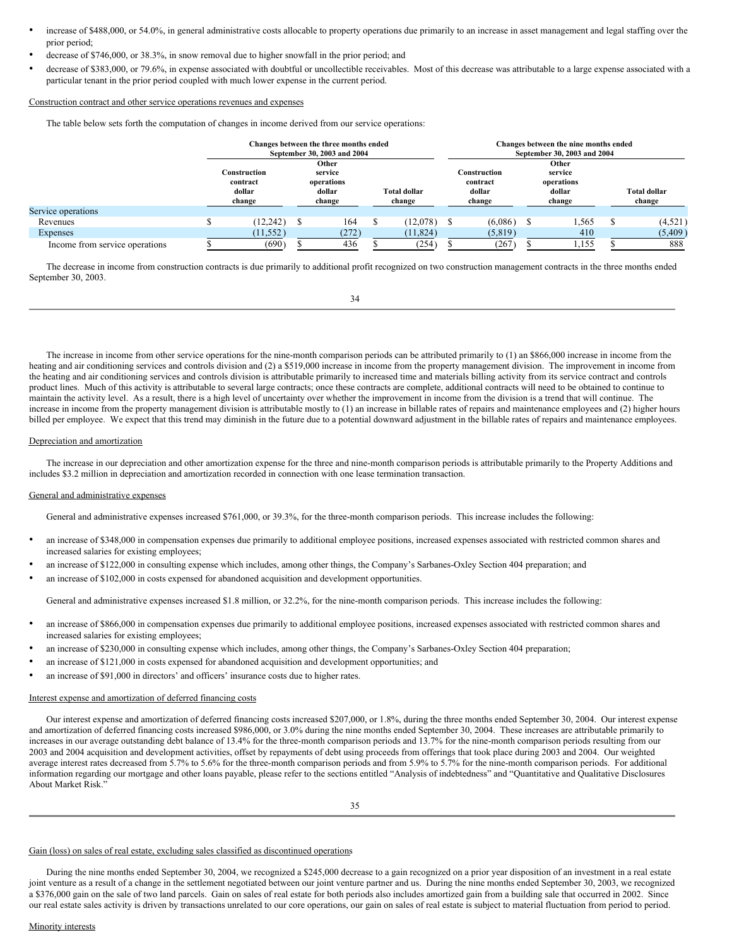- increase of \$488,000, or 54.0%, in general administrative costs allocable to property operations due primarily to an increase in asset management and legal staffing over the prior period;
- decrease of \$746,000, or 38.3%, in snow removal due to higher snowfall in the prior period; and
- decrease of \$383,000, or 79.6%, in expense associated with doubtful or uncollectible receivables. Most of this decrease was attributable to a large expense associated with a particular tenant in the prior period coupled with much lower expense in the current period.

## Construction contract and other service operations revenues and expenses

The table below sets forth the computation of changes in income derived from our service operations:

|                                |                                              | Changes between the three months ended<br>September 30, 2003 and 2004 |                                                    | Changes between the nine months ended<br>September 30, 2003 and 2004 |                               |  |                                              |     |                                                    |  |                               |
|--------------------------------|----------------------------------------------|-----------------------------------------------------------------------|----------------------------------------------------|----------------------------------------------------------------------|-------------------------------|--|----------------------------------------------|-----|----------------------------------------------------|--|-------------------------------|
|                                | Construction<br>contract<br>dollar<br>change |                                                                       | Other<br>service<br>operations<br>dollar<br>change |                                                                      | <b>Total dollar</b><br>change |  | Construction<br>contract<br>dollar<br>change |     | Other<br>service<br>operations<br>dollar<br>change |  | <b>Total dollar</b><br>change |
| Service operations             |                                              |                                                                       |                                                    |                                                                      |                               |  |                                              |     |                                                    |  |                               |
| Revenues                       | (12, 242)                                    |                                                                       | 164                                                |                                                                      | (12,078)                      |  | (6,086)                                      | - S | 1,565                                              |  | (4,521)                       |
| Expenses                       | (11, 552)                                    |                                                                       | (272)                                              |                                                                      | (11, 824)                     |  | (5,819)                                      |     | 410                                                |  | (5,409)                       |
| Income from service operations | (690)                                        |                                                                       | 436                                                |                                                                      | (254                          |  | (267                                         |     | 1,155                                              |  | 888                           |

The decrease in income from construction contracts is due primarily to additional profit recognized on two construction management contracts in the three months ended September 30, 2003.

| ۰,<br>I | I |
|---------|---|
| ×<br>۰. |   |

The increase in income from other service operations for the nine-month comparison periods can be attributed primarily to (1) an \$866,000 increase in income from the heating and air conditioning services and controls division and (2) a \$519,000 increase in income from the property management division. The improvement in income from the heating and air conditioning services and controls division is attributable primarily to increased time and materials billing activity from its service contract and controls product lines. Much of this activity is attributable to several large contracts; once these contracts are complete, additional contracts will need to be obtained to continue to maintain the activity level. As a result, there is a high level of uncertainty over whether the improvement in income from the division is a trend that will continue. The increase in income from the property management division is attributable mostly to (1) an increase in billable rates of repairs and maintenance employees and (2) higher hours billed per employee. We expect that this trend may diminish in the future due to a potential downward adjustment in the billable rates of repairs and maintenance employees.

#### Depreciation and amortization

The increase in our depreciation and other amortization expense for the three and nine-month comparison periods is attributable primarily to the Property Additions and includes \$3.2 million in depreciation and amortization recorded in connection with one lease termination transaction.

#### General and administrative expenses

General and administrative expenses increased \$761,000, or 39.3%, for the three-month comparison periods. This increase includes the following:

- an increase of \$348,000 in compensation expenses due primarily to additional employee positions, increased expenses associated with restricted common shares and increased salaries for existing employees;
- an increase of \$122,000 in consulting expense which includes, among other things, the Company's Sarbanes-Oxley Section 404 preparation; and
- an increase of \$102,000 in costs expensed for abandoned acquisition and development opportunities.

General and administrative expenses increased \$1.8 million, or 32.2%, for the nine-month comparison periods. This increase includes the following:

- an increase of \$866,000 in compensation expenses due primarily to additional employee positions, increased expenses associated with restricted common shares and increased salaries for existing employees;
- an increase of \$230,000 in consulting expense which includes, among other things, the Company's Sarbanes-Oxley Section 404 preparation;
- an increase of \$121,000 in costs expensed for abandoned acquisition and development opportunities; and
- an increase of \$91,000 in directors' and officers' insurance costs due to higher rates.

## Interest expense and amortization of deferred financing costs

Our interest expense and amortization of deferred financing costs increased \$207,000, or 1.8%, during the three months ended September 30, 2004. Our interest expense and amortization of deferred financing costs increased \$986,000, or 3.0% during the nine months ended September 30, 2004. These increases are attributable primarily to increases in our average outstanding debt balance of 13.4% for the three-month comparison periods and 13.7% for the nine-month comparison periods resulting from our 2003 and 2004 acquisition and development activities, offset by repayments of debt using proceeds from offerings that took place during 2003 and 2004. Our weighted average interest rates decreased from 5.7% to 5.6% for the three-month comparison periods and from 5.9% to 5.7% for the nine-month comparison periods. For additional information regarding our mortgage and other loans payable, please refer to the sections entitled "Analysis of indebtedness" and "Quantitative and Qualitative Disclosures About Market Risk."

# Gain (loss) on sales of real estate, excluding sales classified as discontinued operations

During the nine months ended September 30, 2004, we recognized a \$245,000 decrease to a gain recognized on a prior year disposition of an investment in a real estate joint venture as a result of a change in the settlement negotiated between our joint venture partner and us. During the nine months ended September 30, 2003, we recognized a \$376,000 gain on the sale of two land parcels. Gain on sales of real estate for both periods also includes amortized gain from a building sale that occurred in 2002. Since our real estate sales activity is driven by transactions unrelated to our core operations, our gain on sales of real estate is subject to material fluctuation from period to period.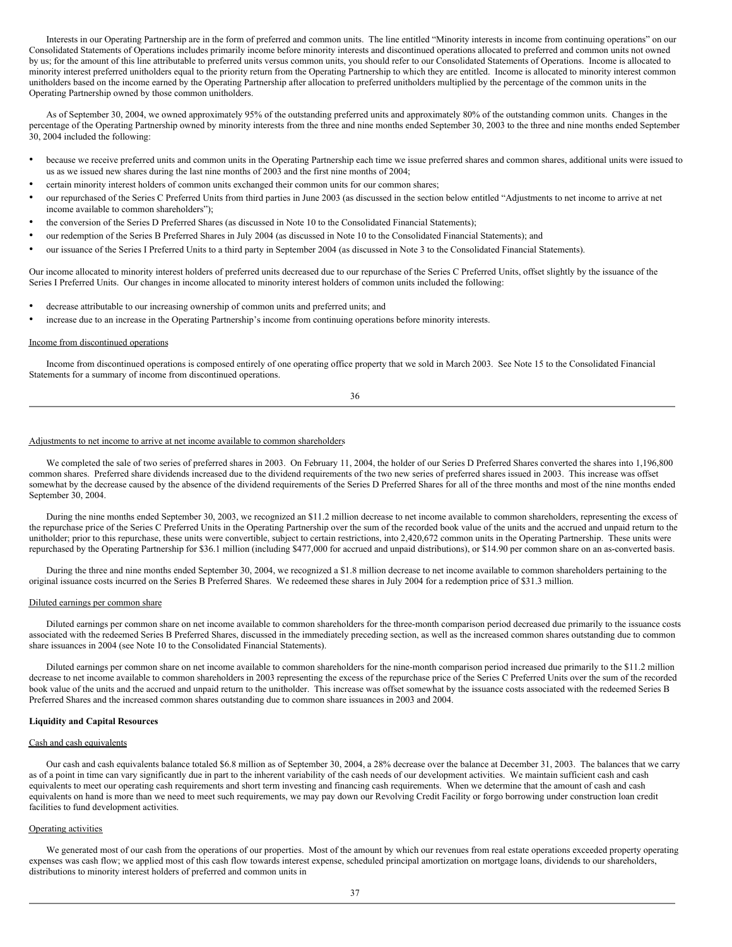Interests in our Operating Partnership are in the form of preferred and common units. The line entitled "Minority interests in income from continuing operations" on our Consolidated Statements of Operations includes primarily income before minority interests and discontinued operations allocated to preferred and common units not owned by us; for the amount of this line attributable to preferred units versus common units, you should refer to our Consolidated Statements of Operations. Income is allocated to minority interest preferred unitholders equal to the priority return from the Operating Partnership to which they are entitled. Income is allocated to minority interest common unitholders based on the income earned by the Operating Partnership after allocation to preferred unitholders multiplied by the percentage of the common units in the Operating Partnership owned by those common unitholders.

As of September 30, 2004, we owned approximately 95% of the outstanding preferred units and approximately 80% of the outstanding common units. Changes in the percentage of the Operating Partnership owned by minority interests from the three and nine months ended September 30, 2003 to the three and nine months ended September 30, 2004 included the following:

- because we receive preferred units and common units in the Operating Partnership each time we issue preferred shares and common shares, additional units were issued to us as we issued new shares during the last nine months of 2003 and the first nine months of 2004;
- certain minority interest holders of common units exchanged their common units for our common shares;
- our repurchased of the Series C Preferred Units from third parties in June 2003 (as discussed in the section below entitled "Adjustments to net income to arrive at net income available to common shareholders");
- the conversion of the Series D Preferred Shares (as discussed in Note 10 to the Consolidated Financial Statements);
- our redemption of the Series B Preferred Shares in July 2004 (as discussed in Note 10 to the Consolidated Financial Statements); and
- our issuance of the Series I Preferred Units to a third party in September 2004 (as discussed in Note 3 to the Consolidated Financial Statements).

Our income allocated to minority interest holders of preferred units decreased due to our repurchase of the Series C Preferred Units, offset slightly by the issuance of the Series I Preferred Units. Our changes in income allocated to minority interest holders of common units included the following:

- decrease attributable to our increasing ownership of common units and preferred units; and
- increase due to an increase in the Operating Partnership's income from continuing operations before minority interests.

#### Income from discontinued operations

Income from discontinued operations is composed entirely of one operating office property that we sold in March 2003. See Note 15 to the Consolidated Financial Statements for a summary of income from discontinued operations.

36

### Adjustments to net income to arrive at net income available to common shareholders

We completed the sale of two series of preferred shares in 2003. On February 11, 2004, the holder of our Series D Preferred Shares converted the shares into 1,196,800 common shares. Preferred share dividends increased due to the dividend requirements of the two new series of preferred shares issued in 2003. This increase was offset somewhat by the decrease caused by the absence of the dividend requirements of the Series D Preferred Shares for all of the three months and most of the nine months ended September 30, 2004.

During the nine months ended September 30, 2003, we recognized an \$11.2 million decrease to net income available to common shareholders, representing the excess of the repurchase price of the Series C Preferred Units in the Operating Partnership over the sum of the recorded book value of the units and the accrued and unpaid return to the unitholder; prior to this repurchase, these units were convertible, subject to certain restrictions, into 2,420,672 common units in the Operating Partnership. These units were repurchased by the Operating Partnership for \$36.1 million (including \$477,000 for accrued and unpaid distributions), or \$14.90 per common share on an as-converted basis.

During the three and nine months ended September 30, 2004, we recognized a \$1.8 million decrease to net income available to common shareholders pertaining to the original issuance costs incurred on the Series B Preferred Shares. We redeemed these shares in July 2004 for a redemption price of \$31.3 million.

#### Diluted earnings per common share

Diluted earnings per common share on net income available to common shareholders for the three-month comparison period decreased due primarily to the issuance costs associated with the redeemed Series B Preferred Shares, discussed in the immediately preceding section, as well as the increased common shares outstanding due to common share issuances in 2004 (see Note 10 to the Consolidated Financial Statements).

Diluted earnings per common share on net income available to common shareholders for the nine-month comparison period increased due primarily to the \$11.2 million decrease to net income available to common shareholders in 2003 representing the excess of the repurchase price of the Series C Preferred Units over the sum of the recorded book value of the units and the accrued and unpaid return to the unitholder. This increase was offset somewhat by the issuance costs associated with the redeemed Series B Preferred Shares and the increased common shares outstanding due to common share issuances in 2003 and 2004.

#### **Liquidity and Capital Resources**

#### Cash and cash equivalents

Our cash and cash equivalents balance totaled \$6.8 million as of September 30, 2004, a 28% decrease over the balance at December 31, 2003. The balances that we carry as of a point in time can vary significantly due in part to the inherent variability of the cash needs of our development activities. We maintain sufficient cash and cash equivalents to meet our operating cash requirements and short term investing and financing cash requirements. When we determine that the amount of cash and cash equivalents on hand is more than we need to meet such requirements, we may pay down our Revolving Credit Facility or forgo borrowing under construction loan credit facilities to fund development activities.

#### Operating activities

We generated most of our cash from the operations of our properties. Most of the amount by which our revenues from real estate operations exceeded property operating expenses was cash flow; we applied most of this cash flow towards interest expense, scheduled principal amortization on mortgage loans, dividends to our shareholders, distributions to minority interest holders of preferred and common units in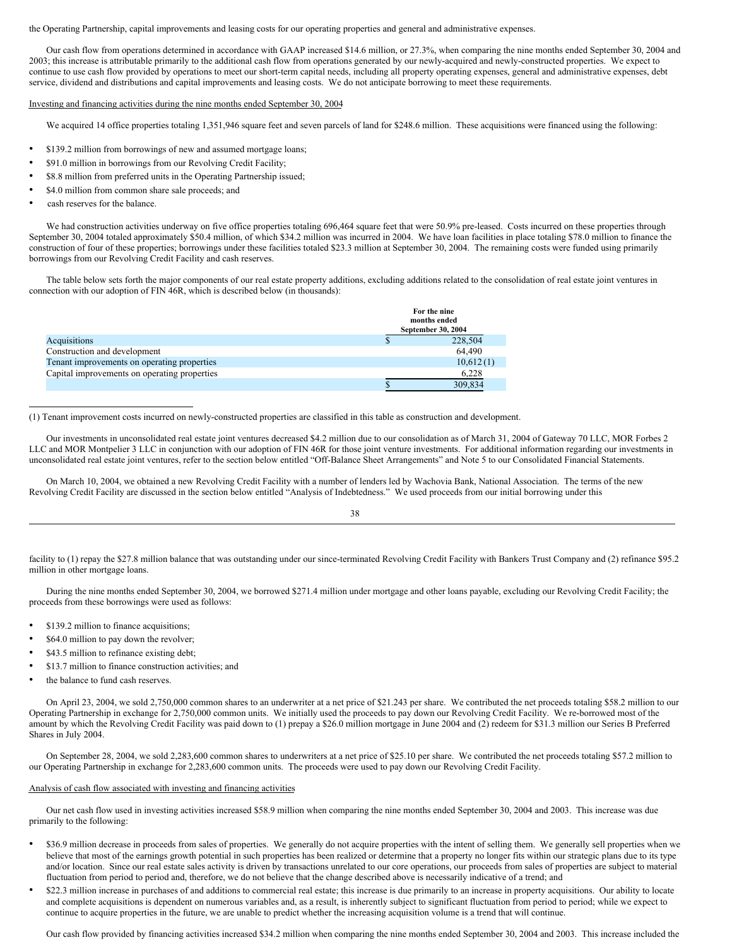the Operating Partnership, capital improvements and leasing costs for our operating properties and general and administrative expenses.

Our cash flow from operations determined in accordance with GAAP increased \$14.6 million, or 27.3%, when comparing the nine months ended September 30, 2004 and 2003; this increase is attributable primarily to the additional cash flow from operations generated by our newly-acquired and newly-constructed properties. We expect to continue to use cash flow provided by operations to meet our short-term capital needs, including all property operating expenses, general and administrative expenses, debt service, dividend and distributions and capital improvements and leasing costs. We do not anticipate borrowing to meet these requirements.

#### Investing and financing activities during the nine months ended September 30, 2004

We acquired 14 office properties totaling 1,351,946 square feet and seven parcels of land for \$248.6 million. These acquisitions were financed using the following:

- \$139.2 million from borrowings of new and assumed mortgage loans;
- \$91.0 million in borrowings from our Revolving Credit Facility;
- \$8.8 million from preferred units in the Operating Partnership issued;
- \$4.0 million from common share sale proceeds; and
- cash reserves for the balance.

We had construction activities underway on five office properties totaling 696,464 square feet that were 50.9% pre-leased. Costs incurred on these properties through September 30, 2004 totaled approximately \$50.4 million, of which \$34.2 million was incurred in 2004. We have loan facilities in place totaling \$78.0 million to finance the construction of four of these properties; borrowings under these facilities totaled \$23.3 million at September 30, 2004. The remaining costs were funded using primarily borrowings from our Revolving Credit Facility and cash reserves.

The table below sets forth the major components of our real estate property additions, excluding additions related to the consolidation of real estate joint ventures in connection with our adoption of FIN 46R, which is described below (in thousands):

|                                              | For the nine<br>months ended<br>September 30, 2004 |           |  |  |  |  |
|----------------------------------------------|----------------------------------------------------|-----------|--|--|--|--|
| Acquisitions                                 |                                                    | 228,504   |  |  |  |  |
| Construction and development                 |                                                    | 64,490    |  |  |  |  |
| Tenant improvements on operating properties  |                                                    | 10,612(1) |  |  |  |  |
| Capital improvements on operating properties |                                                    | 6,228     |  |  |  |  |
|                                              | Φ                                                  | 309,834   |  |  |  |  |

(1) Tenant improvement costs incurred on newly-constructed properties are classified in this table as construction and development.

Our investments in unconsolidated real estate joint ventures decreased \$4.2 million due to our consolidation as of March 31, 2004 of Gateway 70 LLC, MOR Forbes 2 LLC and MOR Montpelier 3 LLC in conjunction with our adoption of FIN 46R for those joint venture investments. For additional information regarding our investments in unconsolidated real estate joint ventures, refer to the section below entitled "Off-Balance Sheet Arrangements" and Note 5 to our Consolidated Financial Statements.

On March 10, 2004, we obtained a new Revolving Credit Facility with a number of lenders led by Wachovia Bank, National Association. The terms of the new Revolving Credit Facility are discussed in the section below entitled "Analysis of Indebtedness." We used proceeds from our initial borrowing under this

38

facility to (1) repay the \$27.8 million balance that was outstanding under our since-terminated Revolving Credit Facility with Bankers Trust Company and (2) refinance \$95.2 million in other mortgage loans.

During the nine months ended September 30, 2004, we borrowed \$271.4 million under mortgage and other loans payable, excluding our Revolving Credit Facility; the proceeds from these borrowings were used as follows:

- \$139.2 million to finance acquisitions:
- \$64.0 million to pay down the revolver;
- \$43.5 million to refinance existing debt;
- \$13.7 million to finance construction activities; and
- the balance to fund cash reserves.

On April 23, 2004, we sold 2,750,000 common shares to an underwriter at a net price of \$21.243 per share. We contributed the net proceeds totaling \$58.2 million to our Operating Partnership in exchange for 2,750,000 common units. We initially used the proceeds to pay down our Revolving Credit Facility. We re-borrowed most of the amount by which the Revolving Credit Facility was paid down to (1) prepay a \$26.0 million mortgage in June 2004 and (2) redeem for \$31.3 million our Series B Preferred Shares in July 2004.

On September 28, 2004, we sold 2,283,600 common shares to underwriters at a net price of \$25.10 per share. We contributed the net proceeds totaling \$57.2 million to our Operating Partnership in exchange for 2,283,600 common units. The proceeds were used to pay down our Revolving Credit Facility.

## Analysis of cash flow associated with investing and financing activities

Our net cash flow used in investing activities increased \$58.9 million when comparing the nine months ended September 30, 2004 and 2003. This increase was due primarily to the following:

- \$36.9 million decrease in proceeds from sales of properties. We generally do not acquire properties with the intent of selling them. We generally sell properties when we believe that most of the earnings growth potential in such properties has been realized or determine that a property no longer fits within our strategic plans due to its type and/or location. Since our real estate sales activity is driven by transactions unrelated to our core operations, our proceeds from sales of properties are subject to material fluctuation from period to period and, therefore, we do not believe that the change described above is necessarily indicative of a trend; and
- \$22.3 million increase in purchases of and additions to commercial real estate; this increase is due primarily to an increase in property acquisitions. Our ability to locate and complete acquisitions is dependent on numerous variables and, as a result, is inherently subject to significant fluctuation from period to period; while we expect to continue to acquire properties in the future, we are unable to predict whether the increasing acquisition volume is a trend that will continue.

Our cash flow provided by financing activities increased \$34.2 million when comparing the nine months ended September 30, 2004 and 2003. This increase included the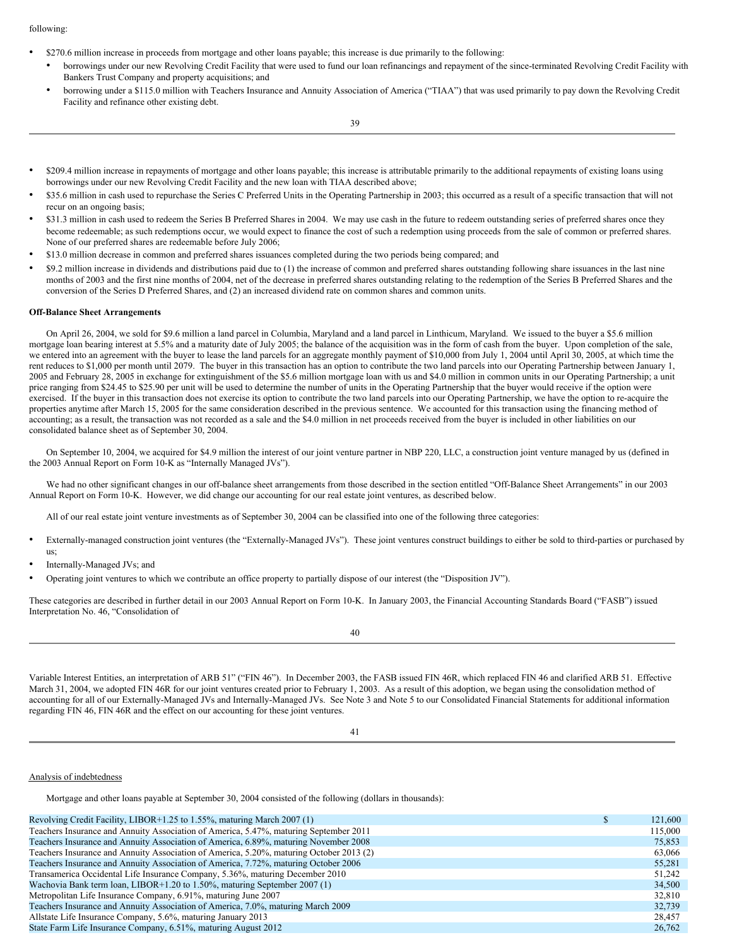#### following:

- \$270.6 million increase in proceeds from mortgage and other loans payable; this increase is due primarily to the following:
	- borrowings under our new Revolving Credit Facility that were used to fund our loan refinancings and repayment of the since-terminated Revolving Credit Facility with Bankers Trust Company and property acquisitions; and
	- borrowing under a \$115.0 million with Teachers Insurance and Annuity Association of America ("TIAA") that was used primarily to pay down the Revolving Credit Facility and refinance other existing debt.

- \$209.4 million increase in repayments of mortgage and other loans payable; this increase is attributable primarily to the additional repayments of existing loans using borrowings under our new Revolving Credit Facility and the new loan with TIAA described above;
- \$35.6 million in cash used to repurchase the Series C Preferred Units in the Operating Partnership in 2003; this occurred as a result of a specific transaction that will not recur on an ongoing basis;
- \$31.3 million in cash used to redeem the Series B Preferred Shares in 2004. We may use cash in the future to redeem outstanding series of preferred shares once they become redeemable; as such redemptions occur, we would expect to finance the cost of such a redemption using proceeds from the sale of common or preferred shares. None of our preferred shares are redeemable before July 2006;
- \$13.0 million decrease in common and preferred shares issuances completed during the two periods being compared; and
- \$9.2 million increase in dividends and distributions paid due to (1) the increase of common and preferred shares outstanding following share issuances in the last nine months of 2003 and the first nine months of 2004, net of the decrease in preferred shares outstanding relating to the redemption of the Series B Preferred Shares and the conversion of the Series D Preferred Shares, and (2) an increased dividend rate on common shares and common units.

#### **Off-Balance Sheet Arrangements**

On April 26, 2004, we sold for \$9.6 million a land parcel in Columbia, Maryland and a land parcel in Linthicum, Maryland. We issued to the buyer a \$5.6 million mortgage loan bearing interest at 5.5% and a maturity date of July 2005; the balance of the acquisition was in the form of cash from the buyer. Upon completion of the sale, we entered into an agreement with the buyer to lease the land parcels for an aggregate monthly payment of \$10,000 from July 1, 2004 until April 30, 2005, at which time the rent reduces to \$1,000 per month until 2079. The buyer in this transaction has an option to contribute the two land parcels into our Operating Partnership between January 1, 2005 and February 28, 2005 in exchange for extinguishment of the \$5.6 million mortgage loan with us and \$4.0 million in common units in our Operating Partnership; a unit price ranging from \$24.45 to \$25.90 per unit will be used to determine the number of units in the Operating Partnership that the buyer would receive if the option were exercised. If the buyer in this transaction does not exercise its option to contribute the two land parcels into our Operating Partnership, we have the option to re-acquire the properties anytime after March 15, 2005 for the same consideration described in the previous sentence. We accounted for this transaction using the financing method of accounting; as a result, the transaction was not recorded as a sale and the \$4.0 million in net proceeds received from the buyer is included in other liabilities on our consolidated balance sheet as of September 30, 2004.

On September 10, 2004, we acquired for \$4.9 million the interest of our joint venture partner in NBP 220, LLC, a construction joint venture managed by us (defined in the 2003 Annual Report on Form 10-K as "Internally Managed JVs").

We had no other significant changes in our off-balance sheet arrangements from those described in the section entitled "Off-Balance Sheet Arrangements" in our 2003 Annual Report on Form 10-K. However, we did change our accounting for our real estate joint ventures, as described below.

All of our real estate joint venture investments as of September 30, 2004 can be classified into one of the following three categories:

- Externally-managed construction joint ventures (the "Externally-Managed JVs"). These joint ventures construct buildings to either be sold to third-parties or purchased by us;
- Internally-Managed JVs; and
- Operating joint ventures to which we contribute an office property to partially dispose of our interest (the "Disposition JV").

These categories are described in further detail in our 2003 Annual Report on Form 10-K. In January 2003, the Financial Accounting Standards Board ("FASB") issued Interpretation No. 46, "Consolidation of

40

Variable Interest Entities, an interpretation of ARB 51" ("FIN 46"). In December 2003, the FASB issued FIN 46R, which replaced FIN 46 and clarified ARB 51. Effective March 31, 2004, we adopted FIN 46R for our joint ventures created prior to February 1, 2003. As a result of this adoption, we began using the consolidation method of accounting for all of our Externally-Managed JVs and Internally-Managed JVs. See Note 3 and Note 5 to our Consolidated Financial Statements for additional information regarding FIN 46, FIN 46R and the effect on our accounting for these joint ventures.

41

#### Analysis of indebtedness

Mortgage and other loans payable at September 30, 2004 consisted of the following (dollars in thousands):

| Revolving Credit Facility, LIBOR+1.25 to 1.55%, maturing March 2007 (1)                 | 121,600 |
|-----------------------------------------------------------------------------------------|---------|
| Teachers Insurance and Annuity Association of America, 5.47%, maturing September 2011   | 115,000 |
| Teachers Insurance and Annuity Association of America, 6.89%, maturing November 2008    | 75.853  |
| Teachers Insurance and Annuity Association of America, 5.20%, maturing October 2013 (2) | 63,066  |
| Teachers Insurance and Annuity Association of America, 7.72%, maturing October 2006     | 55,281  |
| Transamerica Occidental Life Insurance Company, 5.36%, maturing December 2010           | 51.242  |
| Wachovia Bank term loan, LIBOR+1.20 to 1.50%, maturing September 2007 (1)               | 34,500  |
| Metropolitan Life Insurance Company, 6.91%, maturing June 2007                          | 32,810  |
| Teachers Insurance and Annuity Association of America, 7.0%, maturing March 2009        | 32,739  |
| Allstate Life Insurance Company, 5.6%, maturing January 2013                            | 28,457  |
| State Farm Life Insurance Company, 6.51%, maturing August 2012                          | 26,762  |
|                                                                                         |         |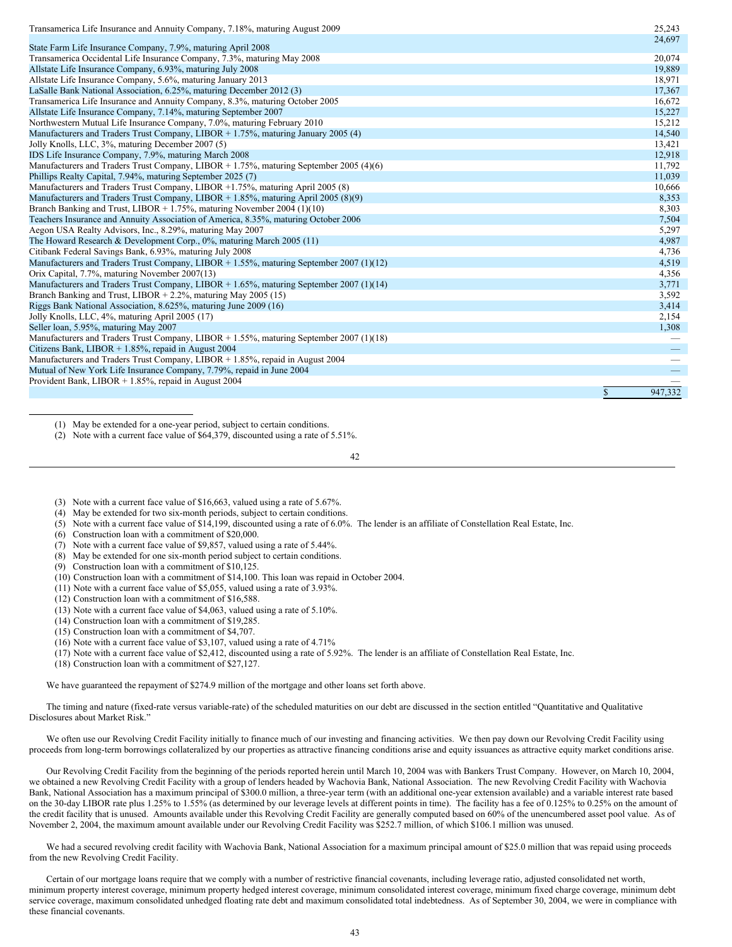| Transamerica Life Insurance and Annuity Company, 7.18%, maturing August 2009               | 25,243 |
|--------------------------------------------------------------------------------------------|--------|
| State Farm Life Insurance Company, 7.9%, maturing April 2008                               | 24,697 |
| Transamerica Occidental Life Insurance Company, 7.3%, maturing May 2008                    | 20,074 |
| Allstate Life Insurance Company, 6.93%, maturing July 2008                                 | 19,889 |
| Allstate Life Insurance Company, 5.6%, maturing January 2013                               | 18,971 |
| LaSalle Bank National Association, 6.25%, maturing December 2012 (3)                       | 17,367 |
| Transamerica Life Insurance and Annuity Company, 8.3%, maturing October 2005               | 16,672 |
| Allstate Life Insurance Company, 7.14%, maturing September 2007                            | 15,227 |
| Northwestern Mutual Life Insurance Company, 7.0%, maturing February 2010                   | 15,212 |
| Manufacturers and Traders Trust Company, LIBOR + 1.75%, maturing January 2005 (4)          | 14,540 |
| Jolly Knolls, LLC, 3%, maturing December 2007 (5)                                          | 13,421 |
| IDS Life Insurance Company, 7.9%, maturing March 2008                                      | 12,918 |
| Manufacturers and Traders Trust Company, LIBOR + $1.75\%$ , maturing September 2005 (4)(6) | 11,792 |
| Phillips Realty Capital, 7.94%, maturing September 2025 (7)                                | 11,039 |
| Manufacturers and Traders Trust Company, LIBOR +1.75%, maturing April 2005 (8)             | 10,666 |
| Manufacturers and Traders Trust Company, LIBOR + 1.85%, maturing April 2005 (8)(9)         | 8,353  |
| Branch Banking and Trust, LIBOR + 1.75%, maturing November 2004 (1)(10)                    | 8,303  |
| Teachers Insurance and Annuity Association of America, 8.35%, maturing October 2006        | 7,504  |
| Aegon USA Realty Advisors, Inc., 8.29%, maturing May 2007                                  | 5,297  |
| The Howard Research & Development Corp., 0%, maturing March 2005 (11)                      | 4,987  |
| Citibank Federal Savings Bank, 6.93%, maturing July 2008                                   | 4,736  |
| Manufacturers and Traders Trust Company, LIBOR + 1.55%, maturing September 2007 (1)(12)    | 4,519  |
| Orix Capital, 7.7%, maturing November 2007(13)                                             | 4,356  |
| Manufacturers and Traders Trust Company, LIBOR + 1.65%, maturing September 2007 (1)(14)    | 3,771  |
| Branch Banking and Trust, LIBOR $+ 2.2\%$ , maturing May 2005 (15)                         | 3,592  |
| Riggs Bank National Association, 8.625%, maturing June 2009 (16)                           | 3,414  |
| Jolly Knolls, LLC, 4%, maturing April 2005 (17)                                            | 2,154  |
| Seller loan, 5.95%, maturing May 2007                                                      | 1,308  |
| Manufacturers and Traders Trust Company, LIBOR + 1.55%, maturing September 2007 (1)(18)    |        |
| Citizens Bank, LIBOR + 1.85%, repaid in August 2004                                        |        |
| Manufacturers and Traders Trust Company, LIBOR + 1.85%, repaid in August 2004              |        |
| Mutual of New York Life Insurance Company, 7.79%, repaid in June 2004                      |        |
| Provident Bank, LIBOR $+ 1.85\%$ , repaid in August 2004                                   |        |
|                                                                                            |        |

947,332

(1) May be extended for a one-year period, subject to certain conditions.

(2) Note with a current face value of \$64,379, discounted using a rate of 5.51%.

42

- (3) Note with a current face value of \$16,663, valued using a rate of 5.67%.
- (4) May be extended for two six-month periods, subject to certain conditions.
- (5) Note with a current face value of \$14,199, discounted using a rate of 6.0%. The lender is an affiliate of Constellation Real Estate, Inc.
- (6) Construction loan with a commitment of \$20,000.
- (7) Note with a current face value of \$9,857, valued using a rate of 5.44%.
- (8) May be extended for one six-month period subject to certain conditions.
- (9) Construction loan with a commitment of \$10,125.
- (10) Construction loan with a commitment of \$14,100. This loan was repaid in October 2004.
- (11) Note with a current face value of \$5,055, valued using a rate of 3.93%.
- (12) Construction loan with a commitment of \$16,588.
- (13) Note with a current face value of \$4,063, valued using a rate of 5.10%.
- (14) Construction loan with a commitment of \$19,285.
- (15) Construction loan with a commitment of \$4,707.
- (16) Note with a current face value of \$3,107, valued using a rate of 4.71%
- (17) Note with a current face value of \$2,412, discounted using a rate of 5.92%. The lender is an affiliate of Constellation Real Estate, Inc.
- (18) Construction loan with a commitment of \$27,127.

We have guaranteed the repayment of \$274.9 million of the mortgage and other loans set forth above.

The timing and nature (fixed-rate versus variable-rate) of the scheduled maturities on our debt are discussed in the section entitled "Quantitative and Qualitative Disclosures about Market Risk."

We often use our Revolving Credit Facility initially to finance much of our investing and financing activities. We then pay down our Revolving Credit Facility using proceeds from long-term borrowings collateralized by our properties as attractive financing conditions arise and equity issuances as attractive equity market conditions arise.

Our Revolving Credit Facility from the beginning of the periods reported herein until March 10, 2004 was with Bankers Trust Company. However, on March 10, 2004, we obtained a new Revolving Credit Facility with a group of lenders headed by Wachovia Bank, National Association. The new Revolving Credit Facility with Wachovia Bank, National Association has a maximum principal of \$300.0 million, a three-year term (with an additional one-year extension available) and a variable interest rate based on the 30-day LIBOR rate plus 1.25% to 1.55% (as determined by our leverage levels at different points in time). The facility has a fee of 0.125% to 0.25% on the amount of the credit facility that is unused. Amounts available under this Revolving Credit Facility are generally computed based on 60% of the unencumbered asset pool value. As of November 2, 2004, the maximum amount available under our Revolving Credit Facility was \$252.7 million, of which \$106.1 million was unused.

We had a secured revolving credit facility with Wachovia Bank, National Association for a maximum principal amount of \$25.0 million that was repaid using proceeds from the new Revolving Credit Facility.

Certain of our mortgage loans require that we comply with a number of restrictive financial covenants, including leverage ratio, adjusted consolidated net worth, minimum property interest coverage, minimum property hedged interest coverage, minimum consolidated interest coverage, minimum fixed charge coverage, minimum debt service coverage, maximum consolidated unhedged floating rate debt and maximum consolidated total indebtedness. As of September 30, 2004, we were in compliance with these financial covenants.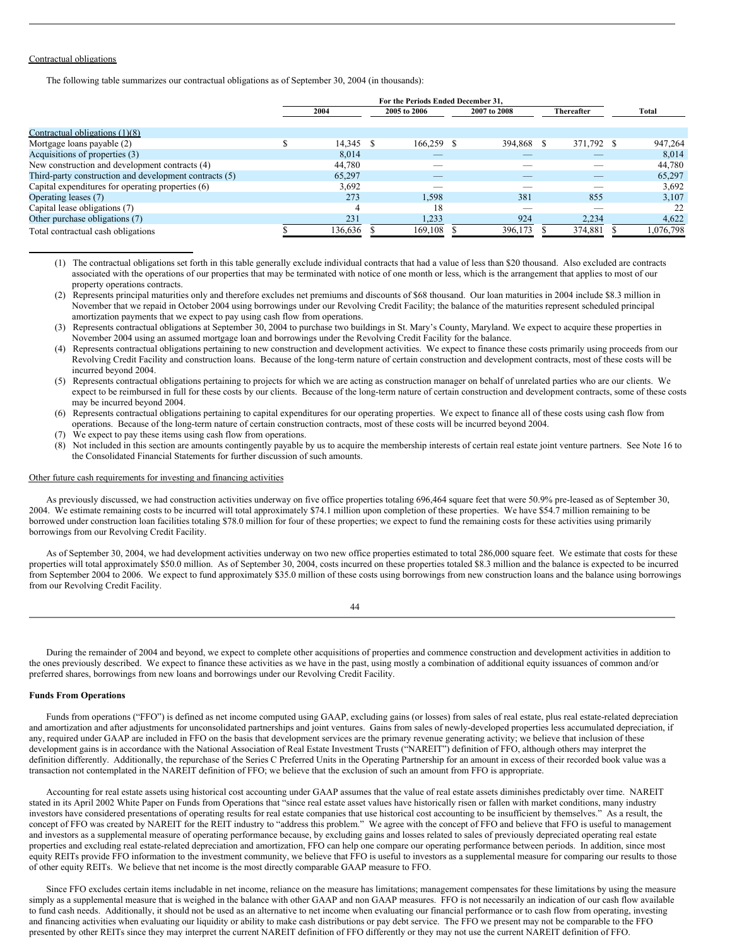### Contractual obligations

The following table summarizes our contractual obligations as of September 30, 2004 (in thousands):

|                                                        | For the Periods Ended December 31. |             |  |              |              |            |            |            |           |
|--------------------------------------------------------|------------------------------------|-------------|--|--------------|--------------|------------|------------|------------|-----------|
|                                                        |                                    | 2004        |  | 2005 to 2006 | 2007 to 2008 |            | Thereafter |            | Total     |
|                                                        |                                    |             |  |              |              |            |            |            |           |
| Contractual obligations $(1)(8)$                       |                                    |             |  |              |              |            |            |            |           |
| Mortgage loans payable (2)                             |                                    | $14,345$ \$ |  | 166,259 \$   |              | 394,868 \$ |            | 371,792 \$ | 947,264   |
| Acquisitions of properties (3)                         |                                    | 8.014       |  | _            |              |            |            |            | 8,014     |
| New construction and development contracts (4)         |                                    | 44,780      |  |              |              |            |            |            | 44,780    |
| Third-party construction and development contracts (5) |                                    | 65,297      |  | _            |              |            |            |            | 65,297    |
| Capital expenditures for operating properties (6)      |                                    | 3,692       |  | _            |              |            |            |            | 3,692     |
| Operating leases (7)                                   |                                    | 273         |  | 1,598        |              | 381        |            | 855        | 3,107     |
| Capital lease obligations (7)                          |                                    |             |  | 18           |              | _          |            |            | 22        |
| Other purchase obligations (7)                         |                                    | 231         |  | 1,233        |              | 924        |            | 2,234      | 4,622     |
| Total contractual cash obligations                     |                                    | 136,636     |  | 169,108      |              | 396,173    |            | 374,881    | 1,076,798 |

(1) The contractual obligations set forth in this table generally exclude individual contracts that had a value of less than \$20 thousand. Also excluded are contracts associated with the operations of our properties that may be terminated with notice of one month or less, which is the arrangement that applies to most of our property operations contracts.

(2) Represents principal maturities only and therefore excludes net premiums and discounts of \$68 thousand. Our loan maturities in 2004 include \$8.3 million in November that we repaid in October 2004 using borrowings under our Revolving Credit Facility; the balance of the maturities represent scheduled principal amortization payments that we expect to pay using cash flow from operations.

(3) Represents contractual obligations at September 30, 2004 to purchase two buildings in St. Mary's County, Maryland. We expect to acquire these properties in November 2004 using an assumed mortgage loan and borrowings under the Revolving Credit Facility for the balance.

Represents contractual obligations pertaining to new construction and development activities. We expect to finance these costs primarily using proceeds from our Revolving Credit Facility and construction loans. Because of the long-term nature of certain construction and development contracts, most of these costs will be incurred beyond 2004.

(5) Represents contractual obligations pertaining to projects for which we are acting as construction manager on behalf of unrelated parties who are our clients. We expect to be reimbursed in full for these costs by our clients. Because of the long-term nature of certain construction and development contracts, some of these costs may be incurred beyond 2004.

(6) Represents contractual obligations pertaining to capital expenditures for our operating properties. We expect to finance all of these costs using cash flow from operations. Because of the long-term nature of certain construction contracts, most of these costs will be incurred beyond 2004.

(7) We expect to pay these items using cash flow from operations.

(8) Not included in this section are amounts contingently payable by us to acquire the membership interests of certain real estate joint venture partners. See Note 16 to the Consolidated Financial Statements for further discussion of such amounts.

#### Other future cash requirements for investing and financing activities

As previously discussed, we had construction activities underway on five office properties totaling 696,464 square feet that were 50.9% pre-leased as of September 30, 2004. We estimate remaining costs to be incurred will total approximately \$74.1 million upon completion of these properties. We have \$54.7 million remaining to be borrowed under construction loan facilities totaling \$78.0 million for four of these properties; we expect to fund the remaining costs for these activities using primarily borrowings from our Revolving Credit Facility.

As of September 30, 2004, we had development activities underway on two new office properties estimated to total 286,000 square feet. We estimate that costs for these properties will total approximately \$50.0 million. As of September 30, 2004, costs incurred on these properties totaled \$8.3 million and the balance is expected to be incurred from September 2004 to 2006. We expect to fund approximately \$35.0 million of these costs using borrowings from new construction loans and the balance using borrowings from our Revolving Credit Facility.

44

During the remainder of 2004 and beyond, we expect to complete other acquisitions of properties and commence construction and development activities in addition to the ones previously described. We expect to finance these activities as we have in the past, using mostly a combination of additional equity issuances of common and/or preferred shares, borrowings from new loans and borrowings under our Revolving Credit Facility.

#### **Funds From Operations**

Funds from operations ("FFO") is defined as net income computed using GAAP, excluding gains (or losses) from sales of real estate, plus real estate-related depreciation and amortization and after adjustments for unconsolidated partnerships and joint ventures. Gains from sales of newly-developed properties less accumulated depreciation, if any, required under GAAP are included in FFO on the basis that development services are the primary revenue generating activity; we believe that inclusion of these development gains is in accordance with the National Association of Real Estate Investment Trusts ("NAREIT") definition of FFO, although others may interpret the definition differently. Additionally, the repurchase of the Series C Preferred Units in the Operating Partnership for an amount in excess of their recorded book value was a transaction not contemplated in the NAREIT definition of FFO; we believe that the exclusion of such an amount from FFO is appropriate.

Accounting for real estate assets using historical cost accounting under GAAP assumes that the value of real estate assets diminishes predictably over time. NAREIT stated in its April 2002 White Paper on Funds from Operations that "since real estate asset values have historically risen or fallen with market conditions, many industry investors have considered presentations of operating results for real estate companies that use historical cost accounting to be insufficient by themselves." As a result, the concept of FFO was created by NAREIT for the REIT industry to "address this problem." We agree with the concept of FFO and believe that FFO is useful to management and investors as a supplemental measure of operating performance because, by excluding gains and losses related to sales of previously depreciated operating real estate properties and excluding real estate-related depreciation and amortization, FFO can help one compare our operating performance between periods. In addition, since most equity REITs provide FFO information to the investment community, we believe that FFO is useful to investors as a supplemental measure for comparing our results to those of other equity REITs. We believe that net income is the most directly comparable GAAP measure to FFO.

Since FFO excludes certain items includable in net income, reliance on the measure has limitations; management compensates for these limitations by using the measure simply as a supplemental measure that is weighed in the balance with other GAAP and non GAAP measures. FFO is not necessarily an indication of our cash flow available to fund cash needs. Additionally, it should not be used as an alternative to net income when evaluating our financial performance or to cash flow from operating, investing and financing activities when evaluating our liquidity or ability to make cash distributions or pay debt service. The FFO we present may not be comparable to the FFO presented by other REITs since they may interpret the current NAREIT definition of FFO differently or they may not use the current NAREIT definition of FFO.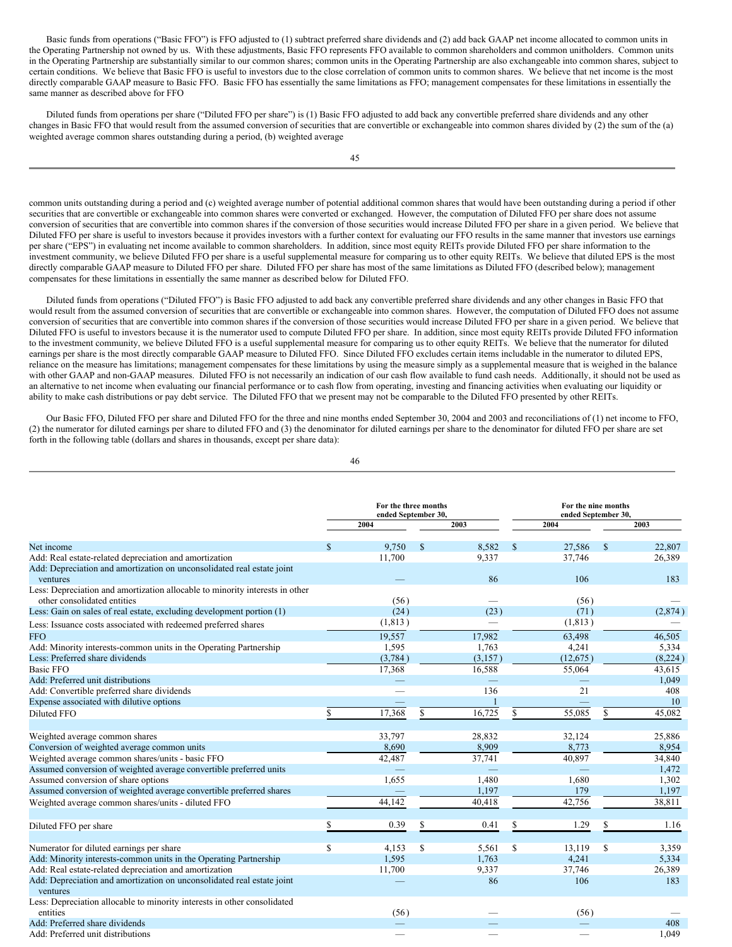Basic funds from operations ("Basic FFO") is FFO adjusted to (1) subtract preferred share dividends and (2) add back GAAP net income allocated to common units in the Operating Partnership not owned by us. With these adjustments, Basic FFO represents FFO available to common shareholders and common unitholders. Common units in the Operating Partnership are substantially similar to our common shares; common units in the Operating Partnership are also exchangeable into common shares, subject to certain conditions. We believe that Basic FFO is useful to investors due to the close correlation of common units to common shares. We believe that net income is the most directly comparable GAAP measure to Basic FFO. Basic FFO has essentially the same limitations as FFO; management compensates for these limitations in essentially the same manner as described above for FFO

Diluted funds from operations per share ("Diluted FFO per share") is (1) Basic FFO adjusted to add back any convertible preferred share dividends and any other changes in Basic FFO that would result from the assumed conversion of securities that are convertible or exchangeable into common shares divided by (2) the sum of the (a) weighted average common shares outstanding during a period, (b) weighted average

common units outstanding during a period and (c) weighted average number of potential additional common shares that would have been outstanding during a period if other securities that are convertible or exchangeable into common shares were converted or exchanged. However, the computation of Diluted FFO per share does not assume conversion of securities that are convertible into common shares if the conversion of those securities would increase Diluted FFO per share in a given period. We believe that Diluted FFO per share is useful to investors because it provides investors with a further context for evaluating our FFO results in the same manner that investors use earnings per share ("EPS") in evaluating net income available to common shareholders. In addition, since most equity REITs provide Diluted FFO per share information to the investment community, we believe Diluted FFO per share is a useful supplemental measure for comparing us to other equity REITs. We believe that diluted EPS is the most directly comparable GAAP measure to Diluted FFO per share. Diluted FFO per share has most of the same limitations as Diluted FFO (described below); management compensates for these limitations in essentially the same manner as described below for Diluted FFO.

Diluted funds from operations ("Diluted FFO") is Basic FFO adjusted to add back any convertible preferred share dividends and any other changes in Basic FFO that would result from the assumed conversion of securities that are convertible or exchangeable into common shares. However, the computation of Diluted FFO does not assume conversion of securities that are convertible into common shares if the conversion of those securities would increase Diluted FFO per share in a given period. We believe that Diluted FFO is useful to investors because it is the numerator used to compute Diluted FFO per share. In addition, since most equity REITs provide Diluted FFO information to the investment community, we believe Diluted FFO is a useful supplemental measure for comparing us to other equity REITs. We believe that the numerator for diluted earnings per share is the most directly comparable GAAP measure to Diluted FFO. Since Diluted FFO excludes certain items includable in the numerator to diluted EPS, reliance on the measure has limitations; management compensates for these limitations by using the measure simply as a supplemental measure that is weighed in the balance with other GAAP and non-GAAP measures. Diluted FFO is not necessarily an indication of our cash flow available to fund cash needs. Additionally, it should not be used as an alternative to net income when evaluating our financial performance or to cash flow from operating, investing and financing activities when evaluating our liquidity or ability to make cash distributions or pay debt service. The Diluted FFO that we present may not be comparable to the Diluted FFO presented by other REITs.

Our Basic FFO, Diluted FFO per share and Diluted FFO for the three and nine months ended September 30, 2004 and 2003 and reconciliations of (1) net income to FFO, (2) the numerator for diluted earnings per share to diluted FFO and (3) the denominator for diluted earnings per share to the denominator for diluted FFO per share are set forth in the following table (dollars and shares in thousands, except per share data):

|                                                                              | For the three months<br>ended September 30, |          |              |         | For the nine months<br>ended September 30, |          |               |         |
|------------------------------------------------------------------------------|---------------------------------------------|----------|--------------|---------|--------------------------------------------|----------|---------------|---------|
|                                                                              |                                             | 2004     |              | 2003    |                                            | 2004     |               | 2003    |
| Net income                                                                   | $\mathbb{S}$                                | 9,750    | $\mathbb{S}$ | 8,582   | \$                                         | 27,586   | <sup>\$</sup> | 22,807  |
| Add: Real estate-related depreciation and amortization                       |                                             | 11,700   |              | 9,337   |                                            | 37,746   |               | 26,389  |
| Add: Depreciation and amortization on unconsolidated real estate joint       |                                             |          |              |         |                                            |          |               |         |
| ventures                                                                     |                                             |          |              | 86      |                                            | 106      |               | 183     |
| Less: Depreciation and amortization allocable to minority interests in other |                                             |          |              |         |                                            |          |               |         |
| other consolidated entities                                                  |                                             | (56)     |              |         |                                            | (56)     |               |         |
| Less: Gain on sales of real estate, excluding development portion (1)        |                                             | (24)     |              | (23)    |                                            | (71)     |               | (2,874) |
| Less: Issuance costs associated with redeemed preferred shares               |                                             | (1, 813) |              |         |                                            | (1, 813) |               |         |
| <b>FFO</b>                                                                   |                                             | 19,557   |              | 17,982  |                                            | 63,498   |               | 46,505  |
| Add: Minority interests-common units in the Operating Partnership            |                                             | 1.595    |              | 1.763   |                                            | 4,241    |               | 5,334   |
| Less: Preferred share dividends                                              |                                             | (3,784)  |              | (3,157) |                                            | (12,675) |               | (8,224) |
| <b>Basic FFO</b>                                                             |                                             | 17,368   |              | 16,588  |                                            | 55,064   |               | 43,615  |
| Add: Preferred unit distributions                                            |                                             |          |              |         |                                            |          |               | 1,049   |
| Add: Convertible preferred share dividends                                   |                                             | -        |              | 136     |                                            | 21       |               | 408     |
| Expense associated with dilutive options                                     |                                             |          |              |         |                                            |          |               | 10      |
| Diluted FFO                                                                  | \$                                          | 17,368   | S.           | 16,725  | S.                                         | 55,085   | \$            | 45,082  |
|                                                                              |                                             |          |              |         |                                            |          |               |         |
| Weighted average common shares                                               |                                             | 33,797   |              | 28,832  |                                            | 32,124   |               | 25,886  |
| Conversion of weighted average common units                                  |                                             | 8,690    |              | 8,909   |                                            | 8,773    |               | 8,954   |
| Weighted average common shares/units - basic FFO                             |                                             | 42,487   |              | 37,741  |                                            | 40,897   |               | 34,840  |
| Assumed conversion of weighted average convertible preferred units           |                                             | -        |              |         |                                            |          |               | 1,472   |
| Assumed conversion of share options                                          |                                             | 1,655    |              | 1,480   |                                            | 1,680    |               | 1,302   |
| Assumed conversion of weighted average convertible preferred shares          |                                             |          |              | 1,197   |                                            | 179      |               | 1,197   |
| Weighted average common shares/units - diluted FFO                           |                                             | 44,142   |              | 40,418  |                                            | 42,756   |               | 38,811  |
|                                                                              |                                             |          |              |         |                                            |          |               |         |
| Diluted FFO per share                                                        | \$                                          | 0.39     |              | 0.41    | S                                          | 1.29     | S             | 1.16    |
|                                                                              |                                             |          |              |         |                                            |          |               |         |
| Numerator for diluted earnings per share                                     | \$                                          | 4,153    | \$           | 5,561   | \$                                         | 13,119   | \$            | 3,359   |
| Add: Minority interests-common units in the Operating Partnership            |                                             | 1,595    |              | 1,763   |                                            | 4,241    |               | 5,334   |
| Add: Real estate-related depreciation and amortization                       |                                             | 11,700   |              | 9,337   |                                            | 37,746   |               | 26,389  |
| Add: Depreciation and amortization on unconsolidated real estate joint       |                                             |          |              | 86      |                                            | 106      |               | 183     |
| ventures                                                                     |                                             |          |              |         |                                            |          |               |         |
| Less: Depreciation allocable to minority interests in other consolidated     |                                             |          |              |         |                                            |          |               |         |
| entities                                                                     |                                             | (56)     |              |         |                                            | (56)     |               |         |
| Add: Preferred share dividends                                               |                                             |          |              |         |                                            |          |               | 408     |
| Add: Preferred unit distributions                                            |                                             |          |              |         |                                            |          |               | 1,049   |

46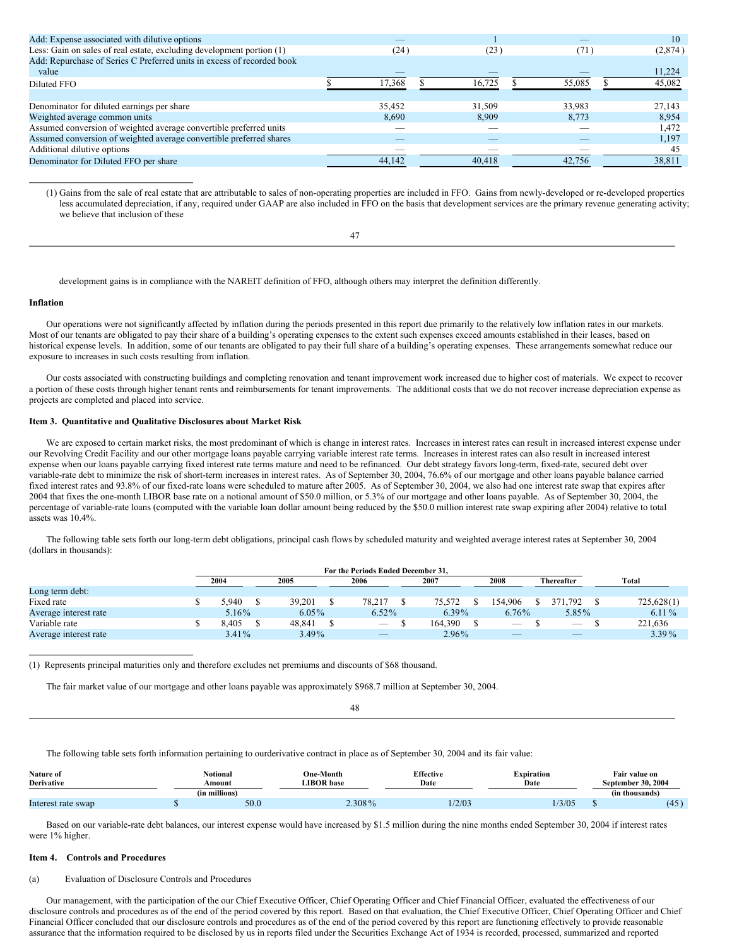| Add: Expense associated with dilutive options                          | _      |        |        | 10      |
|------------------------------------------------------------------------|--------|--------|--------|---------|
| Less: Gain on sales of real estate, excluding development portion (1)  | (24)   | (23)   | (71)   | (2,874) |
| Add: Repurchase of Series C Preferred units in excess of recorded book |        |        |        |         |
| value                                                                  |        |        |        | 11,224  |
| Diluted FFO                                                            | 17,368 | 16,725 | 55,085 | 45,082  |
|                                                                        |        |        |        |         |
| Denominator for diluted earnings per share                             | 35.452 | 31.509 | 33.983 | 27,143  |
| Weighted average common units                                          | 8,690  | 8.909  | 8,773  | 8,954   |
| Assumed conversion of weighted average convertible preferred units     |        |        |        | 1,472   |
| Assumed conversion of weighted average convertible preferred shares    |        |        |        | 1,197   |
| Additional dilutive options                                            |        |        |        | 45      |
| Denominator for Diluted FFO per share                                  | 44,142 | 40,418 | 42,756 | 38,811  |

(1) Gains from the sale of real estate that are attributable to sales of non-operating properties are included in FFO. Gains from newly-developed or re-developed properties less accumulated depreciation, if any, required under GAAP are also included in FFO on the basis that development services are the primary revenue generating activity; we believe that inclusion of these

development gains is in compliance with the NAREIT definition of FFO, although others may interpret the definition differently.

## **Inflation**

Our operations were not significantly affected by inflation during the periods presented in this report due primarily to the relatively low inflation rates in our markets. Most of our tenants are obligated to pay their share of a building's operating expenses to the extent such expenses exceed amounts established in their leases, based on historical expense levels. In addition, some of our tenants are obligated to pay their full share of a building's operating expenses. These arrangements somewhat reduce our exposure to increases in such costs resulting from inflation.

Our costs associated with constructing buildings and completing renovation and tenant improvement work increased due to higher cost of materials. We expect to recover a portion of these costs through higher tenant rents and reimbursements for tenant improvements. The additional costs that we do not recover increase depreciation expense as projects are completed and placed into service.

#### <span id="page-26-0"></span>**Item 3. Quantitative and Qualitative Disclosures about Market Risk**

We are exposed to certain market risks, the most predominant of which is change in interest rates. Increases in interest rates can result in increased interest expense under our Revolving Credit Facility and our other mortgage loans payable carrying variable interest rate terms. Increases in interest rates can also result in increased interest expense when our loans payable carrying fixed interest rate terms mature and need to be refinanced. Our debt strategy favors long-term, fixed-rate, secured debt over variable-rate debt to minimize the risk of short-term increases in interest rates. As of September 30, 2004, 76.6% of our mortgage and other loans payable balance carried fixed interest rates and 93.8% of our fixed-rate loans were scheduled to mature after 2005. As of September 30, 2004, we also had one interest rate swap that expires after 2004 that fixes the one-month LIBOR base rate on a notional amount of \$50.0 million, or 5.3% of our mortgage and other loans payable. As of September 30, 2004, the percentage of variable-rate loans (computed with the variable loan dollar amount being reduced by the \$50.0 million interest rate swap expiring after 2004) relative to total assets was 10.4%.

The following table sets forth our long-term debt obligations, principal cash flows by scheduled maturity and weighted average interest rates at September 30, 2004 (dollars in thousands):

|                       | For the Periods Ended December 31. |          |  |          |  |                                 |  |          |                          |                               |            |
|-----------------------|------------------------------------|----------|--|----------|--|---------------------------------|--|----------|--------------------------|-------------------------------|------------|
|                       |                                    | 2004     |  | 2005     |  | 2006                            |  | 2007     | 2008                     | Thereafter                    | Total      |
| Long term debt:       |                                    |          |  |          |  |                                 |  |          |                          |                               |            |
| Fixed rate            |                                    | 5.940    |  | 39.201   |  | 78.217                          |  | 75.572   | 154.906                  | 371.792                       | 725,628(1) |
| Average interest rate |                                    | 5.16%    |  | $6.05\%$ |  | $6.52\%$                        |  | $6.39\%$ | $6.76\%$                 | 5.85%                         | $6.11\%$   |
| Variable rate         |                                    | 8.405    |  | 48.841   |  | $\hspace{0.1mm}-\hspace{0.1mm}$ |  | 164.390  | $\overline{\phantom{a}}$ | $\overbrace{\phantom{12333}}$ | 221,636    |
| Average interest rate |                                    | $3.41\%$ |  | 3.49%    |  | $-$                             |  | $2.96\%$ | $\overline{\phantom{a}}$ | _                             | $3.39\%$   |

(1) Represents principal maturities only and therefore excludes net premiums and discounts of \$68 thousand.

The fair market value of our mortgage and other loans payable was approximately \$968.7 million at September 30, 2004.

| ٠. |  |
|----|--|

The following table sets forth information pertaining to ourderivative contract in place as of September 30, 2004 and its fair value:

| Nature of<br><b>Derivative</b> | Notional<br>Amount<br>(in millions) | One-Month<br><b>LIBOR</b> base | Effective<br>Date | <b>Expiration</b><br>Date | Fair value on<br>September 30, 2004<br>(in thousands) |
|--------------------------------|-------------------------------------|--------------------------------|-------------------|---------------------------|-------------------------------------------------------|
|                                |                                     |                                |                   |                           |                                                       |
| Interest rate swap             | 50.0                                | 2.308%                         | /2/03             | 1/3/05                    | 45<br>т.                                              |

Based on our variable-rate debt balances, our interest expense would have increased by \$1.5 million during the nine months ended September 30, 2004 if interest rates were 1% higher.

#### <span id="page-26-1"></span>**Item 4. Controls and Procedures**

#### (a) Evaluation of Disclosure Controls and Procedures

Our management, with the participation of the our Chief Executive Officer, Chief Operating Officer and Chief Financial Officer, evaluated the effectiveness of our disclosure controls and procedures as of the end of the period covered by this report. Based on that evaluation, the Chief Executive Officer, Chief Operating Officer and Chief Financial Officer concluded that our disclosure controls and procedures as of the end of the period covered by this report are functioning effectively to provide reasonable assurance that the information required to be disclosed by us in reports filed under the Securities Exchange Act of 1934 is recorded, processed, summarized and reported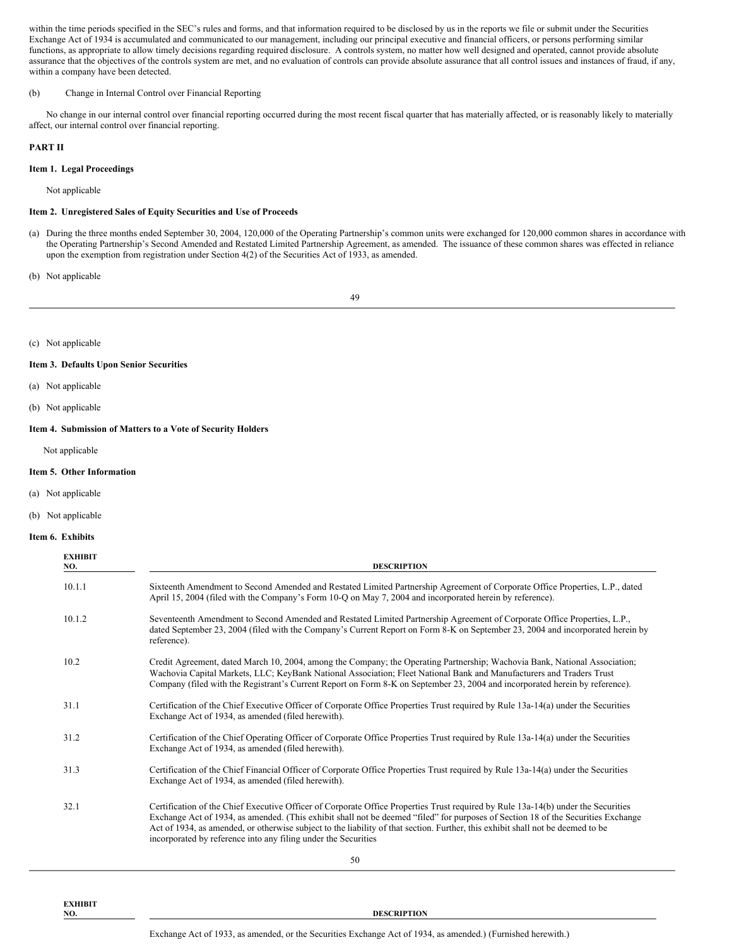within the time periods specified in the SEC's rules and forms, and that information required to be disclosed by us in the reports we file or submit under the Securities Exchange Act of 1934 is accumulated and communicated to our management, including our principal executive and financial officers, or persons performing similar functions, as appropriate to allow timely decisions regarding required disclosure. A controls system, no matter how well designed and operated, cannot provide absolute assurance that the objectives of the controls system are met, and no evaluation of controls can provide absolute assurance that all control issues and instances of fraud, if any, within a company have been detected.

#### (b) Change in Internal Control over Financial Reporting

No change in our internal control over financial reporting occurred during the most recent fiscal quarter that has materially affected, or is reasonably likely to materially affect, our internal control over financial reporting.

#### <span id="page-27-0"></span>**PART II**

### **Item 1. Legal Proceedings**

<span id="page-27-2"></span><span id="page-27-1"></span>Not applicable

## **Item 2. Unregistered Sales of Equity Securities and Use of Proceeds**

(a) During the three months ended September 30, 2004, 120,000 of the Operating Partnership's common units were exchanged for 120,000 common shares in accordance with the Operating Partnership's Second Amended and Restated Limited Partnership Agreement, as amended. The issuance of these common shares was effected in reliance upon the exemption from registration under Section 4(2) of the Securities Act of 1933, as amended.

#### (b) Not applicable

49

### (c) Not applicable

#### <span id="page-27-3"></span>**Item 3. Defaults Upon Senior Securities**

- (a) Not applicable
- (b) Not applicable

#### **Item 4. Submission of Matters to a Vote of Security Holders**

<span id="page-27-5"></span><span id="page-27-4"></span>Not applicable

#### **Item 5. Other Information**

- (a) Not applicable
- (b) Not applicable

#### **Item 6. Exhibits**

<span id="page-27-6"></span>

| <b>EXHIBIT</b><br>NO. | <b>DESCRIPTION</b>                                                                                                                                                                                                                                                                                                                                                                                                                                                          |
|-----------------------|-----------------------------------------------------------------------------------------------------------------------------------------------------------------------------------------------------------------------------------------------------------------------------------------------------------------------------------------------------------------------------------------------------------------------------------------------------------------------------|
| 10.1.1                | Sixteenth Amendment to Second Amended and Restated Limited Partnership Agreement of Corporate Office Properties, L.P., dated<br>April 15, 2004 (filed with the Company's Form 10-Q on May 7, 2004 and incorporated herein by reference).                                                                                                                                                                                                                                    |
| 10.1.2                | Seventeenth Amendment to Second Amended and Restated Limited Partnership Agreement of Corporate Office Properties, L.P.,<br>dated September 23, 2004 (filed with the Company's Current Report on Form 8-K on September 23, 2004 and incorporated herein by<br>reference).                                                                                                                                                                                                   |
| 10.2                  | Credit Agreement, dated March 10, 2004, among the Company; the Operating Partnership; Wachovia Bank, National Association;<br>Wachovia Capital Markets, LLC; KeyBank National Association; Fleet National Bank and Manufacturers and Traders Trust<br>Company (filed with the Registrant's Current Report on Form 8-K on September 23, 2004 and incorporated herein by reference).                                                                                          |
| 31.1                  | Certification of the Chief Executive Officer of Corporate Office Properties Trust required by Rule 13a-14(a) under the Securities<br>Exchange Act of 1934, as amended (filed herewith).                                                                                                                                                                                                                                                                                     |
| 31.2                  | Certification of the Chief Operating Officer of Corporate Office Properties Trust required by Rule 13a-14(a) under the Securities<br>Exchange Act of 1934, as amended (filed herewith).                                                                                                                                                                                                                                                                                     |
| 31.3                  | Certification of the Chief Financial Officer of Corporate Office Properties Trust required by Rule 13a-14(a) under the Securities<br>Exchange Act of 1934, as amended (filed herewith).                                                                                                                                                                                                                                                                                     |
| 32.1                  | Certification of the Chief Executive Officer of Corporate Office Properties Trust required by Rule 13a-14(b) under the Securities<br>Exchange Act of 1934, as amended. (This exhibit shall not be deemed "filed" for purposes of Section 18 of the Securities Exchange<br>Act of 1934, as amended, or otherwise subject to the liability of that section. Further, this exhibit shall not be deemed to be<br>incorporated by reference into any filing under the Securities |
|                       | 50                                                                                                                                                                                                                                                                                                                                                                                                                                                                          |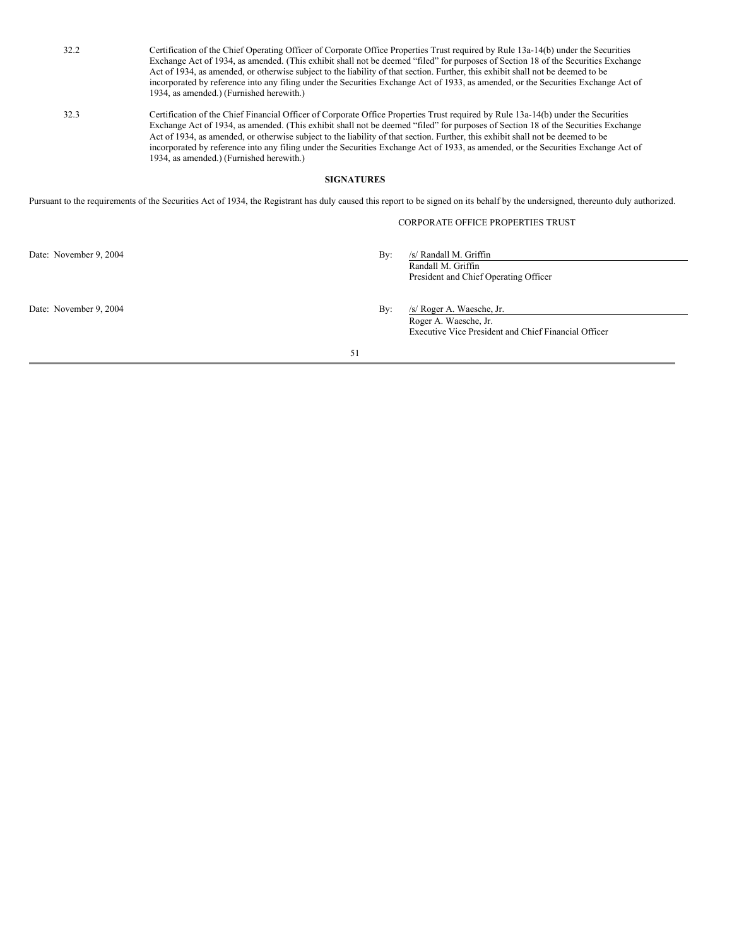32.2 Certification of the Chief Operating Officer of Corporate Office Properties Trust required by Rule 13a-14(b) under the Securities Exchange Act of 1934, as amended. (This exhibit shall not be deemed "filed" for purposes of Section 18 of the Securities Exchange Act of 1934, as amended, or otherwise subject to the liability of that section. Further, this exhibit shall not be deemed to be incorporated by reference into any filing under the Securities Exchange Act of 1933, as amended, or the Securities Exchange Act of 1934, as amended.) (Furnished herewith.) 32.3 Certification of the Chief Financial Officer of Corporate Office Properties Trust required by Rule 13a-14(b) under the Securities Exchange Act of 1934, as amended. (This exhibit shall not be deemed "filed" for purposes of Section 18 of the Securities Exchange Act of 1934, as amended, or otherwise subject to the liability of that section. Further, this exhibit shall not be deemed to be incorporated by reference into any filing under the Securities Exchange Act of 1933, as amended, or the Securities Exchange Act of 1934, as amended.) (Furnished herewith.) **SIGNATURES** Pursuant to the requirements of the Securities Act of 1934, the Registrant has duly caused this report to be signed on its behalf by the undersigned, thereunto duly authorized.

# <span id="page-28-0"></span>CORPORATE OFFICE PROPERTIES TRUST

Date: November 9, 2004 By: /s/ Randall M. Griffin Randall M. Griffin President and Chief Operating Officer

- 
- Date: November 9, 2004 By: /s/ Roger A. Waesche, Jr. Roger A. Waesche, Jr. Executive Vice President and Chief Financial Officer

51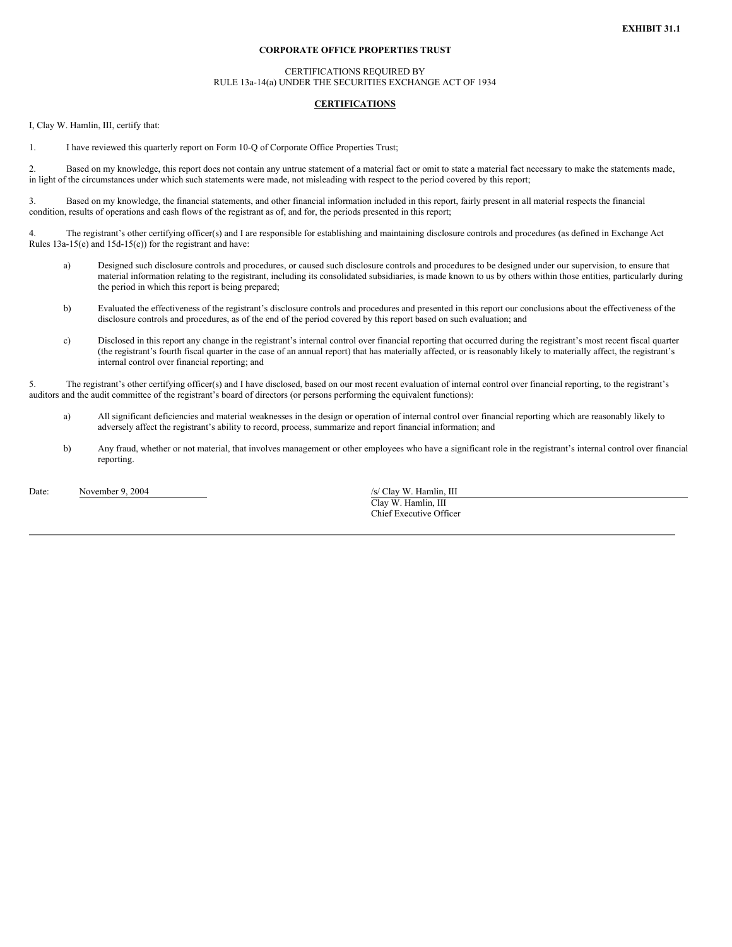## CERTIFICATIONS REQUIRED BY RULE 13a-14(a) UNDER THE SECURITIES EXCHANGE ACT OF 1934

#### **CERTIFICATIONS**

I, Clay W. Hamlin, III, certify that:

1. I have reviewed this quarterly report on Form 10-Q of Corporate Office Properties Trust;

2. Based on my knowledge, this report does not contain any untrue statement of a material fact or omit to state a material fact necessary to make the statements made, in light of the circumstances under which such statements were made, not misleading with respect to the period covered by this report;

3. Based on my knowledge, the financial statements, and other financial information included in this report, fairly present in all material respects the financial condition, results of operations and cash flows of the registrant as of, and for, the periods presented in this report;

4. The registrant's other certifying officer(s) and I are responsible for establishing and maintaining disclosure controls and procedures (as defined in Exchange Act Rules 13a-15(e) and 15d-15(e)) for the registrant and have:

- a) Designed such disclosure controls and procedures, or caused such disclosure controls and procedures to be designed under our supervision, to ensure that material information relating to the registrant, including its consolidated subsidiaries, is made known to us by others within those entities, particularly during the period in which this report is being prepared;
- b) Evaluated the effectiveness of the registrant's disclosure controls and procedures and presented in this report our conclusions about the effectiveness of the disclosure controls and procedures, as of the end of the period covered by this report based on such evaluation; and
- c) Disclosed in this report any change in the registrant's internal control over financial reporting that occurred during the registrant's most recent fiscal quarter (the registrant's fourth fiscal quarter in the case of an annual report) that has materially affected, or is reasonably likely to materially affect, the registrant's internal control over financial reporting; and

5. The registrant's other certifying officer(s) and I have disclosed, based on our most recent evaluation of internal control over financial reporting, to the registrant's auditors and the audit committee of the registrant's board of directors (or persons performing the equivalent functions):

- a) All significant deficiencies and material weaknesses in the design or operation of internal control over financial reporting which are reasonably likely to adversely affect the registrant's ability to record, process, summarize and report financial information; and
- b) Any fraud, whether or not material, that involves management or other employees who have a significant role in the registrant's internal control over financial reporting.

Date: November 9, 2004 /s/ Clay W. Hamlin, III

Clay W. Hamlin, III Chief Executive Officer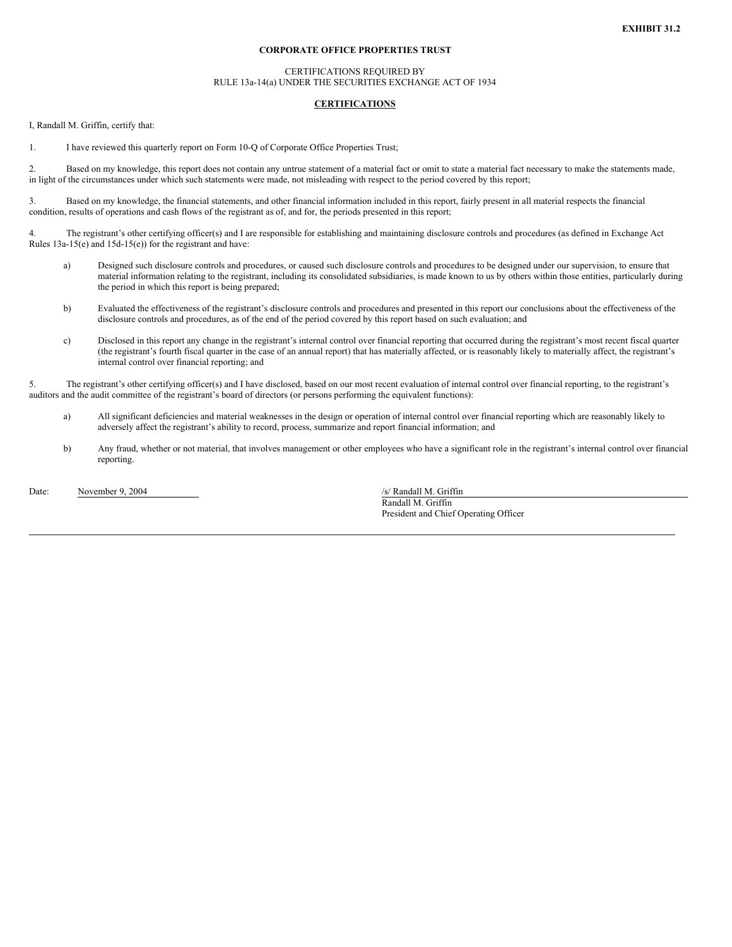## CERTIFICATIONS REQUIRED BY RULE 13a-14(a) UNDER THE SECURITIES EXCHANGE ACT OF 1934

#### **CERTIFICATIONS**

I, Randall M. Griffin, certify that:

1. I have reviewed this quarterly report on Form 10-Q of Corporate Office Properties Trust;

2. Based on my knowledge, this report does not contain any untrue statement of a material fact or omit to state a material fact necessary to make the statements made, in light of the circumstances under which such statements were made, not misleading with respect to the period covered by this report;

3. Based on my knowledge, the financial statements, and other financial information included in this report, fairly present in all material respects the financial condition, results of operations and cash flows of the registrant as of, and for, the periods presented in this report;

4. The registrant's other certifying officer(s) and I are responsible for establishing and maintaining disclosure controls and procedures (as defined in Exchange Act Rules 13a-15(e) and 15d-15(e)) for the registrant and have:

- a) Designed such disclosure controls and procedures, or caused such disclosure controls and procedures to be designed under our supervision, to ensure that material information relating to the registrant, including its consolidated subsidiaries, is made known to us by others within those entities, particularly during the period in which this report is being prepared;
- b) Evaluated the effectiveness of the registrant's disclosure controls and procedures and presented in this report our conclusions about the effectiveness of the disclosure controls and procedures, as of the end of the period covered by this report based on such evaluation; and
- c) Disclosed in this report any change in the registrant's internal control over financial reporting that occurred during the registrant's most recent fiscal quarter (the registrant's fourth fiscal quarter in the case of an annual report) that has materially affected, or is reasonably likely to materially affect, the registrant's internal control over financial reporting; and

5. The registrant's other certifying officer(s) and I have disclosed, based on our most recent evaluation of internal control over financial reporting, to the registrant's auditors and the audit committee of the registrant's board of directors (or persons performing the equivalent functions):

- a) All significant deficiencies and material weaknesses in the design or operation of internal control over financial reporting which are reasonably likely to adversely affect the registrant's ability to record, process, summarize and report financial information; and
- b) Any fraud, whether or not material, that involves management or other employees who have a significant role in the registrant's internal control over financial reporting.

Date: November 9, 2004 /s/ Randall M. Griffin

Randall M. Griffin President and Chief Operating Officer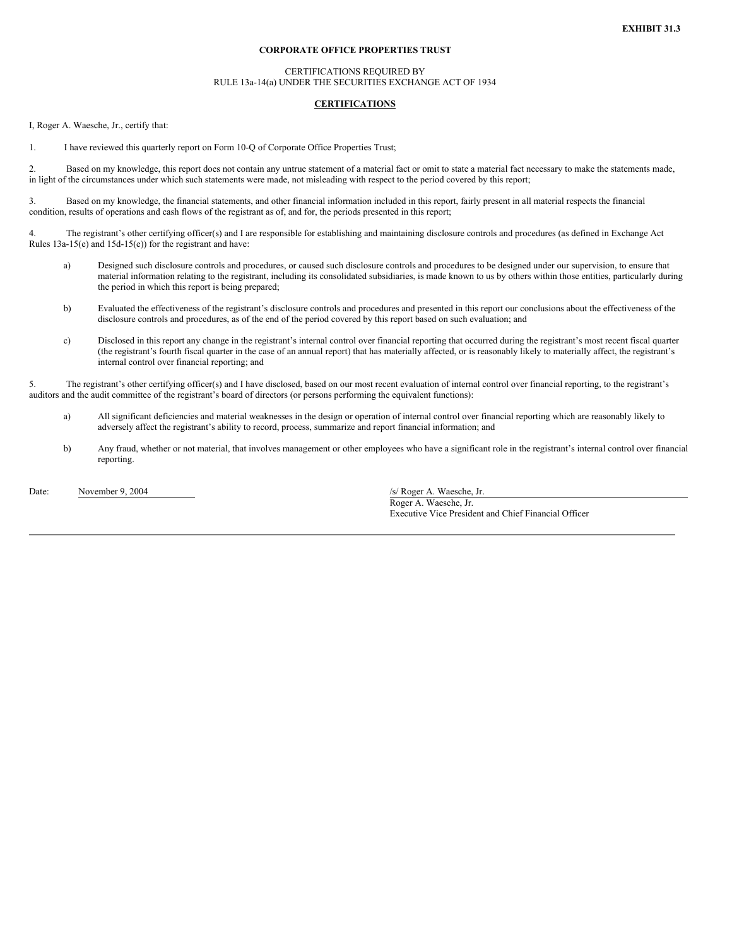## CERTIFICATIONS REQUIRED BY RULE 13a-14(a) UNDER THE SECURITIES EXCHANGE ACT OF 1934

#### **CERTIFICATIONS**

I, Roger A. Waesche, Jr., certify that:

1. I have reviewed this quarterly report on Form 10-Q of Corporate Office Properties Trust;

2. Based on my knowledge, this report does not contain any untrue statement of a material fact or omit to state a material fact necessary to make the statements made, in light of the circumstances under which such statements were made, not misleading with respect to the period covered by this report;

3. Based on my knowledge, the financial statements, and other financial information included in this report, fairly present in all material respects the financial condition, results of operations and cash flows of the registrant as of, and for, the periods presented in this report;

4. The registrant's other certifying officer(s) and I are responsible for establishing and maintaining disclosure controls and procedures (as defined in Exchange Act Rules 13a-15(e) and 15d-15(e)) for the registrant and have:

- a) Designed such disclosure controls and procedures, or caused such disclosure controls and procedures to be designed under our supervision, to ensure that material information relating to the registrant, including its consolidated subsidiaries, is made known to us by others within those entities, particularly during the period in which this report is being prepared;
- b) Evaluated the effectiveness of the registrant's disclosure controls and procedures and presented in this report our conclusions about the effectiveness of the disclosure controls and procedures, as of the end of the period covered by this report based on such evaluation; and
- c) Disclosed in this report any change in the registrant's internal control over financial reporting that occurred during the registrant's most recent fiscal quarter (the registrant's fourth fiscal quarter in the case of an annual report) that has materially affected, or is reasonably likely to materially affect, the registrant's internal control over financial reporting; and

5. The registrant's other certifying officer(s) and I have disclosed, based on our most recent evaluation of internal control over financial reporting, to the registrant's auditors and the audit committee of the registrant's board of directors (or persons performing the equivalent functions):

- a) All significant deficiencies and material weaknesses in the design or operation of internal control over financial reporting which are reasonably likely to adversely affect the registrant's ability to record, process, summarize and report financial information; and
- b) Any fraud, whether or not material, that involves management or other employees who have a significant role in the registrant's internal control over financial reporting.

Date: November 9, 2004 /s/ Roger A. Waesche, Jr.

Roger A. Waesche, Jr. Executive Vice President and Chief Financial Officer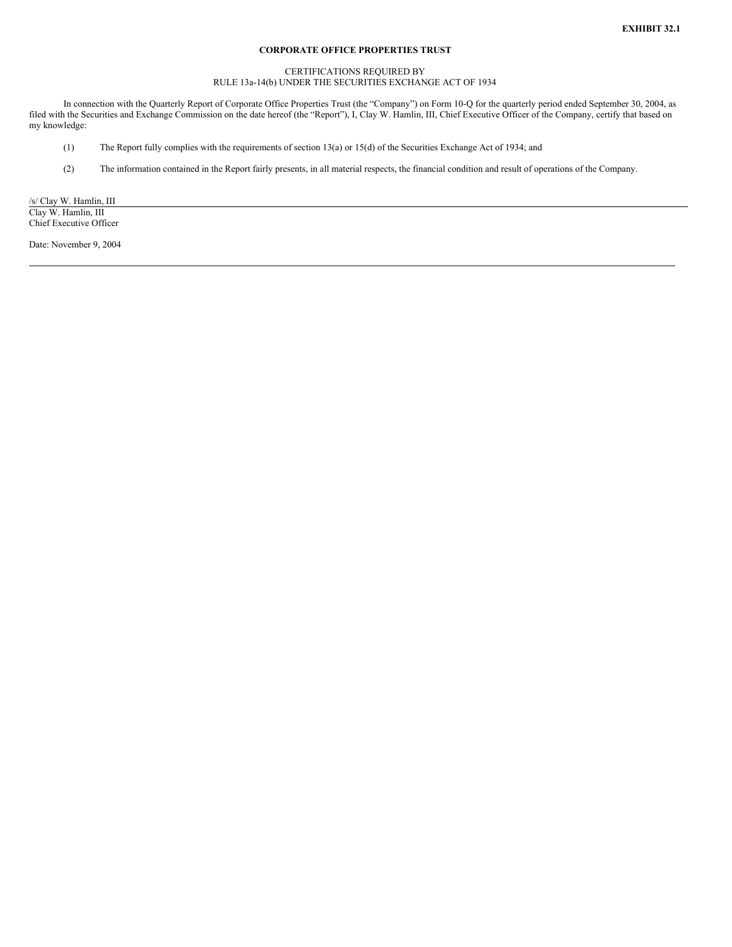## CERTIFICATIONS REQUIRED BY RULE 13a-14(b) UNDER THE SECURITIES EXCHANGE ACT OF 1934

In connection with the Quarterly Report of Corporate Office Properties Trust (the "Company") on Form 10-Q for the quarterly period ended September 30, 2004, as filed with the Securities and Exchange Commission on the date hereof (the "Report"), I, Clay W. Hamlin, III, Chief Executive Officer of the Company, certify that based on my knowledge:

- (1) The Report fully complies with the requirements of section 13(a) or 15(d) of the Securities Exchange Act of 1934; and
- (2) The information contained in the Report fairly presents, in all material respects, the financial condition and result of operations of the Company.

/s/ Clay W. Hamlin, III Clay W. Hamlin, III Chief Executive Officer

Date: November 9, 2004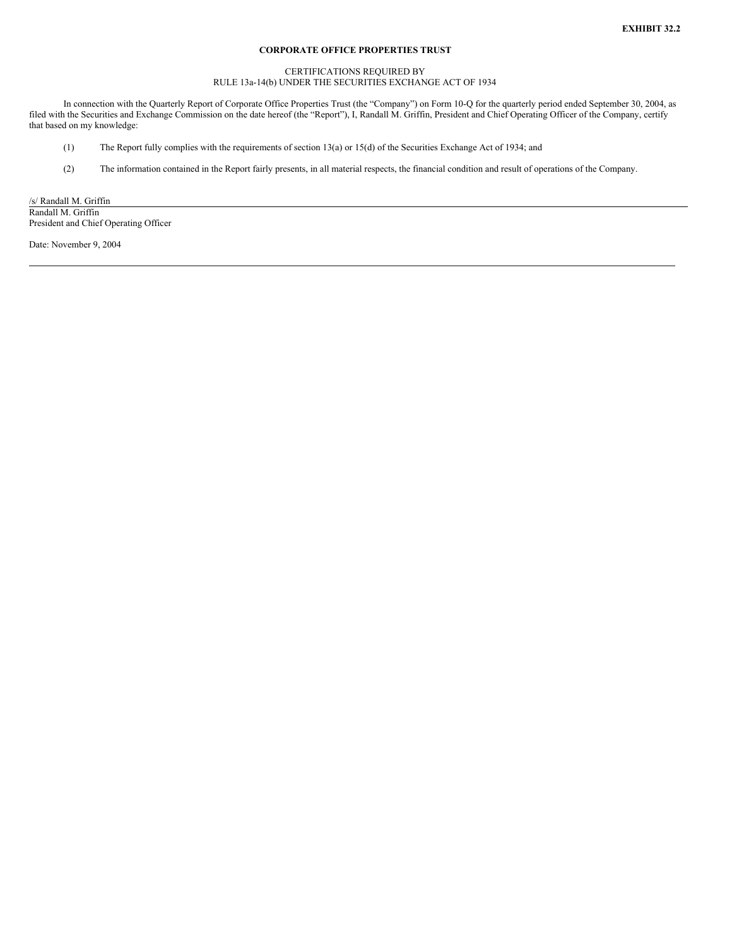## CERTIFICATIONS REQUIRED BY RULE 13a-14(b) UNDER THE SECURITIES EXCHANGE ACT OF 1934

In connection with the Quarterly Report of Corporate Office Properties Trust (the "Company") on Form 10-Q for the quarterly period ended September 30, 2004, as filed with the Securities and Exchange Commission on the date hereof (the "Report"), I, Randall M. Griffin, President and Chief Operating Officer of the Company, certify that based on my knowledge:

- (1) The Report fully complies with the requirements of section 13(a) or 15(d) of the Securities Exchange Act of 1934; and
- (2) The information contained in the Report fairly presents, in all material respects, the financial condition and result of operations of the Company.

/s/ Randall M. Griffin Randall M. Griffin President and Chief Operating Officer

Date: November 9, 2004